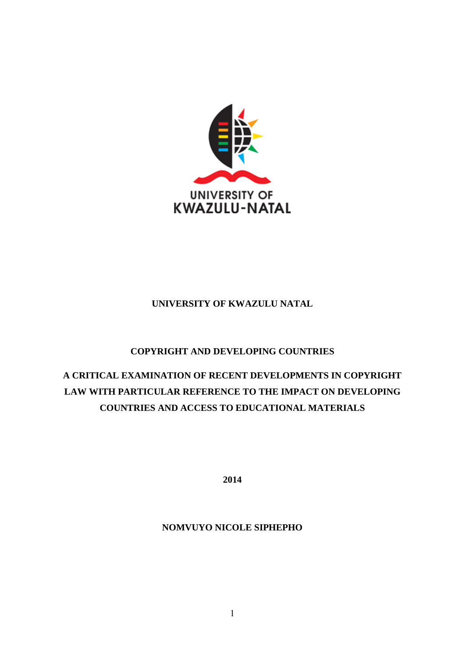

## **UNIVERSITY OF KWAZULU NATAL**

## **COPYRIGHT AND DEVELOPING COUNTRIES**

# **A CRITICAL EXAMINATION OF RECENT DEVELOPMENTS IN COPYRIGHT LAW WITH PARTICULAR REFERENCE TO THE IMPACT ON DEVELOPING COUNTRIES AND ACCESS TO EDUCATIONAL MATERIALS**

**2014**

## **NOMVUYO NICOLE SIPHEPHO**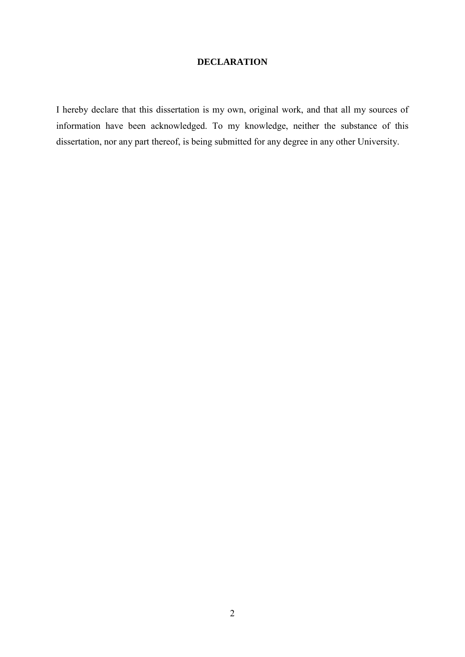## **DECLARATION**

I hereby declare that this dissertation is my own, original work, and that all my sources of information have been acknowledged. To my knowledge, neither the substance of this dissertation, nor any part thereof, is being submitted for any degree in any other University.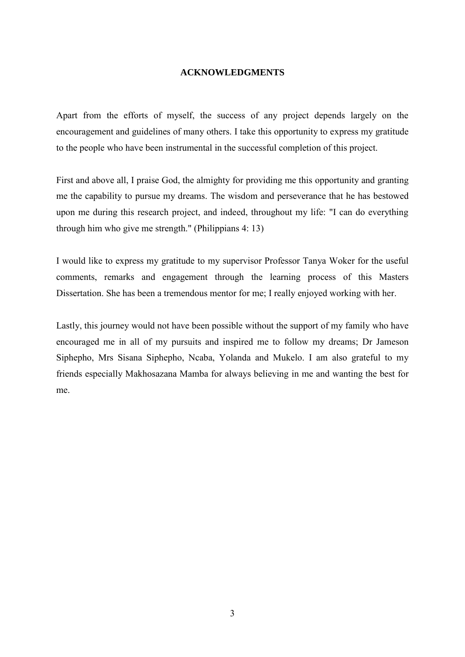#### **ACKNOWLEDGMENTS**

Apart from the efforts of myself, the success of any project depends largely on the encouragement and guidelines of many others. I take this opportunity to express my gratitude to the people who have been instrumental in the successful completion of this project.

First and above all, I praise God, the almighty for providing me this opportunity and granting me the capability to pursue my dreams. The wisdom and perseverance that he has bestowed upon me during this research project, and indeed, throughout my life: "I can do everything through him who give me strength." (Philippians 4: 13)

I would like to express my gratitude to my supervisor Professor Tanya Woker for the useful comments, remarks and engagement through the learning process of this Masters Dissertation. She has been a tremendous mentor for me; I really enjoyed working with her.

Lastly, this journey would not have been possible without the support of my family who have encouraged me in all of my pursuits and inspired me to follow my dreams; Dr Jameson Siphepho, Mrs Sisana Siphepho, Ncaba, Yolanda and Mukelo. I am also grateful to my friends especially Makhosazana Mamba for always believing in me and wanting the best for me.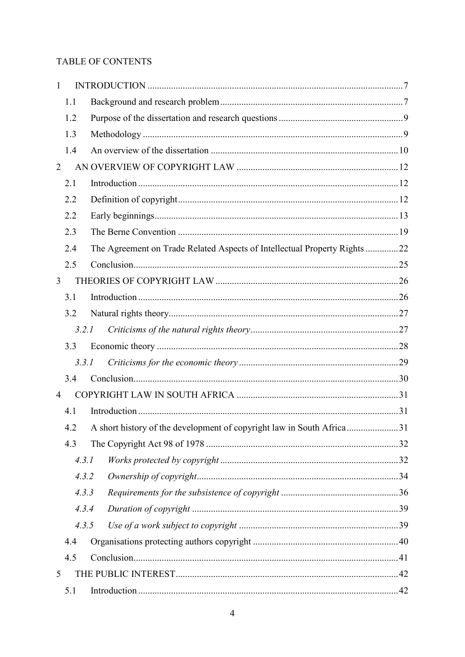## TABLE OF CONTENTS

| 1              |       |                                                                           |  |
|----------------|-------|---------------------------------------------------------------------------|--|
|                | 1.1   |                                                                           |  |
|                | 1.2   |                                                                           |  |
|                | 1.3   |                                                                           |  |
|                | 1.4   |                                                                           |  |
| $\overline{2}$ |       |                                                                           |  |
|                | 2.1   |                                                                           |  |
|                | 2.2   |                                                                           |  |
|                | 2.2   |                                                                           |  |
|                | 2.3   |                                                                           |  |
|                | 2.4   | The Agreement on Trade Related Aspects of Intellectual Property Rights 22 |  |
|                | 2.5   |                                                                           |  |
| 3              |       |                                                                           |  |
|                | 3.1   |                                                                           |  |
|                | 3.2   |                                                                           |  |
|                | 3.2.1 |                                                                           |  |
|                | 3.3   |                                                                           |  |
|                | 3.3.1 |                                                                           |  |
|                | 3.4   |                                                                           |  |
| 4              |       |                                                                           |  |
|                | 4.1   |                                                                           |  |
|                | 4.2   | A short history of the development of copyright law in South Africa31     |  |
|                | 4.3   |                                                                           |  |
|                | 4.3.1 |                                                                           |  |
|                | 4.3.2 |                                                                           |  |
|                | 4.3.3 |                                                                           |  |
|                | 4.3.4 |                                                                           |  |
|                | 4.3.5 |                                                                           |  |
|                | 4.4   |                                                                           |  |
|                | 4.5   |                                                                           |  |
| 5              |       |                                                                           |  |
|                | 5.1   |                                                                           |  |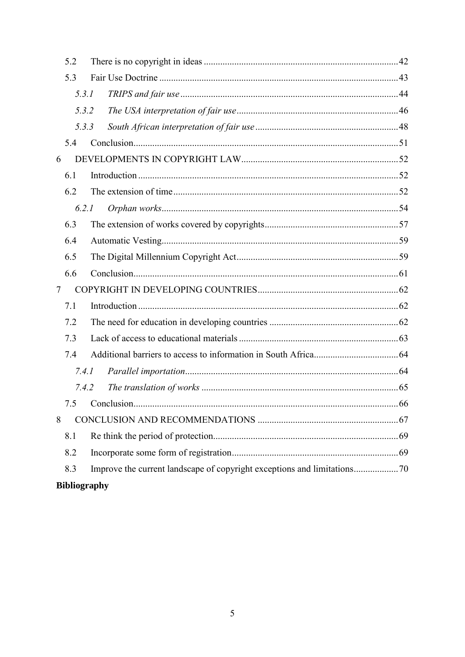|                     | 5.2   |  |  |  |  |  |  |
|---------------------|-------|--|--|--|--|--|--|
|                     | 5.3   |  |  |  |  |  |  |
|                     | 5.3.1 |  |  |  |  |  |  |
|                     | 5.3.2 |  |  |  |  |  |  |
| 5.3.3               |       |  |  |  |  |  |  |
|                     | 5.4   |  |  |  |  |  |  |
| 6                   |       |  |  |  |  |  |  |
|                     | 6.1   |  |  |  |  |  |  |
|                     | 6.2   |  |  |  |  |  |  |
|                     | 6.2.1 |  |  |  |  |  |  |
|                     | 6.3   |  |  |  |  |  |  |
|                     | 6.4   |  |  |  |  |  |  |
|                     | 6.5   |  |  |  |  |  |  |
|                     | 6.6   |  |  |  |  |  |  |
| $\overline{7}$      |       |  |  |  |  |  |  |
|                     | 7.1   |  |  |  |  |  |  |
|                     | 7.2   |  |  |  |  |  |  |
|                     | 7.3   |  |  |  |  |  |  |
|                     | 7.4   |  |  |  |  |  |  |
|                     | 7.4.1 |  |  |  |  |  |  |
|                     | 7.4.2 |  |  |  |  |  |  |
|                     |       |  |  |  |  |  |  |
| 8                   |       |  |  |  |  |  |  |
|                     | 8.1   |  |  |  |  |  |  |
|                     | 8.2   |  |  |  |  |  |  |
|                     | 8.3   |  |  |  |  |  |  |
| <b>Bibliography</b> |       |  |  |  |  |  |  |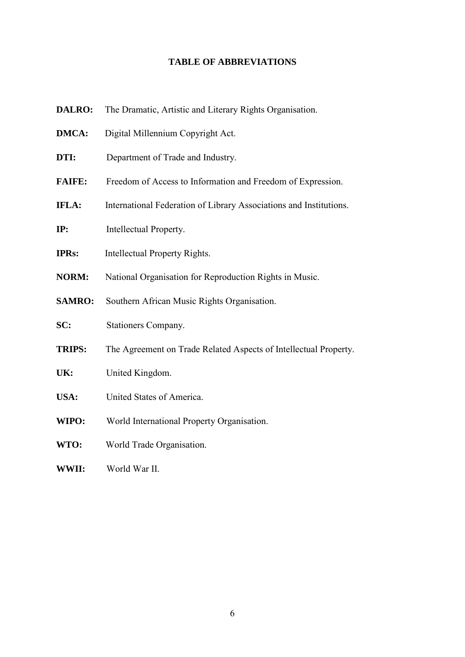## **TABLE OF ABBREVIATIONS**

| <b>DALRO:</b> | The Dramatic, Artistic and Literary Rights Organisation.           |
|---------------|--------------------------------------------------------------------|
| <b>DMCA:</b>  | Digital Millennium Copyright Act.                                  |
| DTI:          | Department of Trade and Industry.                                  |
| <b>FAIFE:</b> | Freedom of Access to Information and Freedom of Expression.        |
| <b>IFLA:</b>  | International Federation of Library Associations and Institutions. |
| IP:           | Intellectual Property.                                             |
| <b>IPRs:</b>  | Intellectual Property Rights.                                      |
| <b>NORM:</b>  | National Organisation for Reproduction Rights in Music.            |
| <b>SAMRO:</b> | Southern African Music Rights Organisation.                        |
| SC:           | Stationers Company.                                                |
| <b>TRIPS:</b> | The Agreement on Trade Related Aspects of Intellectual Property.   |
| UK:           | United Kingdom.                                                    |
| USA:          | United States of America.                                          |
| WIPO:         | World International Property Organisation.                         |
| WTO:          | World Trade Organisation.                                          |
| WWII:         | World War II.                                                      |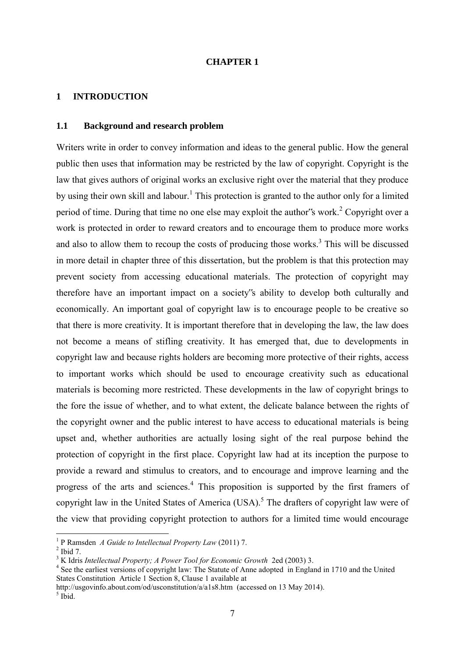#### **CHAPTER 1**

#### <span id="page-6-0"></span>**1 INTRODUCTION**

### <span id="page-6-1"></span>**1.1 Background and research problem**

Writers write in order to convey information and ideas to the general public. How the general public then uses that information may be restricted by the law of copyright. Copyright is the law that gives authors of original works an exclusive right over the material that they produce by using their own skill and labour.<sup>1</sup> This protection is granted to the author only for a limited period of time. During that time no one else may exploit the author 's work.<sup>2</sup> Copyright over a work is protected in order to reward creators and to encourage them to produce more works and also to allow them to recoup the costs of producing those works.<sup>3</sup> This will be discussed in more detail in chapter three of this dissertation, but the problem is that this protection may prevent society from accessing educational materials. The protection of copyright may therefore have an important impact on a society"s ability to develop both culturally and economically. An important goal of copyright law is to encourage people to be creative so that there is more creativity. It is important therefore that in developing the law, the law does not become a means of stifling creativity. It has emerged that, due to developments in copyright law and because rights holders are becoming more protective of their rights, access to important works which should be used to encourage creativity such as educational materials is becoming more restricted. These developments in the law of copyright brings to the fore the issue of whether, and to what extent, the delicate balance between the rights of the copyright owner and the public interest to have access to educational materials is being upset and, whether authorities are actually losing sight of the real purpose behind the protection of copyright in the first place. Copyright law had at its inception the purpose to provide a reward and stimulus to creators, and to encourage and improve learning and the progress of the arts and sciences.<sup>4</sup> This proposition is supported by the first framers of copyright law in the United States of America (USA).<sup>5</sup> The drafters of copyright law were of the view that providing copyright protection to authors for a limited time would encourage

<sup>&</sup>lt;sup>1</sup> P Ramsden *A Guide to Intellectual Property Law* (2011) 7.

 $<sup>2</sup>$  Ibid 7.</sup>

<sup>&</sup>lt;sup>3</sup> K Idris *Intellectual Property; A Power Tool for Economic Growth* 2ed (2003) 3.

<sup>&</sup>lt;sup>4</sup> See the earliest versions of copyright law: The Statute of Anne adopted in England in 1710 and the United States Constitution Article 1 Section 8, Clause 1 available at

<http://usgovinfo.about.com/od/usconstitution/a/a1s8.htm>(accessed on 13 May 2014).  $<sup>5</sup>$  Ibid.</sup>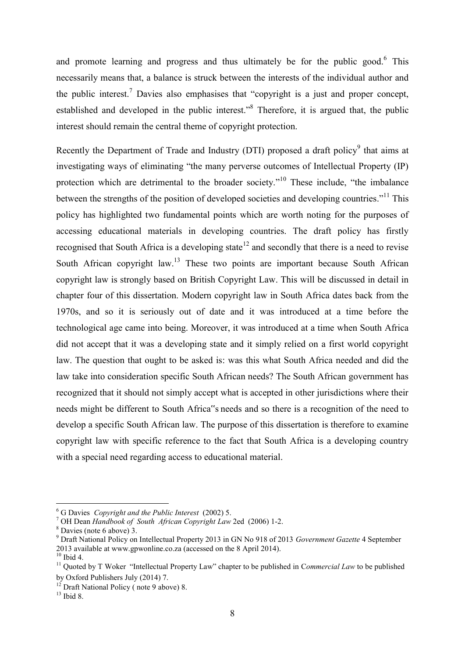and promote learning and progress and thus ultimately be for the public good.<sup>6</sup> This necessarily means that, a balance is struck between the interests of the individual author and the public interest.<sup>7</sup> Davies also emphasises that "copyright is a just and proper concept, established and developed in the public interest."<sup>8</sup> Therefore, it is argued that, the public interest should remain the central theme of copyright protection.

Recently the Department of Trade and Industry (DTI) proposed a draft policy<sup>9</sup> that aims at investigating ways of eliminating "the many perverse outcomes of Intellectual Property (IP) protection which are detrimental to the broader society."<sup>10</sup> These include, "the imbalance between the strengths of the position of developed societies and developing countries."<sup>11</sup> This policy has highlighted two fundamental points which are worth noting for the purposes of accessing educational materials in developing countries. The draft policy has firstly recognised that South Africa is a developing state<sup>12</sup> and secondly that there is a need to revise South African copyright law.<sup>13</sup> These two points are important because South African copyright law is strongly based on British Copyright Law. This will be discussed in detail in chapter four of this dissertation. Modern copyright law in South Africa dates back from the 1970s, and so it is seriously out of date and it was introduced at a time before the technological age came into being. Moreover, it was introduced at a time when South Africa did not accept that it was a developing state and it simply relied on a first world copyright law. The question that ought to be asked is: was this what South Africa needed and did the law take into consideration specific South African needs? The South African government has recognized that it should not simply accept what is accepted in other jurisdictions where their needs might be different to South Africa"s needs and so there is a recognition of the need to develop a specific South African law. The purpose of this dissertation is therefore to examine copyright law with specific reference to the fact that South Africa is a developing country with a special need regarding access to educational material.

<sup>6</sup> G Davies *Copyright and the Public Interest* (2002) 5.

<sup>7</sup> OH Dean *Handbook of South African Copyright Law* 2ed (2006) 1-2.

<sup>8</sup> Davies (note 6 above) 3.

<sup>9</sup> Draft National Policy on Intellectual Property 2013 in GN No 918 of 2013 *Government Gazette* 4 September 2013 available at [www.gpwonline.co.za](http://www.gpwonline.co.za/) (accessed on the 8 April 2014).

 $10$  Ibid 4.

<sup>&</sup>lt;sup>11</sup> Quoted by T Woker "Intellectual Property Law" chapter to be published in Commercial Law to be published by Oxford Publishers July (2014) 7.

 $12$  Draft National Policy (note 9 above) 8.

 $13$  Ibid 8.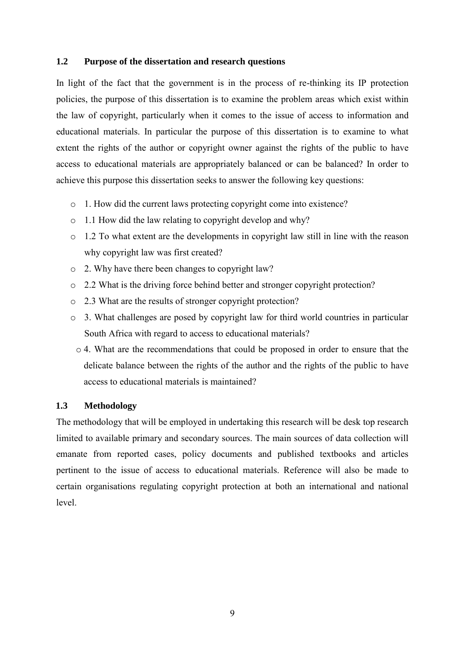## <span id="page-8-0"></span>**1.2 Purpose of the dissertation and research questions**

In light of the fact that the government is in the process of re-thinking its IP protection policies, the purpose of this dissertation is to examine the problem areas which exist within the law of copyright, particularly when it comes to the issue of access to information and educational materials. In particular the purpose of this dissertation is to examine to what extent the rights of the author or copyright owner against the rights of the public to have access to educational materials are appropriately balanced or can be balanced? In order to achieve this purpose this dissertation seeks to answer the following key questions:

- o 1. How did the current laws protecting copyright come into existence?
- o 1.1 How did the law relating to copyright develop and why?
- $\circ$  1.2 To what extent are the developments in copyright law still in line with the reason why copyright law was first created?
- o 2. Why have there been changes to copyright law?
- o 2.2 What is the driving force behind better and stronger copyright protection?
- o 2.3 What are the results of stronger copyright protection?
- o 3. What challenges are posed by copyright law for third world countries in particular South Africa with regard to access to educational materials?
- $\circ$  4. What are the recommendations that could be proposed in order to ensure that the delicate balance between the rights of the author and the rights of the public to have access to educational materials is maintained?

## <span id="page-8-1"></span>**1.3 Methodology**

The methodology that will be employed in undertaking this research will be desk top research limited to available primary and secondary sources. The main sources of data collection will emanate from reported cases, policy documents and published textbooks and articles pertinent to the issue of access to educational materials. Reference will also be made to certain organisations regulating copyright protection at both an international and national level.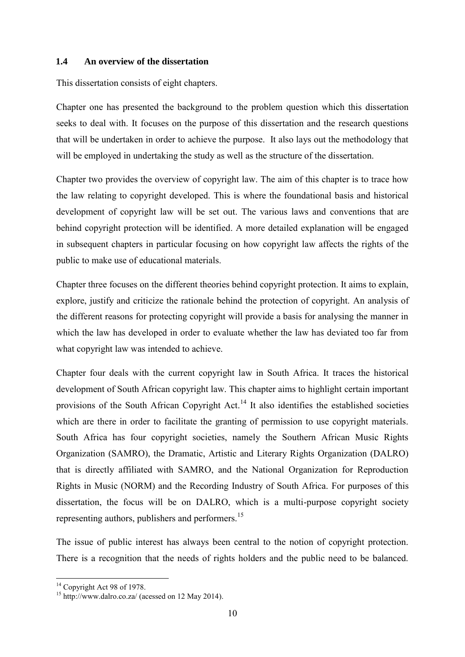### <span id="page-9-0"></span>**1.4 An overview of the dissertation**

This dissertation consists of eight chapters.

Chapter one has presented the background to the problem question which this dissertation seeks to deal with. It focuses on the purpose of this dissertation and the research questions that will be undertaken in order to achieve the purpose. It also lays out the methodology that will be employed in undertaking the study as well as the structure of the dissertation.

Chapter two provides the overview of copyright law. The aim of this chapter is to trace how the law relating to copyright developed. This is where the foundational basis and historical development of copyright law will be set out. The various laws and conventions that are behind copyright protection will be identified. A more detailed explanation will be engaged in subsequent chapters in particular focusing on how copyright law affects the rights of the public to make use of educational materials.

Chapter three focuses on the different theories behind copyright protection. It aims to explain, explore, justify and criticize the rationale behind the protection of copyright. An analysis of the different reasons for protecting copyright will provide a basis for analysing the manner in which the law has developed in order to evaluate whether the law has deviated too far from what copyright law was intended to achieve.

Chapter four deals with the current copyright law in South Africa. It traces the historical development of South African copyright law. This chapter aims to highlight certain important provisions of the South African Copyright Act.<sup>14</sup> It also identifies the established societies which are there in order to facilitate the granting of permission to use copyright materials. South Africa has four copyright societies, namely the Southern African Music Rights Organization (SAMRO), the Dramatic, Artistic and Literary Rights Organization (DALRO) that is directly affiliated with SAMRO, and the National Organization for Reproduction Rights in Music (NORM) and the Recording Industry of South Africa. For purposes of this dissertation, the focus will be on DALRO, which is a multi-purpose copyright society representing authors, publishers and performers.<sup>15</sup>

The issue of public interest has always been central to the notion of copyright protection. There is a recognition that the needs of rights holders and the public need to be balanced.

<sup>&</sup>lt;sup>14</sup> Copyright Act 98 of 1978.

 $15$  <http://www.dalro.co.za/> (acessed on 12 May 2014).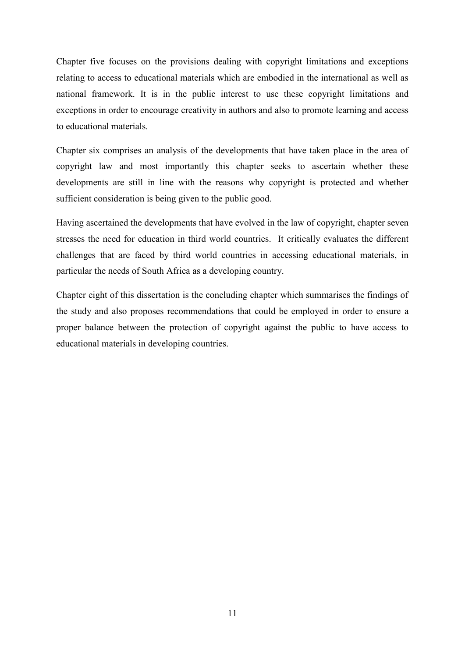Chapter five focuses on the provisions dealing with copyright limitations and exceptions relating to access to educational materials which are embodied in the international as well as national framework. It is in the public interest to use these copyright limitations and exceptions in order to encourage creativity in authors and also to promote learning and access to educational materials.

Chapter six comprises an analysis of the developments that have taken place in the area of copyright law and most importantly this chapter seeks to ascertain whether these developments are still in line with the reasons why copyright is protected and whether sufficient consideration is being given to the public good.

Having ascertained the developments that have evolved in the law of copyright, chapter seven stresses the need for education in third world countries. It critically evaluates the different challenges that are faced by third world countries in accessing educational materials, in particular the needs of South Africa as a developing country.

Chapter eight of this dissertation is the concluding chapter which summarises the findings of the study and also proposes recommendations that could be employed in order to ensure a proper balance between the protection of copyright against the public to have access to educational materials in developing countries.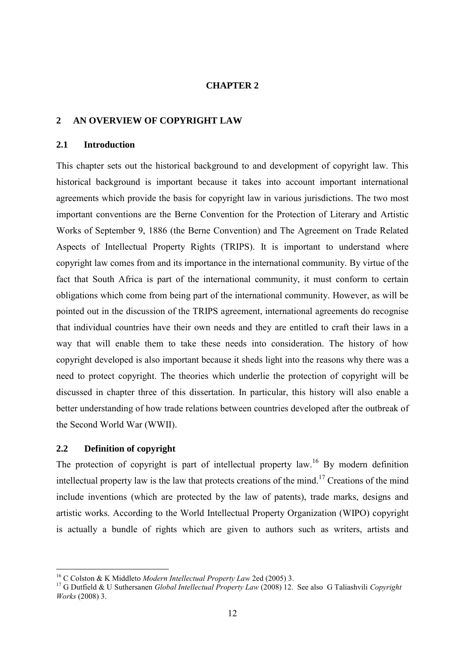#### **CHAPTER 2**

#### <span id="page-11-0"></span>**2 AN OVERVIEW OF COPYRIGHT LAW**

#### <span id="page-11-1"></span>**2.1 Introduction**

This chapter sets out the historical background to and development of copyright law. This historical background is important because it takes into account important international agreements which provide the basis for copyright law in various jurisdictions. The two most important conventions are the Berne Convention for the Protection of Literary and Artistic Works of September 9, 1886 (the Berne Convention) and The Agreement on Trade Related Aspects of Intellectual Property Rights (TRIPS). It is important to understand where copyright law comes from and its importance in the international community. By virtue of the fact that South Africa is part of the international community, it must conform to certain obligations which come from being part of the international community. However, as will be pointed out in the discussion of the TRIPS agreement, international agreements do recognise that individual countries have their own needs and they are entitled to craft their laws in a way that will enable them to take these needs into consideration. The history of how copyright developed is also important because it sheds light into the reasons why there was a need to protect copyright. The theories which underlie the protection of copyright will be discussed in chapter three of this dissertation. In particular, this history will also enable a better understanding of how trade relations between countries developed after the outbreak of the Second World War (WWII).

### <span id="page-11-2"></span>**2.2 Definition of copyright**

-

The protection of copyright is part of intellectual property law.<sup>16</sup> By modern definition intellectual property law is the law that protects creations of the mind.<sup>17</sup> Creations of the mind include inventions (which are protected by the law of patents), trade marks, designs and artistic works. According to the World Intellectual Property Organization (WIPO) copyright is actually a bundle of rights which are given to authors such as writers, artists and

<sup>16</sup> C Colston & K Middleto *Modern Intellectual Property Law* 2ed (2005) 3.

<sup>17</sup> G Dutfield & U Suthersanen *Global Intellectual Property Law* (2008) 12. See also G Taliashvili *Copyright Works* (2008) 3.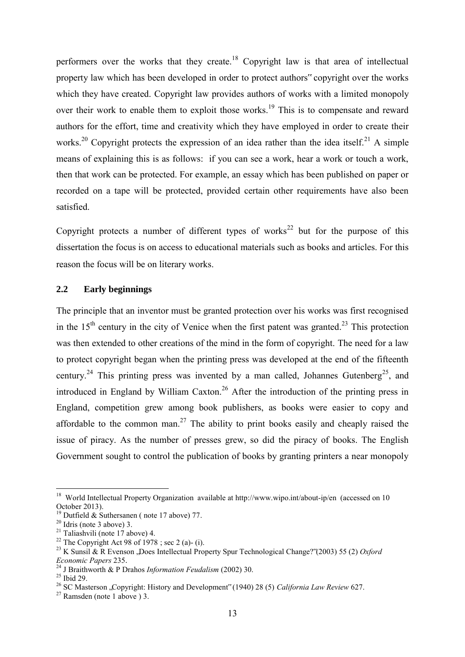performers over the works that they create.<sup>18</sup> Copyright law is that area of intellectual property law which has been developed in order to protect authors" copyright over the works which they have created. Copyright law provides authors of works with a limited monopoly over their work to enable them to exploit those works.<sup>19</sup> This is to compensate and reward authors for the effort, time and creativity which they have employed in order to create their works.<sup>20</sup> Copyright protects the expression of an idea rather than the idea itself.<sup>21</sup> A simple means of explaining this is as follows: if you can see a work, hear a work or touch a work, then that work can be protected. For example, an essay which has been published on paper or recorded on a tape will be protected, provided certain other requirements have also been satisfied.

Copyright protects a number of different types of works<sup>22</sup> but for the purpose of this dissertation the focus is on access to educational materials such as books and articles. For this reason the focus will be on literary works.

## <span id="page-12-0"></span>**2.2 Early beginnings**

The principle that an inventor must be granted protection over his works was first recognised in the  $15<sup>th</sup>$  century in the city of Venice when the first patent was granted.<sup>23</sup> This protection was then extended to other creations of the mind in the form of copyright. The need for a law to protect copyright began when the printing press was developed at the end of the fifteenth century.<sup>24</sup> This printing press was invented by a man called, Johannes Gutenberg<sup>25</sup>, and introduced in England by William Caxton.<sup>26</sup> After the introduction of the printing press in England, competition grew among book publishers, as books were easier to copy and affordable to the common man.<sup>27</sup> The ability to print books easily and cheaply raised the issue of piracy. As the number of presses grew, so did the piracy of books. The English Government sought to control the publication of books by granting printers a near monopoly

<sup>&</sup>lt;sup>18</sup> World Intellectual Property Organization available at<http://www.wipo.int/about-ip/en>(accessed on 10 October 2013).

<sup>&</sup>lt;sup>19</sup> Dutfield & Suthersanen (note 17 above) 77.

 $20$  Idris (note 3 above) 3.

<sup>&</sup>lt;sup>21</sup> Taliashvili (note  $17$  above) 4.

<sup>&</sup>lt;sup>22</sup> The Copyright Act 98 of 1978 ; sec 2 (a)- (i).

<sup>&</sup>lt;sup>23</sup> K Sunsil & R Evenson , Does Intellectual Property Spur Technological Change?"(2003) 55 (2) *Oxford Economic Papers* 235.

<sup>24</sup> J Braithworth & P Drahos *Information Feudalism* (2002) 30.

 $25$  Ibid 29.

<sup>26</sup> SC Masterson "Copyright: History and Development" (1940) 28 (5) *California Law Review* 627.

 $27$  Ramsden (note 1 above) 3.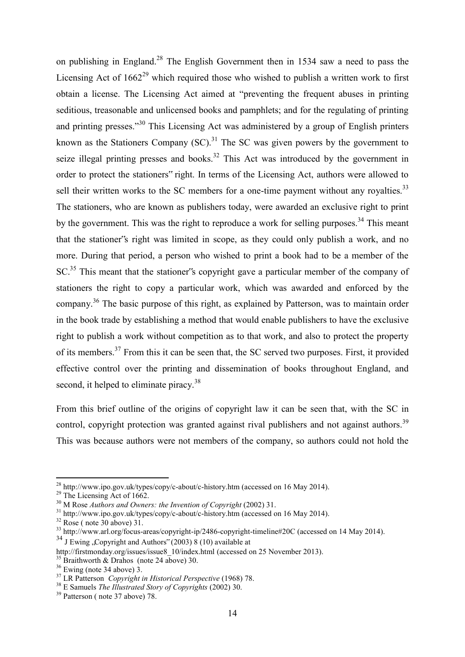on publishing in England.<sup>28</sup> The English Government then in 1534 saw a need to pass the Licensing Act of  $1662^{29}$  which required those who wished to publish a written work to first obtain a license. The Licensing Act aimed at "preventing the frequent abuses in printing seditious, treasonable and unlicensed books and pamphlets; and for the regulating of printing and printing presses."<sup>30</sup> This Licensing Act was administered by a group of English printers known as the Stationers Company  $(SC)$ .<sup>31</sup> The SC was given powers by the government to seize illegal printing presses and books.<sup>32</sup> This Act was introduced by the government in order to protect the stationers" right. In terms of the Licensing Act, authors were allowed to sell their written works to the SC members for a one-time payment without any royalties.<sup>33</sup> The stationers, who are known as publishers today, were awarded an exclusive right to print by the government. This was the right to reproduce a work for selling purposes.<sup>34</sup> This meant that the stationer"s right was limited in scope, as they could only publish a work, and no more. During that period, a person who wished to print a book had to be a member of the SC.<sup>35</sup> This meant that the stationer's copyright gave a particular member of the company of stationers the right to copy a particular work, which was awarded and enforced by the company.<sup>36</sup> The basic purpose of this right, as explained by Patterson, was to maintain order in the book trade by establishing a method that would enable publishers to have the exclusive right to publish a work without competition as to that work, and also to protect the property of its members.<sup>37</sup> From this it can be seen that, the SC served two purposes. First, it provided effective control over the printing and dissemination of books throughout England, and second, it helped to eliminate piracy.<sup>38</sup>

From this brief outline of the origins of copyright law it can be seen that, with the SC in control, copyright protection was granted against rival publishers and not against authors.<sup>39</sup> This was because authors were not members of the company, so authors could not hold the

<sup>&</sup>lt;sup>28</sup> <http://www.ipo.gov.uk/types/copy/c-about/c-history.htm>(accessed on 16 May 2014).

 $^{29}$  The Licensing Act of 1662.

<sup>30</sup> M Rose *Authors and Owners: the Invention of Copyright* (2002) 31.

<sup>31</sup> <http://www.ipo.gov.uk/types/copy/c-about/c-history.htm> (accessed on 16 May 2014).

 $32$  Rose (note  $30$  above)  $31$ .

<sup>&</sup>lt;sup>33</sup> <http://www.arl.org/focus-areas/copyright-ip/2486-copyright-timeline#20C> (accessed on 14 May 2014).

 $34$  J Ewing "Copyright and Authors" (2003) 8 (10) available at

[http://firstmonday.org/issues/issue8\\_10/index.html \(](http://firstmonday.org/issues/issue8_10/index.html)accessed on 25 November 2013).

<sup>&</sup>lt;sup>35</sup> Braithworth & Drahos (note 24 above) 30.

 $36$  Ewing (note 34 above) 3.

<sup>37</sup> LR Patterson *Copyright in Historical Perspective* (1968) 78.

<sup>38</sup> E Samuels *The Illustrated Story of Copyrights* (2002) 30.

<sup>&</sup>lt;sup>39</sup> Patterson (note 37 above) 78.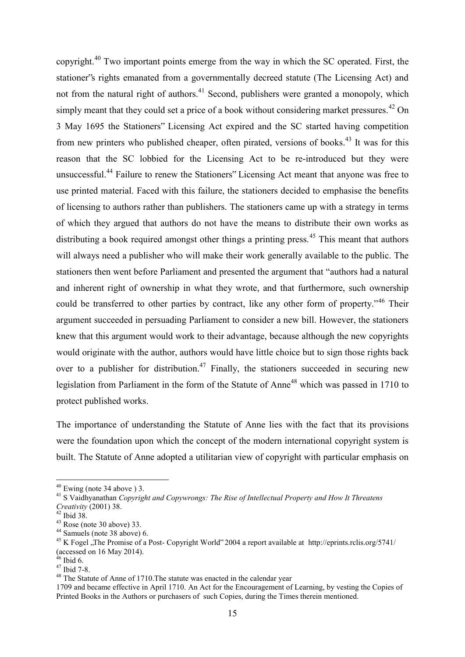copyright.<sup>40</sup> Two important points emerge from the way in which the SC operated. First, the stationer"s rights emanated from a governmentally decreed statute (The Licensing Act) and not from the natural right of authors.<sup>41</sup> Second, publishers were granted a monopoly, which simply meant that they could set a price of a book without considering market pressures.<sup>42</sup> On 3 May 1695 the Stationers" Licensing Act expired and the SC started having competition from new printers who published cheaper, often pirated, versions of books.<sup>43</sup> It was for this reason that the SC lobbied for the Licensing Act to be re-introduced but they were unsuccessful.<sup>44</sup> Failure to renew the Stationers" Licensing Act meant that anyone was free to use printed material. Faced with this failure, the stationers decided to emphasise the benefits of licensing to authors rather than publishers. The stationers came up with a strategy in terms of which they argued that authors do not have the means to distribute their own works as distributing a book required amongst other things a printing press.<sup>45</sup> This meant that authors will always need a publisher who will make their work generally available to the public. The stationers then went before Parliament and presented the argument that "authors had a natural and inherent right of ownership in what they wrote, and that furthermore, such ownership could be transferred to other parties by contract, like any other form of property."<sup>46</sup> Their argument succeeded in persuading Parliament to consider a new bill. However, the stationers knew that this argument would work to their advantage, because although the new copyrights would originate with the author, authors would have little choice but to sign those rights back over to a publisher for distribution.<sup>47</sup> Finally, the stationers succeeded in securing new legislation from Parliament in the form of the Statute of Anne<sup>48</sup> which was passed in 1710 to protect published works.

The importance of understanding the Statute of Anne lies with the fact that its provisions were the foundation upon which the concept of the modern international copyright system is built. The Statute of Anne adopted a utilitarian view of copyright with particular emphasis on

 $40$  Ewing (note 34 above) 3.

<sup>41</sup> S Vaidhyanathan *Copyright and Copywrongs: The Rise of Intellectual Property and How It Threatens Creativity* (2001) 38.

<sup>42</sup> Ibid 38.

 $43$  Rose (note 30 above) 33.

<sup>44</sup> Samuels (note 38 above) 6.

<sup>&</sup>lt;sup>45</sup> K Fogel , The Promise of a Post- Copyright World" 2004 a report available at <http://eprints.rclis.org/5741/> (accessed on 16 May 2014).

 $46$  Ibid 6.

 $47$  Ibid 7-8.

<sup>&</sup>lt;sup>48</sup> The Statute of Anne of 1710. The statute was enacted in the calendar year

<sup>1709</sup> and became effective in April 1710. An Act for the Encouragement of Learning, by vesting the Copies of Printed Books in the Authors or purchasers of such Copies, during the Times therein mentioned.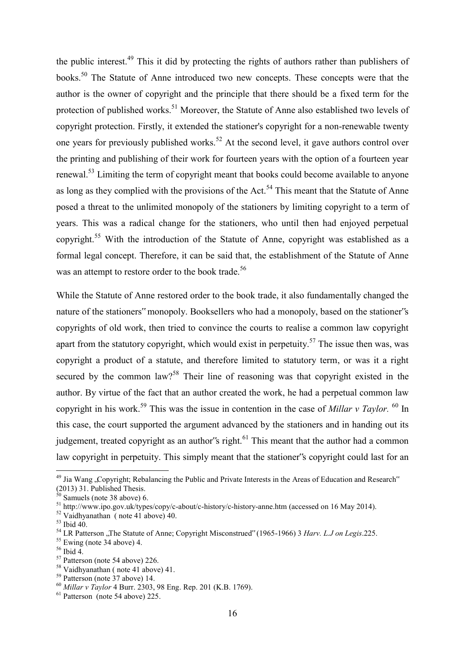the public interest.<sup>49</sup> This it did by protecting the rights of authors rather than publishers of books.<sup>50</sup> The Statute of Anne introduced two new concepts. These concepts were that the author is the owner of copyright and the principle that there should be a fixed term for the protection of published works.<sup>51</sup> Moreover, the Statute of Anne also established two levels of copyright protection. Firstly, it extended the stationer's copyright for a non-renewable twenty one years for previously published works.<sup>52</sup> At the second level, it gave authors control over the printing and publishing of their work for fourteen years with the option of a fourteen year renewal.<sup>53</sup> Limiting the term of copyright meant that books could become available to anyone as long as they complied with the provisions of the Act.<sup>54</sup> This meant that the Statute of Anne posed a threat to the unlimited monopoly of the stationers by limiting copyright to a term of years. This was a radical change for the stationers, who until then had enjoyed perpetual copyright.<sup>55</sup> With the introduction of the Statute of Anne, copyright was established as a formal legal concept. Therefore, it can be said that, the establishment of the Statute of Anne was an attempt to restore order to the book trade.<sup>56</sup>

While the Statute of Anne restored order to the book trade, it also fundamentally changed the nature of the stationers" monopoly. Booksellers who had a monopoly, based on the stationer"s copyrights of old work, then tried to convince the courts to realise a common law copyright apart from the statutory copyright, which would exist in perpetuity.<sup>57</sup> The issue then was, was copyright a product of a statute, and therefore limited to statutory term, or was it a right secured by the common law?<sup>58</sup> Their line of reasoning was that copyright existed in the author. By virtue of the fact that an author created the work, he had a perpetual common law copyright in his work.<sup>59</sup> This was the issue in contention in the case of *Millar v Taylor.* <sup>60</sup> In this case, the court supported the argument advanced by the stationers and in handing out its judgement, treated copyright as an author's right. $61$  This meant that the author had a common law copyright in perpetuity. This simply meant that the stationer"s copyright could last for an

<sup>&</sup>lt;sup>49</sup> Jia Wang "Copyright; Rebalancing the Public and Private Interests in the Areas of Education and Research" (2013) 31. Published Thesis.

 $50$  Samuels (note 38 above) 6.

<sup>51</sup> <http://www.ipo.gov.uk/types/copy/c-about/c-history/c-history-anne.htm>(accessed on 16 May 2014).

 $52$  Vaidhyanathan (note 41 above) 40.

<sup>53</sup> Ibid 40.

<sup>&</sup>lt;sup>54</sup> LR Patterson "The Statute of Anne; Copyright Misconstrued" (1965-1966) 3 *Harv. L.J on Legis*.225.

<sup>55</sup> Ewing (note 34 above) 4.

 $56$  Ibid 4.

<sup>57</sup> Patterson (note 54 above) 226.

<sup>58</sup> Vaidhyanathan ( note 41 above) 41.

<sup>59</sup> Patterson (note 37 above) 14.

<sup>60</sup> *Millar v Taylor* 4 Burr. 2303, 98 Eng. Rep. 201 (K.B. 1769).

<sup>&</sup>lt;sup>61</sup> Patterson (note 54 above) 225.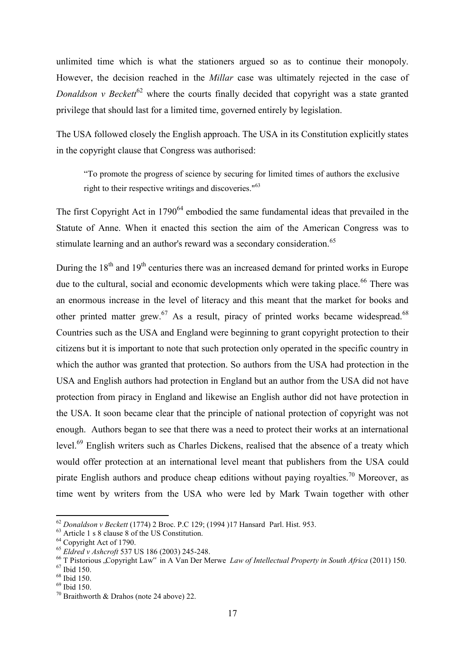unlimited time which is what the stationers argued so as to continue their monopoly. However, the decision reached in the *Millar* case was ultimately rejected in the case of *Donaldson v Beckett*<sup>62</sup> where the courts finally decided that copyright was a state granted privilege that should last for a limited time, governed entirely by legislation.

The USA followed closely the English approach. The USA in its Constitution explicitly states in the copyright clause that Congress was authorised:

"To promote the progress of science by securing for limited times of authors the exclusive right to their respective writings and discoveries."<sup>63</sup>

The first Copyright Act in  $1790<sup>64</sup>$  embodied the same fundamental ideas that prevailed in the Statute of Anne. When it enacted this section the aim of the American Congress was to stimulate learning and an author's reward was a secondary consideration.<sup>65</sup>

During the  $18<sup>th</sup>$  and  $19<sup>th</sup>$  centuries there was an increased demand for printed works in Europe due to the cultural, social and economic developments which were taking place.<sup>66</sup> There was an enormous increase in the level of literacy and this meant that the market for books and other printed matter grew.<sup>67</sup> As a result, piracy of printed works became widespread.<sup>68</sup> Countries such as the USA and England were beginning to grant copyright protection to their citizens but it is important to note that such protection only operated in the specific country in which the author was granted that protection. So authors from the USA had protection in the USA and English authors had protection in England but an author from the USA did not have protection from piracy in England and likewise an English author did not have protection in the USA. It soon became clear that the principle of national protection of copyright was not enough. Authors began to see that there was a need to protect their works at an international level.<sup>69</sup> English writers such as Charles Dickens, realised that the absence of a treaty which would offer protection at an international level meant that publishers from the USA could pirate English authors and produce cheap editions without paying royalties.<sup>70</sup> Moreover, as time went by writers from the USA who were led by Mark Twain together with other

<sup>62</sup> *Donaldson v Beckett* (1774) 2 Broc. P.C 129; (1994 )17 HansardParl. Hist. 953.

<sup>63</sup> Article 1 s 8 clause 8 of the US Constitution.

<sup>&</sup>lt;sup>64</sup> Copyright Act of 1790.

<sup>65</sup> *Eldred v Ashcroft* 537 US 186 (2003) 245-248.

<sup>&</sup>lt;sup>66</sup> T Pistorious .Copyright Law<sup>\*</sup> in A Van Der Merwe *Law of Intellectual Property in South Africa* (2011) 150.

<sup>67</sup> Ibid 150.

<sup>68</sup> Ibid 150.

<sup>69</sup> Ibid 150.

<sup>&</sup>lt;sup>70</sup> Braithworth & Drahos (note 24 above) 22.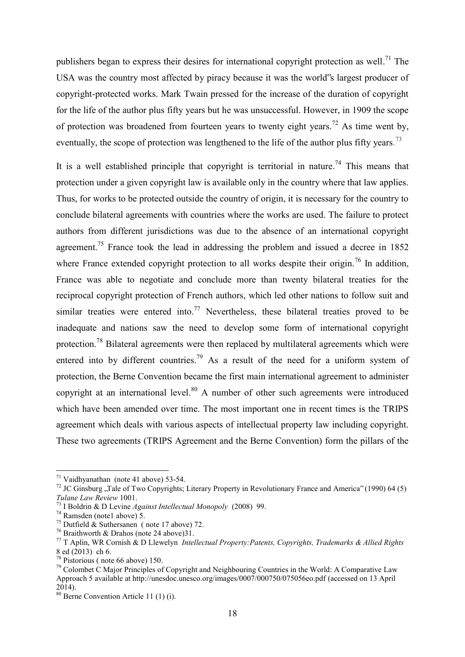publishers began to express their desires for international copyright protection as well.<sup>71</sup> The USA was the country most affected by piracy because it was the world"s largest producer of copyright-protected works. Mark Twain pressed for the increase of the duration of copyright for the life of the author plus fifty years but he was unsuccessful. However, in 1909 the scope of protection was broadened from fourteen years to twenty eight years.<sup>72</sup> As time went by, eventually, the scope of protection was lengthened to the life of the author plus fifty years.<sup>73</sup>

It is a well established principle that copyright is territorial in nature.<sup>74</sup> This means that protection under a given copyright law is available only in the country where that law applies. Thus, for works to be protected outside the country of origin, it is necessary for the country to conclude bilateral agreements with countries where the works are used. The failure to protect authors from different jurisdictions was due to the absence of an international copyright agreement.<sup>75</sup> France took the lead in addressing the problem and issued a decree in  $1852$ where France extended copyright protection to all works despite their origin.<sup>76</sup> In addition, France was able to negotiate and conclude more than twenty bilateral treaties for the reciprocal copyright protection of French authors, which led other nations to follow suit and similar treaties were entered into.<sup>77</sup> Nevertheless, these bilateral treaties proved to be inadequate and nations saw the need to develop some form of international copyright protection.<sup>78</sup> Bilateral agreements were then replaced by multilateral agreements which were entered into by different countries.<sup>79</sup> As a result of the need for a uniform system of protection, the Berne Convention became the first main international agreement to administer copyright at an international level. $80$  A number of other such agreements were introduced which have been amended over time. The most important one in recent times is the TRIPS agreement which deals with various aspects of intellectual property law including copyright. These two agreements (TRIPS Agreement and the Berne Convention) form the pillars of the

 $71$  Vaidhyanathan (note 41 above) 53-54.

<sup>&</sup>lt;sup>72</sup> JC Ginsburg "Tale of Two Copyrights; Literary Property in Revolutionary France and America" (1990) 64 (5) *Tulane Law Review* 1001.

<sup>73</sup> I Boldrin & D Levine *Against Intellectual Monopoly* (2008) 99.

 $74$  Ramsden (note1 above) 5.

<sup>&</sup>lt;sup>75</sup> Dutfield  $\&$  Suthersanen (note 17 above) 72.

<sup>&</sup>lt;sup>76</sup> Braithworth & Drahos (note 24 above)31.

<sup>77</sup> T Aplin, WR Cornish & D Llewelyn *Intellectual Property:Patents, Copyrights, Trademarks & Allied Rights*  8 ed (2013) ch 6.

<sup>78</sup> Pistorious ( note 66 above) 150.

 $79$  Colombet C Major Principles of Copyright and Neighbouring Countries in the World: A Comparative Law Approach 5 available a[t http://unesdoc.unesco.org/images/0007/000750/075056eo.pdf](http://unesdoc.unesco.org/images/0007/000750/075056eo.pdf) (accessed on 13 April 2014).

<sup>80</sup> Berne Convention Article 11 (1) (i).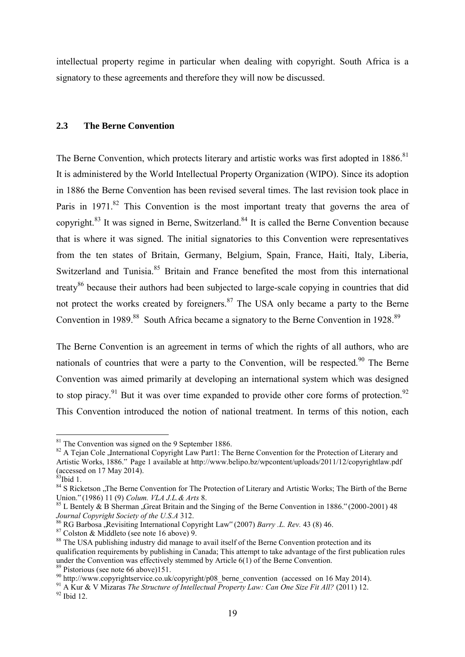intellectual property regime in particular when dealing with copyright. South Africa is a signatory to these agreements and therefore they will now be discussed.

## <span id="page-18-0"></span>**2.3 The Berne Convention**

The Berne Convention, which protects literary and artistic works was first adopted in 1886.<sup>81</sup> It is administered by the World Intellectual Property Organization (WIPO). Since its adoption in 1886 the Berne Convention has been revised several times. The last revision took place in Paris in 1971.<sup>82</sup> This Convention is the most important treaty that governs the area of copyright.<sup>83</sup> It was signed in [Berne,](http://en.wikipedia.org/wiki/Berne) [Switzerland.](http://en.wikipedia.org/wiki/Switzerland)<sup>84</sup> It is called the Berne Convention because that is where it was signed. The initial signatories to this Convention were representatives from the ten states of Britain, Germany, Belgium, Spain, France, Haiti, Italy, Liberia, Switzerland and Tunisia.<sup>85</sup> Britain and France benefited the most from this international treaty<sup>86</sup> because their authors had been subjected to large-scale copying in countries that did not protect the works created by foreigners. $87$  The USA only became a party to the Berne Convention in 1989.<sup>88</sup> South Africa became a signatory to the Berne Convention in 1928.<sup>89</sup>

The Berne Convention is an agreement in terms of which the rights of all authors, who are nationals of countries that were a party to the Convention, will be respected.<sup>90</sup> The Berne Convention was aimed primarily at developing an international system which was designed to stop piracy.<sup>91</sup> But it was over time expanded to provide other core forms of protection.<sup>92</sup> This Convention introduced the notion of national treatment. In terms of this notion, each

 $81$  The Convention was signed on the 9 September 1886.

<sup>&</sup>lt;sup>82</sup> A Tejan Cole , International Copyright Law Part1: The Berne Convention for the Protection of Literary and Artistic Works, 1886." Page 1 available at<http://www.belipo.bz/wpcontent/uploads/2011/12/copyrightlaw.pdf> (accessed on 17 May 2014).

<sup>&</sup>lt;sup>83</sup>Ibid 1.

<sup>&</sup>lt;sup>84</sup> S Ricketson "The Berne Convention for The Protection of Literary and Artistic Works; The Birth of the Berne Union." (1986) 11 (9) *Colum. VLA J.L.& Arts* 8.

 $85$  L Bentely & B Sherman , Great Britain and the Singing of the Berne Convention in 1886." (2000-2001) 48 *Journal Copyright Society of the U.S.A* 312.

<sup>&</sup>lt;sup>86</sup> RG Barbosa "Revisiting International Copyright Law" (2007) *Barry .L. Rev.* 43 (8) 46.

<sup>87</sup> Colston & Middleto (see note 16 above) 9.

<sup>&</sup>lt;sup>88</sup> The USA publishing industry did manage to avail itself of the Berne Convention protection and its qualification requirements by publishing in Canada; This attempt to take advantage of the first publication rules under the Convention was effectively stemmed by Article 6(1) of the Berne Convention. <sup>89</sup> Pistorious (see note 66 above)151.

 $^{90}$  http://www.copyrightservice.co.uk/copyright/p08 berne convention (accessed on 16 May 2014).

<sup>&</sup>lt;sup>91</sup> A Kur & V Mizaras *The Structure of Intellectual Property Law: Can One Size Fit All?* (2011) 12.  $92$  Ibid 12.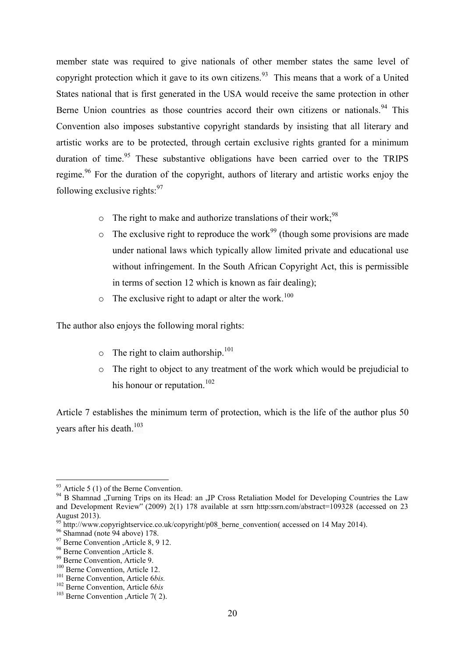member state was required to give nationals of other member states the same level of copyright protection which it gave to its own citizens.<sup>93</sup> This means that a work of a United States national that is first generated in the USA would receive the same protection in other Berne Union countries as those countries accord their own citizens or nationals.<sup>94</sup> This Convention also imposes substantive copyright standards by insisting that all literary and artistic works are to be protected, through certain exclusive rights granted for a minimum duration of time.<sup>95</sup> These substantive obligations have been carried over to the TRIPS regime.<sup>96</sup> For the duration of the copyright, authors of literary and artistic works enjoy the following exclusive rights: $97$ 

- $\circ$  The right to make and authorize translations of their work;<sup>98</sup>
- $\circ$  The exclusive right to reproduce the work<sup>99</sup> (though some provisions are made under national laws which typically allow limited private and educational use without infringement. In the South African Copyright Act, this is permissible in terms of section 12 which is known as fair dealing);
- $\circ$  The exclusive right to adapt or alter the work.<sup>100</sup>

The author also enjoys the following moral rights:

- $\circ$  The right to claim authorship.<sup>101</sup>
- o The right to object to any treatment of the work which would be prejudicial to his honour or reputation.<sup>102</sup>

Article 7 establishes the minimum term of protection, which is the life of the author plus 50 years after his death. $103$ 

 $93$  Article 5 (1) of the Berne Convention.

<sup>&</sup>lt;sup>94</sup> B Shamnad "Turning Trips on its Head: an "IP Cross Retaliation Model for Developing Countries the Law and Development Review" (2009) 2(1) 178 available at ssrn http:ssrn.com/abstract=109328 (accessed on 23 August 2013).

<sup>95</sup> [http://www.copyrightservice.co.uk/copyright/p08\\_berne\\_convention\(](http://www.copyrightservice.co.uk/copyright/p08_berne_convention) accessed on 14 May 2014).

<sup>&</sup>lt;sup>96</sup> Shamnad (note 94 above) 178.

<sup>&</sup>lt;sup>97</sup> Berne Convention , Article 8, 9 12.

<sup>98</sup> Berne Convention ,Article 8.

<sup>99</sup> Berne Convention, Article 9.

<sup>&</sup>lt;sup>100</sup> Berne Convention, Article 12.

<sup>101</sup> Berne Convention, Article 6*bis.*

<sup>102</sup> Berne Convention, Article 6*bis*

 $103$  Berne Convention , Article 7(2).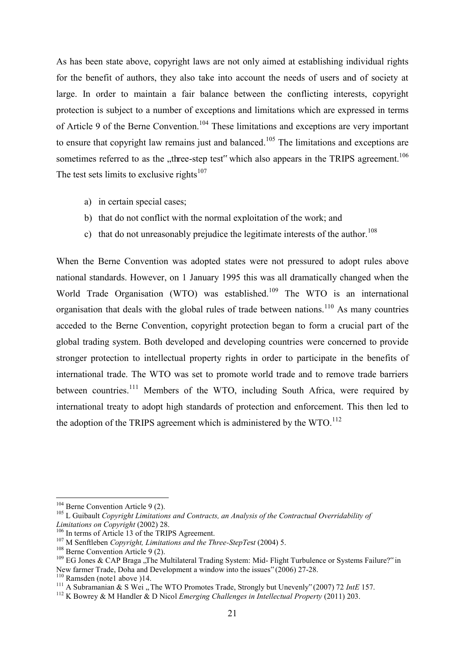As has been state above, copyright laws are not only aimed at establishing individual rights for the benefit of authors, they also take into account the needs of users and of society at large. In order to maintain a fair balance between the conflicting interests, copyright protection is subject to a number of exceptions and limitations which are expressed in terms of Article 9 of the Berne Convention.<sup>104</sup> These limitations and exceptions are very important to ensure that copyright law remains just and balanced.<sup>105</sup> The limitations and exceptions are sometimes referred to as the "three-step test" which also appears in the TRIPS agreement.<sup>106</sup> The test sets limits to exclusive rights $107$ 

- a) in certain special cases;
- b) that do not conflict with the normal exploitation of the work; and
- c) that do not unreasonably prejudice the legitimate interests of the author.<sup>108</sup>

When the Berne Convention was adopted states were not pressured to adopt rules above national standards. However, on 1 January 1995 this was all dramatically changed when the World Trade Organisation (WTO) was established.<sup>109</sup> The WTO is an international organisation that deals with the global rules of trade between nations.<sup>110</sup> As many countries acceded to the Berne Convention, copyright protection began to form a crucial part of the global trading system. Both developed and developing countries were concerned to provide stronger protection to intellectual property rights in order to participate in the benefits of international trade. The WTO was set to promote world trade and to remove trade barriers between countries.<sup>111</sup> Members of the WTO, including South Africa, were required by international treaty to adopt high standards of protection and enforcement. This then led to the adoption of the TRIPS agreement which is administered by the  $WTO$ .<sup>112</sup>

 $104$  Berne Convention Article 9 (2).

<sup>&</sup>lt;sup>105</sup> L Guibault *Copyright Limitations and Contracts, an Analysis of the Contractual Overridability of Limitations on Copyright* (2002) 28.

<sup>&</sup>lt;sup>106</sup> In terms of Article 13 of the TRIPS Agreement.

<sup>107</sup> M Senftleben *Copyright, Limitations and the Three-StepTe*s*t* (2004) 5.

<sup>&</sup>lt;sup>108</sup> Berne Convention Article 9 (2).

 $109$  EG Jones & CAP Braga ..The Multilateral Trading System: Mid- Flight Turbulence or Systems Failure?" in New farmer Trade, Doha and Development a window into the issues" (2006) 27-28.

 $110$  Ramsden (note 1 above )14.

<sup>&</sup>lt;sup>111</sup> A Subramanian & S Wei "The WTO Promotes Trade, Strongly but Unevenly" (2007) 72 *IntE* 157.

<sup>112</sup> K Bowrey & M Handler & D Nicol *Emerging Challenges in Intellectual Property* (2011) 203.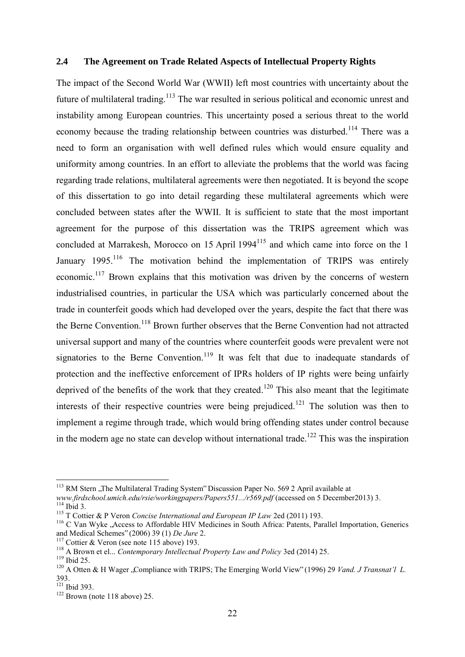#### <span id="page-21-0"></span>**2.4 The Agreement on Trade Related Aspects of Intellectual Property Rights**

The impact of the Second World War (WWII) left most countries with uncertainty about the future of multilateral trading.<sup>113</sup> The war resulted in serious political and economic unrest and instability among European countries. This uncertainty posed a serious threat to the world economy because the trading relationship between countries was disturbed.<sup>114</sup> There was a need to form an organisation with well defined rules which would ensure equality and uniformity among countries. In an effort to alleviate the problems that the world was facing regarding trade relations, multilateral agreements were then negotiated. It is beyond the scope of this dissertation to go into detail regarding these multilateral agreements which were concluded between states after the WWII. It is sufficient to state that the most important agreement for the purpose of this dissertation was the TRIPS agreement which was concluded at Marrakesh, Morocco on 15 April 1994<sup>115</sup> and which came into force on the 1 January 1995.<sup>116</sup> The motivation behind the implementation of TRIPS was entirely economic.<sup>117</sup> Brown explains that this motivation was driven by the concerns of western industrialised countries, in particular the USA which was particularly concerned about the trade in counterfeit goods which had developed over the years, despite the fact that there was the Berne Convention.<sup>118</sup> Brown further observes that the Berne Convention had not attracted universal support and many of the countries where counterfeit goods were prevalent were not signatories to the Berne Convention.<sup>119</sup> It was felt that due to inadequate standards of protection and the ineffective enforcement of IPRs holders of IP rights were being unfairly deprived of the benefits of the work that they created.<sup>120</sup> This also meant that the legitimate interests of their respective countries were being prejudiced.<sup>121</sup> The solution was then to implement a regime through trade, which would bring offending states under control because in the modern age no state can develop without international trade.<sup>122</sup> This was the inspiration

<sup>&</sup>lt;sup>113</sup> RM Stern ,,The Multilateral Trading System" Discussion Paper No. 569 2 April available at

*[www.firdschool.umich.edu/rsie/workingpapers/Papers551.../r569.pdf](http://www.firdschool.umich.edu/rsie/workingpapers/Papers551.../r569.pdf)* (accessed on 5 December2013) 3.  $114$  Ibid 3.

<sup>115</sup> T Cottier & P Veron *Concise International and European IP Law* 2ed (2011) 193.

<sup>&</sup>lt;sup>116</sup> C Van Wyke , Access to Affordable HIV Medicines in South Africa: Patents, Parallel Importation, Generics and Medical Schemes" (2006) 39 (1) *De Jure* 2.

<sup>&</sup>lt;sup>117</sup> Cottier & Veron (see note 115 above) 193.

<sup>&</sup>lt;sup>118</sup> A Brown et el... *Contemporary Intellectual Property Law and Policy* 3ed (2014) 25.

<sup>&</sup>lt;sup>119</sup> Ibid 25.

<sup>&</sup>lt;sup>120</sup> A Otten & H Wager , Compliance with TRIPS; The Emerging World View" (1996) 29 *Vand. J Transnat'l L.* 393.

<sup>&</sup>lt;sup>121</sup> Ibid 393.

 $122$  Brown (note 118 above) 25.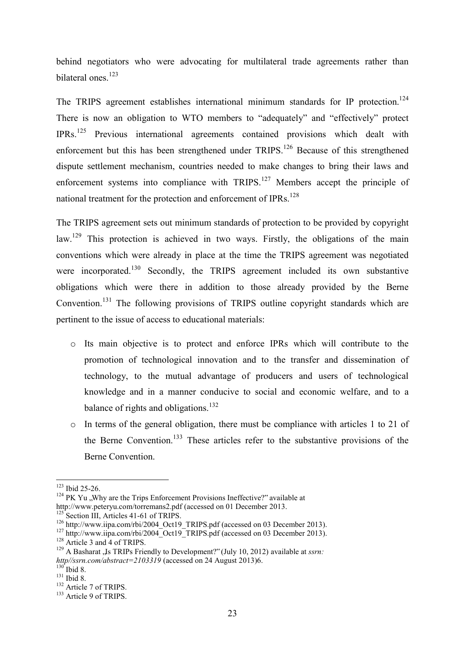behind negotiators who were advocating for multilateral trade agreements rather than bilateral ones.<sup>123</sup>

The TRIPS agreement establishes international minimum standards for IP protection.<sup>124</sup> There is now an obligation to WTO members to "adequately" and "effectively" protect IPRs.<sup>125</sup> Previous international agreements contained provisions which dealt with enforcement but this has been strengthened under TRIPS.<sup>126</sup> Because of this strengthened dispute settlement mechanism, countries needed to make changes to bring their laws and enforcement systems into compliance with TRIPS.<sup>127</sup> Members accept the principle of national treatment for the protection and enforcement of IPRs.<sup>128</sup>

The TRIPS agreement sets out minimum standards of protection to be provided by copyright law.<sup>129</sup> This protection is achieved in two ways. Firstly, the obligations of the main conventions which were already in place at the time the TRIPS agreement was negotiated were incorporated.<sup>130</sup> Secondly, the TRIPS agreement included its own substantive obligations which were there in addition to those already provided by the Berne Convention.<sup>131</sup> The following provisions of TRIPS outline copyright standards which are pertinent to the issue of access to educational materials:

- o Its main objective is to protect and enforce IPRs which will contribute to the promotion of technological innovation and to the transfer and dissemination of technology, to the mutual advantage of producers and users of technological knowledge and in a manner conducive to social and economic welfare, and to a balance of rights and obligations.<sup>132</sup>
- o In terms of the general obligation, there must be compliance with articles 1 to 21 of the Berne Convention.<sup>133</sup> These articles refer to the substantive provisions of the Berne Convention.

<sup>&</sup>lt;sup>123</sup> Ibid 25-26.

 $124$  PK Yu ., Why are the Trips Enforcement Provisions Ineffective?" available at

[http://www.peteryu.com/torremans2.pdf \(](http://www.peteryu.com/torremans2.pdf)accessed on 01 December 2013.

 $125$  Section III, Articles 41-61 of TRIPS.

<sup>&</sup>lt;sup>126</sup> [http://www.iipa.com/rbi/2004\\_Oct19\\_TRIPS.pdf](http://www.iipa.com/rbi/2004_Oct19_TRIPS.pdf) (accessed on 03 December 2013).

 $127$  http://www.iipa.com/rbi/2004<sup> $\overline{Oct19}$ </sup> TRIPS.pdf (accessed on 03 December 2013).

<sup>&</sup>lt;sup>128</sup> Article 3 and 4 of TRIPS.

<sup>&</sup>lt;sup>129</sup> A Basharat , Is TRIPs Friendly to Development?" (July 10, 2012) available at *ssrn*: *http//ssrn.com/abstract=2103319* (accessed on 24 August 2013)6.

 $130<sup>2</sup>$  Ibid 8.

<sup>131</sup> Ibid 8.

<sup>&</sup>lt;sup>132</sup> Article 7 of TRIPS.

<sup>&</sup>lt;sup>133</sup> Article 9 of TRIPS.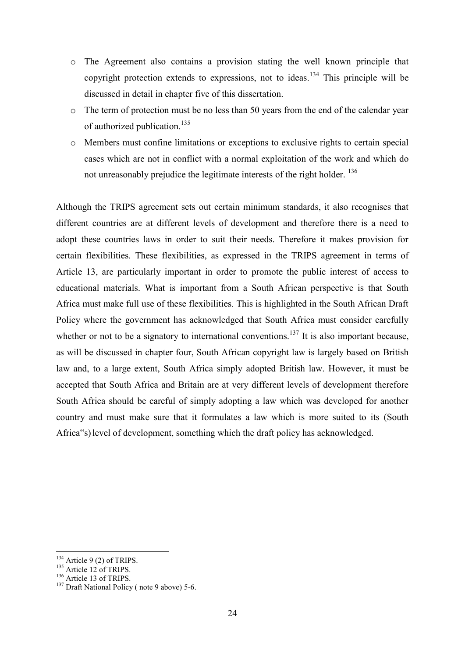- o The Agreement also contains a provision stating the well known principle that copyright protection extends to expressions, not to ideas.<sup>134</sup> This principle will be discussed in detail in chapter five of this dissertation.
- o The term of protection must be no less than 50 years from the end of the calendar year of authorized publication.<sup>135</sup>
- o Members must confine limitations or exceptions to exclusive rights to certain special cases which are not in conflict with a normal exploitation of the work and which do not unreasonably prejudice the legitimate interests of the right holder. <sup>136</sup>

Although the TRIPS agreement sets out certain minimum standards, it also recognises that different countries are at different levels of development and therefore there is a need to adopt these countries laws in order to suit their needs. Therefore it makes provision for certain flexibilities. These flexibilities, as expressed in the TRIPS agreement in terms of Article 13, are particularly important in order to promote the public interest of access to educational materials. What is important from a South African perspective is that South Africa must make full use of these flexibilities. This is highlighted in the South African Draft Policy where the government has acknowledged that South Africa must consider carefully whether or not to be a signatory to international conventions.<sup>137</sup> It is also important because, as will be discussed in chapter four, South African copyright law is largely based on British law and, to a large extent, South Africa simply adopted British law. However, it must be accepted that South Africa and Britain are at very different levels of development therefore South Africa should be careful of simply adopting a law which was developed for another country and must make sure that it formulates a law which is more suited to its (South Africa"s) level of development, something which the draft policy has acknowledged.

<sup>-</sup> $134$  Article 9 (2) of TRIPS.

 $135$  Article 12 of TRIPS.

 $136$  Article 13 of TRIPS.

<sup>&</sup>lt;sup>137</sup> Draft National Policy (note 9 above) 5-6.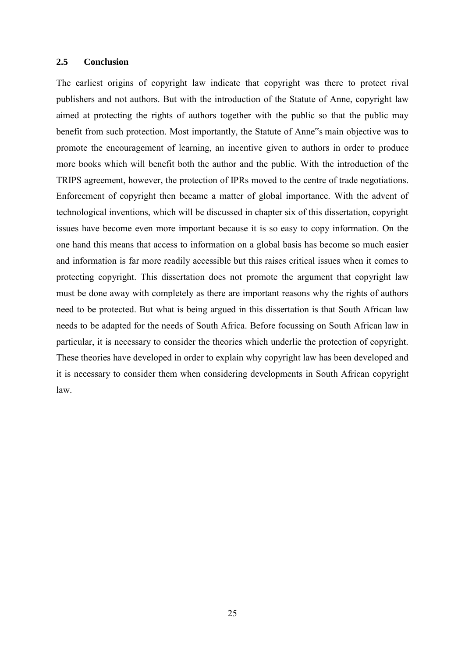#### <span id="page-24-0"></span>**2.5 Conclusion**

The earliest origins of copyright law indicate that copyright was there to protect rival publishers and not authors. But with the introduction of the Statute of Anne, copyright law aimed at protecting the rights of authors together with the public so that the public may benefit from such protection. Most importantly, the Statute of Anne"s main objective was to promote the encouragement of learning, an incentive given to authors in order to produce more books which will benefit both the author and the public. With the introduction of the TRIPS agreement, however, the protection of IPRs moved to the centre of trade negotiations. Enforcement of copyright then became a matter of global importance. With the advent of technological inventions, which will be discussed in chapter six of this dissertation, copyright issues have become even more important because it is so easy to copy information. On the one hand this means that access to information on a global basis has become so much easier and information is far more readily accessible but this raises critical issues when it comes to protecting copyright. This dissertation does not promote the argument that copyright law must be done away with completely as there are important reasons why the rights of authors need to be protected. But what is being argued in this dissertation is that South African law needs to be adapted for the needs of South Africa. Before focussing on South African law in particular, it is necessary to consider the theories which underlie the protection of copyright. These theories have developed in order to explain why copyright law has been developed and it is necessary to consider them when considering developments in South African copyright law.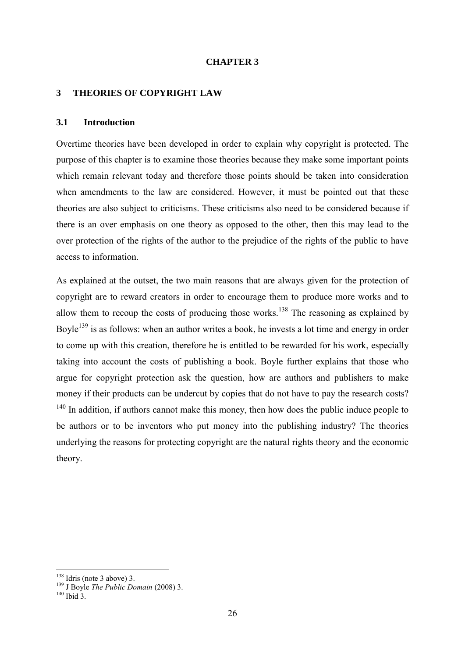#### **CHAPTER 3**

#### <span id="page-25-0"></span>**3 THEORIES OF COPYRIGHT LAW**

#### <span id="page-25-1"></span>**3.1 Introduction**

Overtime theories have been developed in order to explain why copyright is protected. The purpose of this chapter is to examine those theories because they make some important points which remain relevant today and therefore those points should be taken into consideration when amendments to the law are considered. However, it must be pointed out that these theories are also subject to criticisms. These criticisms also need to be considered because if there is an over emphasis on one theory as opposed to the other, then this may lead to the over protection of the rights of the author to the prejudice of the rights of the public to have access to information.

As explained at the outset, the two main reasons that are always given for the protection of copyright are to reward creators in order to encourage them to produce more works and to allow them to recoup the costs of producing those works.<sup>138</sup> The reasoning as explained by Boyle<sup>139</sup> is as follows: when an author writes a book, he invests a lot time and energy in order to come up with this creation, therefore he is entitled to be rewarded for his work, especially taking into account the costs of publishing a book. Boyle further explains that those who argue for copyright protection ask the question, how are authors and publishers to make money if their products can be undercut by copies that do not have to pay the research costs?  $140$  In addition, if authors cannot make this money, then how does the public induce people to be authors or to be inventors who put money into the publishing industry? The theories underlying the reasons for protecting copyright are the natural rights theory and the economic theory.

 $138$  Idris (note 3 above) 3.

<sup>139</sup> J Boyle *The Public Domain* (2008) 3.

 $140$  Ibid 3.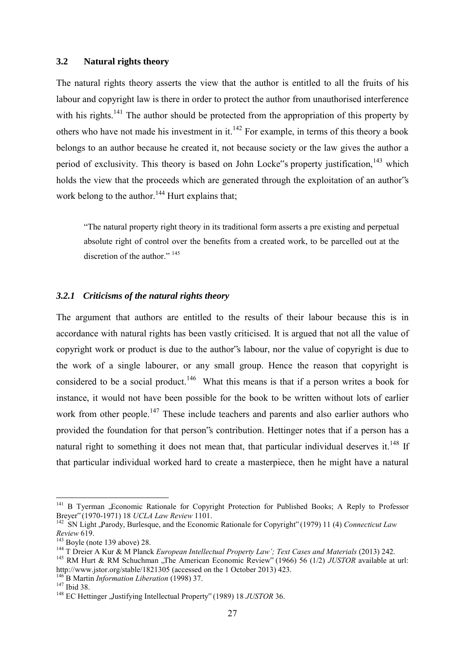#### <span id="page-26-0"></span>**3.2 Natural rights theory**

The natural rights theory asserts the view that the author is entitled to all the fruits of his labour and copyright law is there in order to protect the author from unauthorised interference with his rights.<sup>141</sup> The author should be protected from the appropriation of this property by others who have not made his investment in it.<sup>142</sup> For example, in terms of this theory a book belongs to an author because he created it, not because society or the law gives the author a period of exclusivity. This theory is based on John Locke"s property justification,<sup>143</sup> which holds the view that the proceeds which are generated through the exploitation of an author"s work belong to the author.<sup>144</sup> Hurt explains that;

"The natural property right theory in its traditional form asserts a pre existing and perpetual absolute right of control over the benefits from a created work, to be parcelled out at the discretion of the author."<sup>145</sup>

#### <span id="page-26-1"></span>*3.2.1 Criticisms of the natural rights theory*

The argument that authors are entitled to the results of their labour because this is in accordance with natural rights has been vastly criticised. It is argued that not all the value of copyright work or product is due to the author"s labour, nor the value of copyright is due to the work of a single labourer, or any small group. Hence the reason that copyright is considered to be a social product.<sup>146</sup> What this means is that if a person writes a book for instance, it would not have been possible for the book to be written without lots of earlier work from other people.<sup>147</sup> These include teachers and parents and also earlier authors who provided the foundation for that person"s contribution. Hettinger notes that if a person has a natural right to something it does not mean that, that particular individual deserves it.<sup>148</sup> If that particular individual worked hard to create a masterpiece, then he might have a natural

<sup>&</sup>lt;sup>141</sup> B Tyerman "Economic Rationale for Copyright Protection for Published Books; A Reply to Professor Breyer" (1970-1971) 18 *UCLA Law Review* 1101.

<sup>&</sup>lt;sup>142</sup> SN Light ,Parody, Burlesque, and the Economic Rationale for Copyright" (1979) 11 (4) *Connecticut Law Review* 619.

 $143$  Boyle (note 139 above) 28.

<sup>&</sup>lt;sup>144</sup> T Dreier A Kur & M Planck *European Intellectual Property Law'; Text Cases and Materials* (2013) 242.

<sup>&</sup>lt;sup>145</sup> RM Hurt & RM Schuchman "The American Economic Review" (1966) 56 (1/2) *JUSTOR* available at url: <http://www.jstor.org/stable/1821305>(accessed on the 1 October 2013) 423.

<sup>146</sup> B Martin *Information Liberation* (1998) 37.

<sup>&</sup>lt;sup>147</sup> Ibid 38.

<sup>&</sup>lt;sup>148</sup> EC Hettinger , Justifying Intellectual Property" (1989) 18 *JUSTOR* 36.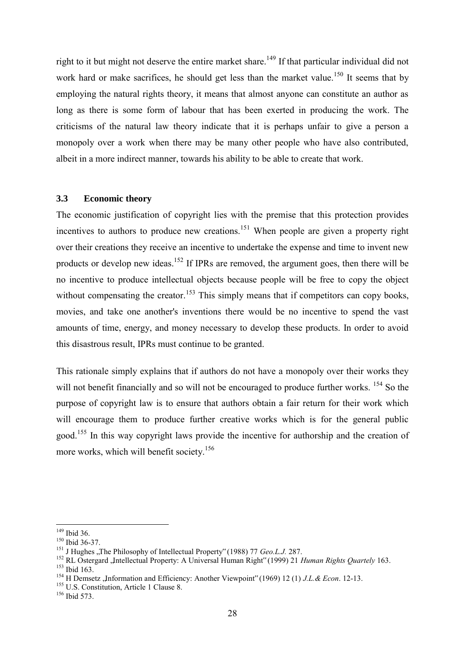right to it but might not deserve the entire market share.<sup>149</sup> If that particular individual did not work hard or make sacrifices, he should get less than the market value.<sup>150</sup> It seems that by employing the natural rights theory, it means that almost anyone can constitute an author as long as there is some form of labour that has been exerted in producing the work. The criticisms of the natural law theory indicate that it is perhaps unfair to give a person a monopoly over a work when there may be many other people who have also contributed, albeit in a more indirect manner, towards his ability to be able to create that work.

#### <span id="page-27-0"></span>**3.3 Economic theory**

The economic justification of copyright lies with the premise that this protection provides incentives to authors to produce new creations.<sup>151</sup> When people are given a property right over their creations they receive an incentive to undertake the expense and time to invent new products or develop new ideas.<sup>152</sup> If IPRs are removed, the argument goes, then there will be no incentive to produce intellectual objects because people will be free to copy the object without compensating the creator.<sup>153</sup> This simply means that if competitors can copy books, movies, and take one another's inventions there would be no incentive to spend the vast amounts of time, energy, and money necessary to develop these products. In order to avoid this disastrous result, IPRs must continue to be granted.

This rationale simply explains that if authors do not have a monopoly over their works they will not benefit financially and so will not be encouraged to produce further works. <sup>154</sup> So the purpose of copyright law is to ensure that authors obtain a fair return for their work which will encourage them to produce further creative works which is for the general public good.<sup>155</sup> In this way copyright laws provide the incentive for authorship and the creation of more works, which will benefit society.<sup>156</sup>

<sup>&</sup>lt;u>.</u> <sup>149</sup> Ibid 36.

<sup>150</sup> Ibid 36-37.

<sup>&</sup>lt;sup>151</sup> J Hughes "The Philosophy of Intellectual Property" (1988) 77 *Geo.L.J.* 287.

<sup>&</sup>lt;sup>152</sup> RL Ostergard , Intellectual Property: A Universal Human Right" (1999) 21 *Human Rights Quartely* 163.

<sup>153</sup> Ibid 163.

<sup>&</sup>lt;sup>154</sup> H Demsetz , Information and Efficiency: Another Viewpoint" (1969) 12 (1) *J.L.& Econ*. 12-13.

<sup>&</sup>lt;sup>155</sup> U.S. Constitution, Article 1 Clause 8.

<sup>156</sup> Ibid 573.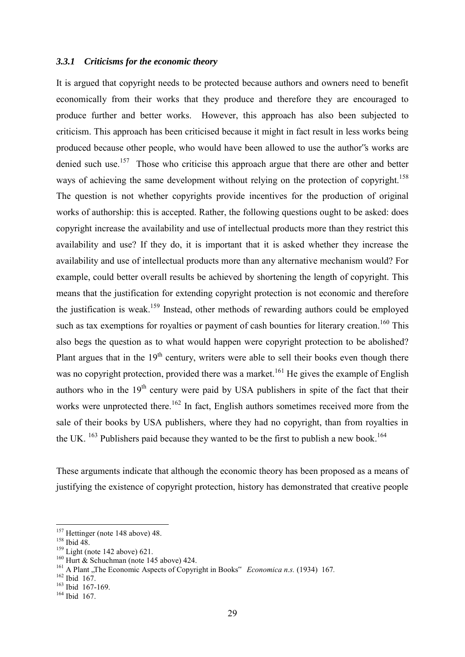#### <span id="page-28-0"></span>*3.3.1 Criticisms for the economic theory*

It is argued that copyright needs to be protected because authors and owners need to benefit economically from their works that they produce and therefore they are encouraged to produce further and better works. However, this approach has also been subjected to criticism. This approach has been criticised because it might in fact result in less works being produced because other people, who would have been allowed to use the author"s works are denied such use.<sup>157</sup> Those who criticise this approach argue that there are other and better ways of achieving the same development without relying on the protection of copyright.<sup>158</sup> The question is not whether copyrights provide incentives for the production of original works of authorship: this is accepted. Rather, the following questions ought to be asked: does copyright increase the availability and use of intellectual products more than they restrict this availability and use? If they do, it is important that it is asked whether they increase the availability and use of intellectual products more than any alternative mechanism would? For example, could better overall results be achieved by shortening the length of copyright. This means that the justification for extending copyright protection is not economic and therefore the justification is weak.<sup>159</sup> Instead, other methods of rewarding authors could be employed such as tax exemptions for royalties or payment of cash bounties for literary creation.<sup>160</sup> This also begs the question as to what would happen were copyright protection to be abolished? Plant argues that in the  $19<sup>th</sup>$  century, writers were able to sell their books even though there was no copyright protection, provided there was a market.<sup>161</sup> He gives the example of English authors who in the  $19<sup>th</sup>$  century were paid by USA publishers in spite of the fact that their works were unprotected there.<sup>162</sup> In fact, English authors sometimes received more from the sale of their books by USA publishers, where they had no copyright, than from royalties in the UK.  $^{163}$  Publishers paid because they wanted to be the first to publish a new book.<sup>164</sup>

These arguments indicate that although the economic theory has been proposed as a means of justifying the existence of copyright protection, history has demonstrated that creative people

<sup>&</sup>lt;sup>157</sup> Hettinger (note 148 above) 48.

<sup>158</sup> Ibid 48.

 $159$  Light (note 142 above) 621.

 $160$  Hurt  $\&$  Schuchman (note 145 above) 424.

<sup>&</sup>lt;sup>161</sup> A Plant .The Economic Aspects of Copyright in Books" *Economica n.s.* (1934) 167.

<sup>&</sup>lt;sup>162</sup> Ibid 167.

<sup>163</sup> Ibid 167-169.

 $164$  Ibid  $167$ .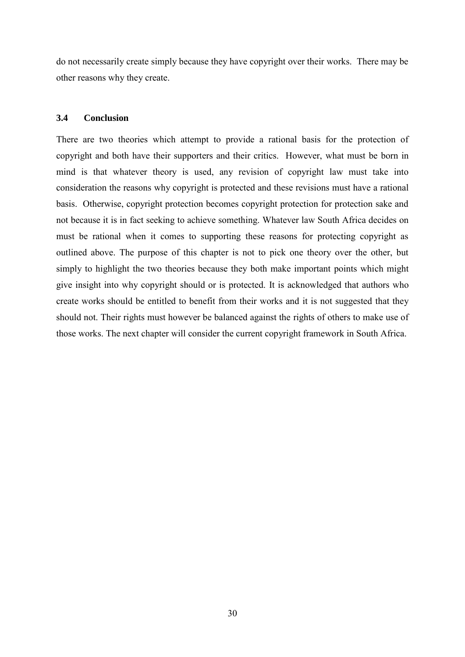do not necessarily create simply because they have copyright over their works. There may be other reasons why they create.

## <span id="page-29-0"></span>**3.4 Conclusion**

There are two theories which attempt to provide a rational basis for the protection of copyright and both have their supporters and their critics. However, what must be born in mind is that whatever theory is used, any revision of copyright law must take into consideration the reasons why copyright is protected and these revisions must have a rational basis. Otherwise, copyright protection becomes copyright protection for protection sake and not because it is in fact seeking to achieve something. Whatever law South Africa decides on must be rational when it comes to supporting these reasons for protecting copyright as outlined above. The purpose of this chapter is not to pick one theory over the other, but simply to highlight the two theories because they both make important points which might give insight into why copyright should or is protected. It is acknowledged that authors who create works should be entitled to benefit from their works and it is not suggested that they should not. Their rights must however be balanced against the rights of others to make use of those works. The next chapter will consider the current copyright framework in South Africa.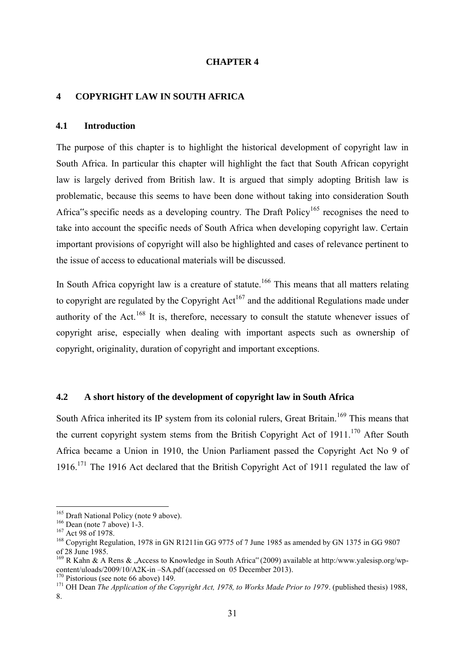#### **CHAPTER 4**

#### <span id="page-30-0"></span>**4 COPYRIGHT LAW IN SOUTH AFRICA**

#### <span id="page-30-1"></span>**4.1 Introduction**

The purpose of this chapter is to highlight the historical development of copyright law in South Africa. In particular this chapter will highlight the fact that South African copyright law is largely derived from British law. It is argued that simply adopting British law is problematic, because this seems to have been done without taking into consideration South Africa"s specific needs as a developing country. The Draft Policy<sup>165</sup> recognises the need to take into account the specific needs of South Africa when developing copyright law. Certain important provisions of copyright will also be highlighted and cases of relevance pertinent to the issue of access to educational materials will be discussed.

In South Africa copyright law is a creature of statute.<sup>166</sup> This means that all matters relating to copyright are regulated by the Copyright  $Act^{167}$  and the additional Regulations made under authority of the Act.<sup>168</sup> It is, therefore, necessary to consult the statute whenever issues of copyright arise, especially when dealing with important aspects such as ownership of copyright, originality, duration of copyright and important exceptions.

## <span id="page-30-2"></span>**4.2 A short history of the development of copyright law in South Africa**

South Africa inherited its IP system from its colonial rulers, Great Britain.<sup>169</sup> This means that the current copyright system stems from the British Copyright Act of  $1911$ <sup> $170$ </sup> After South Africa became a Union in 1910, the Union Parliament passed the Copyright Act No 9 of 1916.<sup>171</sup> The 1916 Act declared that the British Copyright Act of 1911 regulated the law of

<sup>&</sup>lt;sup>165</sup> Draft National Policy (note 9 above).

<sup>&</sup>lt;sup>166</sup> Dean (note 7 above) 1-3.

<sup>&</sup>lt;sup>167</sup> Act 98 of 1978.

<sup>&</sup>lt;sup>168</sup> Copyright Regulation, 1978 in GN R1211in GG 9775 of 7 June 1985 as amended by GN 1375 in GG 9807 of 28 June 1985.

<sup>&</sup>lt;sup>169</sup> R Kahn & A Rens & . Access to Knowledge in South Africa" (2009) available at http:/www.yalesisp.org/wpcontent/uloads/2009/10/A2K-in –SA.pdf (accessed on 05 December 2013).

<sup>&</sup>lt;sup>170</sup> Pistorious (see note 66 above) 149.

<sup>&</sup>lt;sup>171</sup> OH Dean *The Application of the Copyright Act, 1978, to Works Made Prior to 1979.* (published thesis) 1988, 8.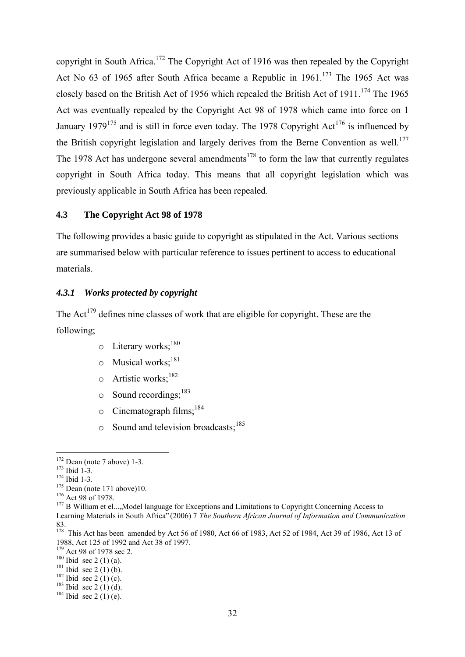copyright in South Africa.<sup>172</sup> The Copyright Act of 1916 was then repealed by the Copyright Act No  $63$  of 1965 after South Africa became a Republic in  $1961$ .<sup>173</sup> The 1965 Act was closely based on the British Act of 1956 which repealed the British Act of 1911.<sup>174</sup> The 1965 Act was eventually repealed by the Copyright Act 98 of 1978 which came into force on 1 January 1979<sup>175</sup> and is still in force even today. The 1978 Copyright Act<sup>176</sup> is influenced by the British copyright legislation and largely derives from the Berne Convention as well.<sup>177</sup> The 1978 Act has undergone several amendments<sup>178</sup> to form the law that currently regulates copyright in South Africa today. This means that all copyright legislation which was previously applicable in South Africa has been repealed.

#### <span id="page-31-0"></span>**4.3 The Copyright Act 98 of 1978**

The following provides a basic guide to copyright as stipulated in the Act. Various sections are summarised below with particular reference to issues pertinent to access to educational materials.

#### <span id="page-31-1"></span>*4.3.1 Works protected by copyright*

The Act<sup>179</sup> defines nine classes of work that are eligible for copyright. These are the following;

- $\circ$  Literary works:  $^{180}$
- $\circ$  Musical works;<sup>181</sup>
- $\circ$  Artistic works;<sup>182</sup>
- $\circ$  Sound recordings:  $^{183}$
- $\circ$  Cinematograph films;<sup>184</sup>
- $\circ$  Sound and television broadcasts;<sup>185</sup>

<u>.</u>

<sup>176</sup> Act 98 of 1978.

 $172$  Dean (note 7 above) 1-3.

<sup>173</sup> Ibid 1-3.

<sup>&</sup>lt;sup>174</sup> Ibid 1-3.

 $175$  Dean (note 171 above)10.

 $177$  B William et el...., Model language for Exceptions and Limitations to Copyright Concerning Access to Learning Materials in South Africa" (2006) 7 *The Southern African Journal of Information and Communication*  83. 178 This Act has been amended by Act 56 of 1980, Act 66 of 1983, Act 52 of 1984, Act 39 of 1986, Act 13 of

<sup>1988,</sup> Act 125 of 1992 and Act 38 of 1997.

<sup>&</sup>lt;sup>179</sup> Act 98 of 1978 sec 2.

 $180$  Ibid sec 2 (1) (a).

 $181$  Ibid sec 2 (1) (b).

 $182$  Ibid sec 2 (1) (c).

 $183$  Ibid sec 2 (1) (d).

 $184$  Ibid sec 2 (1) (e).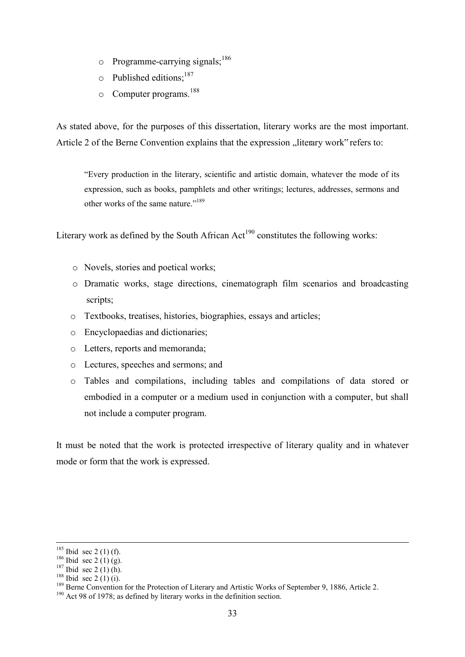- $\circ$  Programme-carrying signals;<sup>186</sup>
- $\circ$  Published editions:<sup>187</sup>
- o Computer programs.<sup>188</sup>

As stated above, for the purposes of this dissertation, literary works are the most important. Article 2 of the Berne Convention explains that the expression "literary work" refers to:

"Every production in the literary, scientific and artistic domain, whatever the mode of its expression, such as books, pamphlets and other writings; lectures, addresses, sermons and other works of the same nature."<sup>189</sup>

Literary work as defined by the South African  $Act^{190}$  constitutes the following works:

- o Novels, stories and poetical works;
- o Dramatic works, stage directions, cinematograph film scenarios and broadcasting scripts;
- o Textbooks, treatises, histories, biographies, essays and articles;
- o Encyclopaedias and dictionaries;
- o Letters, reports and memoranda;
- o Lectures, speeches and sermons; and
- o Tables and compilations, including tables and compilations of data stored or embodied in a computer or a medium used in conjunction with a computer, but shall not include a computer program.

It must be noted that the work is protected irrespective of literary quality and in whatever mode or form that the work is expressed.

 $185$  Ibid sec 2 (1) (f).

 $186$  Ibid sec 2 (1) (g).

 $187$  Ibid sec 2 (1) (h).

<sup>&</sup>lt;sup>188</sup> Ibid sec 2 (1) (i).

<sup>&</sup>lt;sup>189</sup> Berne Convention for the Protection of Literary and Artistic Works of September 9, 1886, Article 2.

<sup>&</sup>lt;sup>190</sup> Act 98 of 1978; as defined by literary works in the definition section.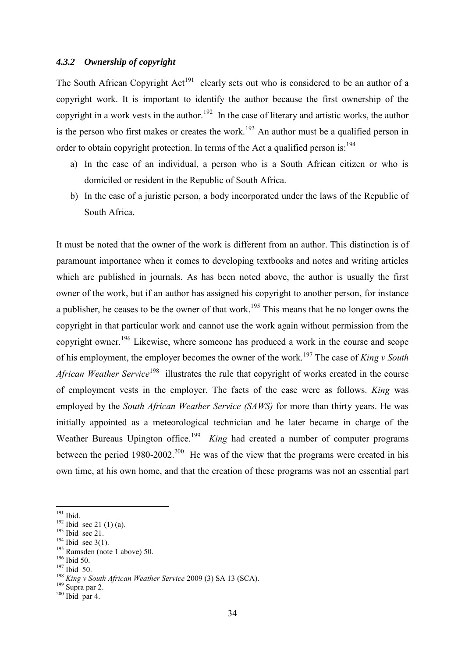#### <span id="page-33-0"></span>*4.3.2 Ownership of copyright*

The South African Copyright Act<sup>191</sup> clearly sets out who is considered to be an author of a copyright work. It is important to identify the author because the first ownership of the copyright in a work vests in the author.<sup>192</sup> In the case of literary and artistic works, the author is the person who first makes or creates the work.<sup>193</sup> An author must be a qualified person in order to obtain copyright protection. In terms of the Act a qualified person is:<sup>194</sup>

- a) In the case of an individual, a person who is a South African citizen or who is domiciled or resident in the Republic of South Africa.
- b) In the case of a juristic person, a body incorporated under the laws of the Republic of South Africa.

It must be noted that the owner of the work is different from an author. This distinction is of paramount importance when it comes to developing textbooks and notes and writing articles which are published in journals. As has been noted above, the author is usually the first owner of the work, but if an author has assigned his copyright to another person, for instance a publisher, he ceases to be the owner of that work.<sup>195</sup> This means that he no longer owns the copyright in that particular work and cannot use the work again without permission from the copyright owner.<sup>196</sup> Likewise, where someone has produced a work in the course and scope of his employment, the employer becomes the owner of the work.<sup>197</sup> The case of *King v South African Weather Service*<sup>198</sup> illustrates the rule that copyright of works created in the course of employment vests in the employer. The facts of the case were as follows. *King* was employed by the *South African Weather Service (SAWS)* for more than thirty years. He was initially appointed as a meteorological technician and he later became in charge of the Weather Bureaus Upington office.<sup>199</sup> King had created a number of computer programs between the period  $1980-2002$ <sup>200</sup> He was of the view that the programs were created in his own time, at his own home, and that the creation of these programs was not an essential part

 $191$  Ibid.

 $192$  Ibid sec 21 (1) (a).

<sup>&</sup>lt;sup>193</sup> Ibid sec 21.

 $194$  Ibid sec 3(1).

<sup>195</sup> Ramsden (note 1 above) 50.

<sup>&</sup>lt;sup>196</sup> Ibid 50.

<sup>197</sup> Ibid 50.

<sup>198</sup> *King v South African Weather Service* 2009 (3) SA 13 (SCA).

 $199$  Supra par 2.

 $200$  Ibid par 4.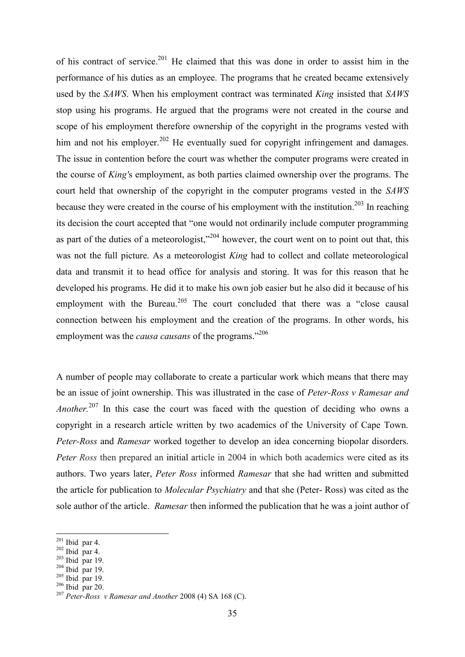of his contract of service.<sup>201</sup> He claimed that this was done in order to assist him in the performance of his duties as an employee. The programs that he created became extensively used by the *SAWS*. When his employment contract was terminated *King* insisted that *SAWS*  stop using his programs. He argued that the programs were not created in the course and scope of his employment therefore ownership of the copyright in the programs vested with him and not his employer.<sup>202</sup> He eventually sued for copyright infringement and damages. The issue in contention before the court was whether the computer programs were created in the course of *King'*s employment, as both parties claimed ownership over the programs. The court held that ownership of the copyright in the computer programs vested in the *SAWS*  because they were created in the course of his employment with the institution.<sup>203</sup> In reaching its decision the court accepted that "one would not ordinarily include computer programming as part of the duties of a meteorologist,"<sup>204</sup> however, the court went on to point out that, this was not the full picture. As a meteorologist *King* had to collect and collate meteorological data and transmit it to head office for analysis and storing. It was for this reason that he developed his programs. He did it to make his own job easier but he also did it because of his employment with the Bureau.<sup>205</sup> The court concluded that there was a "close causal" connection between his employment and the creation of the programs. In other words, his employment was the *causa causans* of the programs."<sup>206</sup>

A number of people may collaborate to create a particular work which means that there may be an issue of joint ownership. This was illustrated in the case of *Peter-Ross v Ramesar and Another.*<sup>207</sup> In this case the court was faced with the question of deciding who owns a copyright in a research article written by two academics of the University of Cape Town. *Peter-Ross* and *Ramesar* worked together to develop an idea concerning biopolar disorders. *Peter Ross* then prepared an initial article in 2004 in which both academics were cited as its authors. Two years later, *Peter Ross* informed *Ramesar* that she had written and submitted the article for publication to *Molecular Psychiatry* and that she (Peter- Ross) was cited as the sole author of the article. *Ramesar* then informed the publication that he was a joint author of

<u>.</u>

 $203$  Ibid par 19.

 $205$  Ibid par 19.  $206$  Ibid par 20.

 $201$  Ibid par 4.

 $202$  Ibid par 4.

 $204$  Ibid par 19.

<sup>207</sup> *Peter-Ross v Ramesar and Another* 2008 (4) SA 168 (C).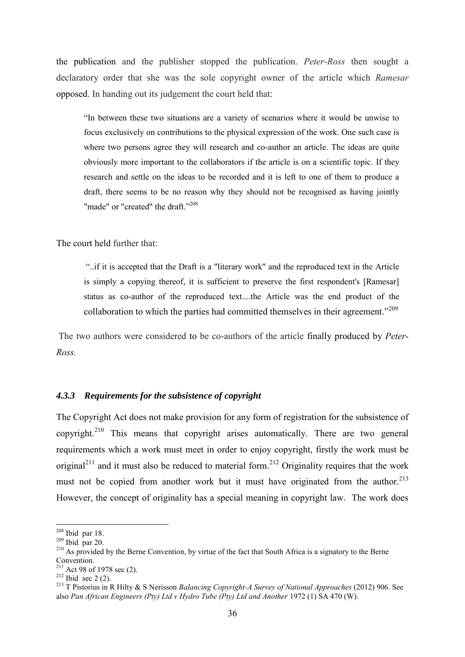the publication and the publisher stopped the publication. *Peter-Ross* then sought a declaratory order that she was the sole copyright owner of the article which *Ramesar* opposed. In handing out its judgement the court held that:

"In between these two situations are a variety of scenarios where it would be unwise to focus exclusively on contributions to the physical expression of the work. One such case is where two persons agree they will research and co-author an article. The ideas are quite obviously more important to the collaborators if the article is on a scientific topic. If they research and settle on the ideas to be recorded and it is left to one of them to produce a draft, there seems to be no reason why they should not be recognised as having jointly "made" or "created" the draft."<sup>208</sup>

The court held further that:

"..if it is accepted that the Draft is a "literary work" and the reproduced text in the Article is simply a copying thereof, it is sufficient to preserve the first respondent's [Ramesar] status as co-author of the reproduced text....the Article was the end product of the collaboration to which the parties had committed themselves in their agreement."<sup>209</sup>

The two authors were considered to be co-authors of the article finally produced by *Peter-Ross.*

#### <span id="page-35-0"></span>*4.3.3 Requirements for the subsistence of copyright*

The Copyright Act does not make provision for any form of registration for the subsistence of copyright.<sup>210</sup> This means that copyright arises automatically. There are two general requirements which a work must meet in order to enjoy copyright, firstly the work must be original<sup>211</sup> and it must also be reduced to material form.<sup>212</sup> Originality requires that the work must not be copied from another work but it must have originated from the author.<sup>213</sup> However, the concept of originality has a special meaning in copyright law. The work does

<sup>&</sup>lt;u>.</u>  $208$  Ibid par 18.

 $209$  Ibid par 20.

<sup>&</sup>lt;sup>210</sup> As provided by the Berne Convention, by virtue of the fact that South Africa is a signatory to the Berne Convention.

 $^{211}$  Act 98 of 1978 sec (2).

 $212$  Ibid sec 2 (2).

<sup>213</sup> T Pistorius in R Hilty & S Nerisson *Balancing Copyright-A Survey of National Approaches* (2012) 906. See also *Pan African Engineers (Pty) Ltd v Hydro Tube (Pty) Ltd and Another* 1972 (1) SA 470 (W).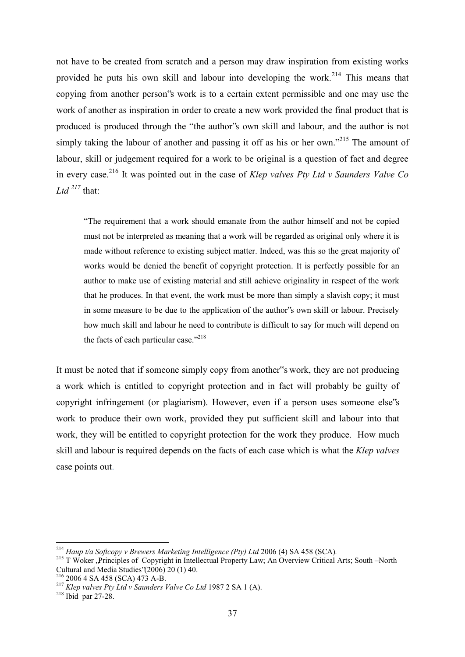not have to be created from scratch and a person may draw inspiration from existing works provided he puts his own skill and labour into developing the work.<sup>214</sup> This means that copying from another person"s work is to a certain extent permissible and one may use the work of another as inspiration in order to create a new work provided the final product that is produced is produced through the "the author"s own skill and labour, and the author is not simply taking the labour of another and passing it off as his or her own."<sup>215</sup> The amount of labour, skill or judgement required for a work to be original is a question of fact and degree in every case.<sup>216</sup> It was pointed out in the case of *Klep valves Pty Ltd v Saunders Valve Co*   $Ltd$ <sup>217</sup> that:

"The requirement that a work should emanate from the author himself and not be copied must not be interpreted as meaning that a work will be regarded as original only where it is made without reference to existing subject matter. Indeed, was this so the great majority of works would be denied the benefit of copyright protection. It is perfectly possible for an author to make use of existing material and still achieve originality in respect of the work that he produces. In that event, the work must be more than simply a slavish copy; it must in some measure to be due to the application of the author"s own skill or labour. Precisely how much skill and labour he need to contribute is difficult to say for much will depend on the facts of each particular case."<sup>218</sup>

It must be noted that if someone simply copy from another"s work, they are not producing a work which is entitled to copyright protection and in fact will probably be guilty of copyright infringement (or plagiarism). However, even if a person uses someone else"s work to produce their own work, provided they put sufficient skill and labour into that work, they will be entitled to copyright protection for the work they produce. How much skill and labour is required depends on the facts of each case which is what the *Klep valves* case points out.

<sup>214</sup> *Haup t/a Softcopy v Brewers Marketing Intelligence (Pty) Ltd* 2006 (4) SA 458 (SCA)*.*

<sup>&</sup>lt;sup>215</sup> T Woker , Principles of Copyright in Intellectual Property Law; An Overview Critical Arts; South –North Cultural and Media Studies"(2006) 20 (1) 40.

 $^{216}$  2006 4 SA 458 (SCA) 473 A-B.

<sup>217</sup> *Klep valves Pty Ltd v Saunders Valve Co Ltd* 1987 2 SA 1 (A).

 $218$  Ibid par 27-28.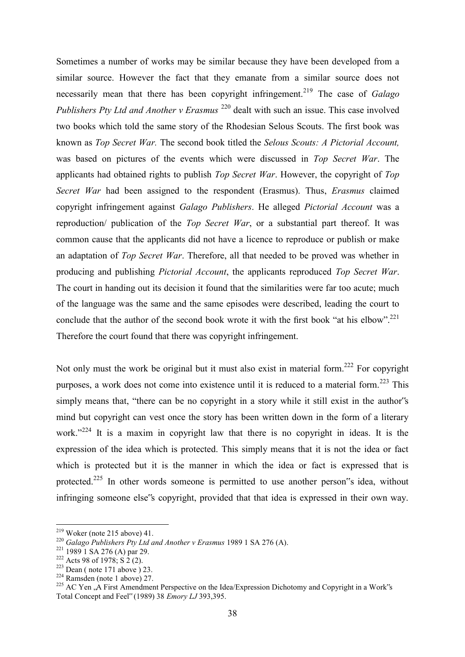Sometimes a number of works may be similar because they have been developed from a similar source. However the fact that they emanate from a similar source does not necessarily mean that there has been copyright infringement.<sup>219</sup> The case of *Galago Publishers Pty Ltd and Another v Erasmus* <sup>220</sup> dealt with such an issue. This case involved two books which told the same story of the Rhodesian Selous Scouts. The first book was known as *Top Secret War.* The second book titled the *Selous Scouts: A Pictorial Account,* was based on pictures of the events which were discussed in *Top Secret War*. The applicants had obtained rights to publish *Top Secret War*. However, the copyright of *Top Secret War* had been assigned to the respondent (Erasmus). Thus, *Erasmus* claimed copyright infringement against *Galago Publishers*. He alleged *Pictorial Account* was a reproduction/ publication of the *Top Secret War*, or a substantial part thereof. It was common cause that the applicants did not have a licence to reproduce or publish or make an adaptation of *Top Secret War*. Therefore, all that needed to be proved was whether in producing and publishing *Pictorial Account*, the applicants reproduced *Top Secret War*. The court in handing out its decision it found that the similarities were far too acute; much of the language was the same and the same episodes were described, leading the court to conclude that the author of the second book wrote it with the first book "at his elbow".<sup>221</sup> Therefore the court found that there was copyright infringement.

Not only must the work be original but it must also exist in material form.<sup>222</sup> For copyright purposes, a work does not come into existence until it is reduced to a material form.<sup>223</sup> This simply means that, "there can be no copyright in a story while it still exist in the author's mind but copyright can vest once the story has been written down in the form of a literary work."<sup>224</sup> It is a maxim in copyright law that there is no copyright in ideas. It is the expression of the idea which is protected. This simply means that it is not the idea or fact which is protected but it is the manner in which the idea or fact is expressed that is protected.<sup>225</sup> In other words someone is permitted to use another person s idea, without infringing someone else"s copyright, provided that that idea is expressed in their own way.

 $219$  Woker (note 215 above) 41.

<sup>&</sup>lt;sup>220</sup> *Galago Publishers Pty Ltd and Another v Erasmus* 1989 1 SA 276 (A).

 $221$  1989 1 SA 276 (A) par 29.

 $222$  Acts 98 of 1978; S 2 (2).

 $223$  Dean (note 171 above ) 23.

 $224$  Ramsden (note 1 above) 27.

<sup>&</sup>lt;sup>225</sup> AC Yen . A First Amendment Perspective on the Idea/Expression Dichotomy and Copyright in a Work's Total Concept and Feel" (1989) 38 *Emory LJ* 393,395.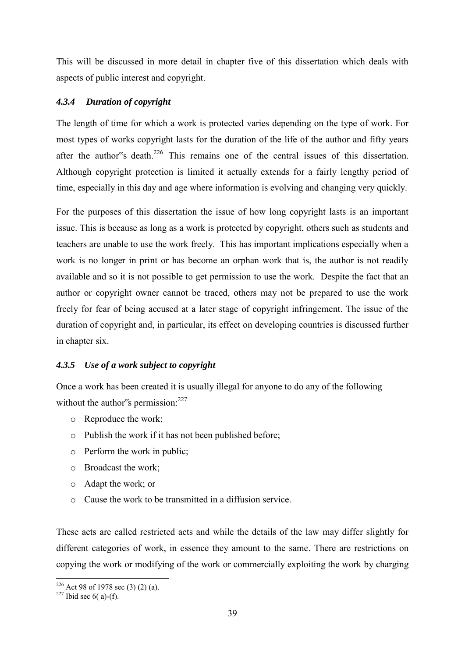This will be discussed in more detail in chapter five of this dissertation which deals with aspects of public interest and copyright.

# *4.3.4 Duration of copyright*

The length of time for which a work is protected varies depending on the type of work. For most types of works copyright lasts for the duration of the life of the author and fifty years after the author"s death.<sup>226</sup> This remains one of the central issues of this dissertation. Although copyright protection is limited it actually extends for a fairly lengthy period of time, especially in this day and age where information is evolving and changing very quickly.

For the purposes of this dissertation the issue of how long copyright lasts is an important issue. This is because as long as a work is protected by copyright, others such as students and teachers are unable to use the work freely. This has important implications especially when a work is no longer in print or has become an orphan work that is, the author is not readily available and so it is not possible to get permission to use the work. Despite the fact that an author or copyright owner cannot be traced, others may not be prepared to use the work freely for fear of being accused at a later stage of copyright infringement. The issue of the duration of copyright and, in particular, its effect on developing countries is discussed further in chapter six.

# *4.3.5 Use of a work subject to copyright*

Once a work has been created it is usually illegal for anyone to do any of the following without the author's permission:<sup>227</sup>

- o Reproduce the work;
- o Publish the work if it has not been published before;
- o Perform the work in public;
- o Broadcast the work;
- o Adapt the work; or
- o Cause the work to be transmitted in a diffusion service.

These acts are called restricted acts and while the details of the law may differ slightly for different categories of work, in essence they amount to the same. There are restrictions on copying the work or modifying of the work or commercially exploiting the work by charging

<sup>-</sup><sup>226</sup> Act 98 of 1978 sec (3) (2) (a).

 $227$  Ibid sec 6( a)-(f).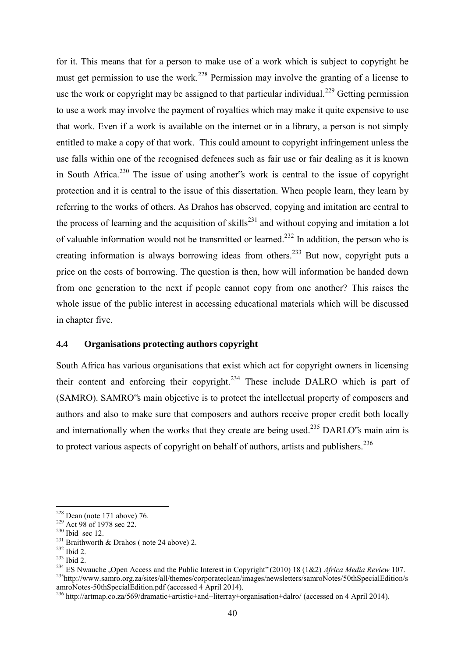for it. This means that for a person to make use of a work which is subject to copyright he must get permission to use the work.<sup>228</sup> Permission may involve the granting of a license to use the work or copyright may be assigned to that particular individual.<sup>229</sup> Getting permission to use a work may involve the payment of royalties which may make it quite expensive to use that work. Even if a work is available on the internet or in a library, a person is not simply entitled to make a copy of that work. This could amount to copyright infringement unless the use falls within one of the recognised defences such as fair use or fair dealing as it is known in South Africa.<sup>230</sup> The issue of using another's work is central to the issue of copyright protection and it is central to the issue of this dissertation. When people learn, they learn by referring to the works of others. As Drahos has observed, copying and imitation are central to the process of learning and the acquisition of skills<sup>231</sup> and without copying and imitation a lot of valuable information would not be transmitted or learned.<sup>232</sup> In addition, the person who is creating information is always borrowing ideas from others.<sup>233</sup> But now, copyright puts a price on the costs of borrowing. The question is then, how will information be handed down from one generation to the next if people cannot copy from one another? This raises the whole issue of the public interest in accessing educational materials which will be discussed in chapter five.

## **4.4 Organisations protecting authors copyright**

South Africa has various organisations that exist which act for copyright owners in licensing their content and enforcing their copyright.<sup>234</sup> These include DALRO which is part of (SAMRO). SAMRO"s main objective is to protect the intellectual property of composers and authors and also to make sure that composers and authors receive proper credit both locally and internationally when the works that they create are being used.<sup>235</sup> DARLO $\degree$ s main aim is to protect various aspects of copyright on behalf of authors, artists and publishers.<sup>236</sup>

 $228$  Dean (note 171 above) 76.

<sup>&</sup>lt;sup>229</sup> Act 98 of 1978 sec 22.

 $230$  Ibid sec 12.

<sup>&</sup>lt;sup>231</sup> Braithworth & Drahos (note 24 above) 2.

<sup>232</sup> Ibid 2.

<sup>233</sup> Ibid 2.

<sup>234</sup> ES Nwauche "Open Access and the Public Interest in Copyright" (2010) 18 (1&2) *Africa Media Review* 107. <sup>235</sup>[http://www.samro.org.za/sites/all/themes/corporateclean/images/newsletters/samroNotes/50thSpecialEdition/s](http://www.samro.org.za/sites/all/themes/corporateclean/images/newsletters/samroNotes/50thSpecialEdition/samroNotes-50thSpecialEdition.pdf) [amroNotes-50thSpecialEdition.pdf](http://www.samro.org.za/sites/all/themes/corporateclean/images/newsletters/samroNotes/50thSpecialEdition/samroNotes-50thSpecialEdition.pdf) (accessed 4 April 2014).

<sup>236</sup> <http://artmap.co.za/569/dramatic+artistic+and+literray+organisation+dalro/> (accessed on 4 April 2014).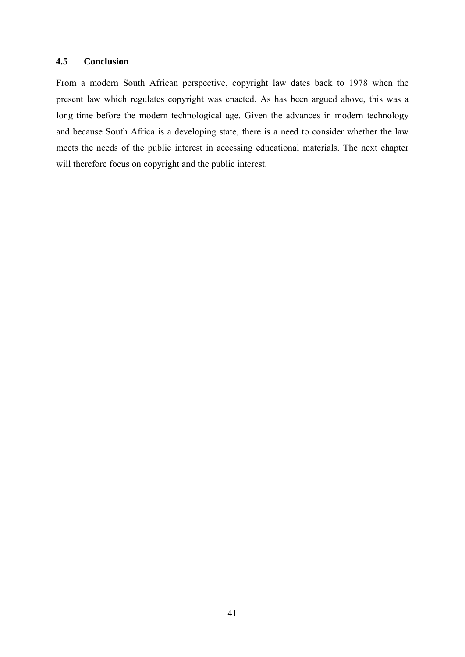# **4.5 Conclusion**

From a modern South African perspective, copyright law dates back to 1978 when the present law which regulates copyright was enacted. As has been argued above, this was a long time before the modern technological age. Given the advances in modern technology and because South Africa is a developing state, there is a need to consider whether the law meets the needs of the public interest in accessing educational materials. The next chapter will therefore focus on copyright and the public interest.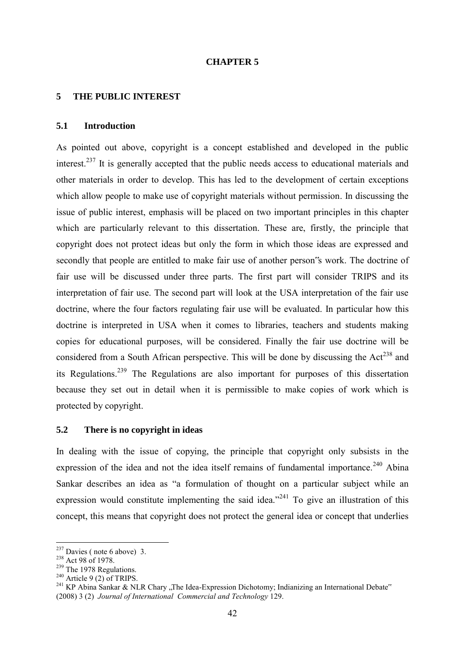### **CHAPTER 5**

#### **5 THE PUBLIC INTEREST**

#### **5.1 Introduction**

As pointed out above, copyright is a concept established and developed in the public interest.<sup>237</sup> It is generally accepted that the public needs access to educational materials and other materials in order to develop. This has led to the development of certain exceptions which allow people to make use of copyright materials without permission. In discussing the issue of public interest, emphasis will be placed on two important principles in this chapter which are particularly relevant to this dissertation. These are, firstly, the principle that copyright does not protect ideas but only the form in which those ideas are expressed and secondly that people are entitled to make fair use of another person"s work. The doctrine of fair use will be discussed under three parts. The first part will consider TRIPS and its interpretation of fair use. The second part will look at the USA interpretation of the fair use doctrine, where the four factors regulating fair use will be evaluated. In particular how this doctrine is interpreted in USA when it comes to libraries, teachers and students making copies for educational purposes, will be considered. Finally the fair use doctrine will be considered from a South African perspective. This will be done by discussing the  $Act^{238}$  and its Regulations.<sup>239</sup> The Regulations are also important for purposes of this dissertation because they set out in detail when it is permissible to make copies of work which is protected by copyright.

### **5.2 There is no copyright in ideas**

In dealing with the issue of copying, the principle that copyright only subsists in the expression of the idea and not the idea itself remains of fundamental importance.<sup>240</sup> Abina Sankar describes an idea as "a formulation of thought on a particular subject while an expression would constitute implementing the said idea."<sup>241</sup> To give an illustration of this concept, this means that copyright does not protect the general idea or concept that underlies

 $237$  Davies (note 6 above) 3.

<sup>&</sup>lt;sup>238</sup> Act 98 of 1978.

<sup>&</sup>lt;sup>239</sup> The 1978 Regulations.

 $240$  Article 9 (2) of TRIPS.

<sup>&</sup>lt;sup>241</sup> KP Abina Sankar & NLR Chary "The Idea-Expression Dichotomy; Indianizing an International Debate" (2008) 3 (2) *Journal of International Commercial and Technology* 129.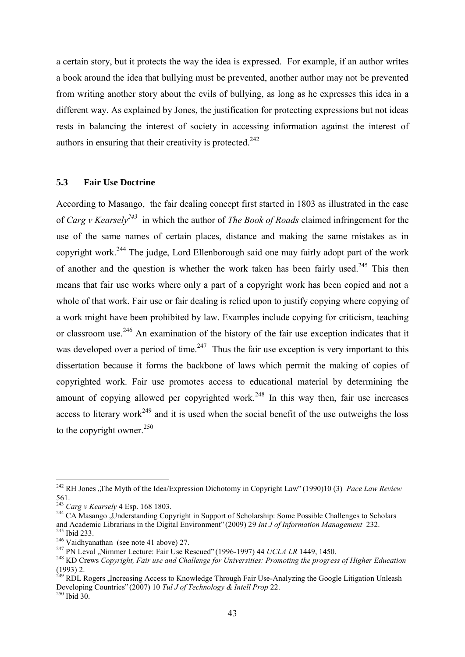a certain story, but it protects the way the idea is expressed. For example, if an author writes a book around the idea that bullying must be prevented, another author may not be prevented from writing another story about the evils of bullying, as long as he expresses this idea in a different way. As explained by Jones, the justification for protecting expressions but not ideas rests in balancing the interest of society in accessing information against the interest of authors in ensuring that their creativity is protected. $242$ 

# **5.3 Fair Use Doctrine**

According to Masango, the fair dealing concept first started in 1803 as illustrated in the case of *Carg v Kearsely<sup>243</sup>* in which the author of *The Book of Roads* claimed infringement for the use of the same names of certain places, distance and making the same mistakes as in copyright work.<sup>244</sup> The judge, Lord Ellenborough said one may fairly adopt part of the work of another and the question is whether the work taken has been fairly used.<sup>245</sup> This then means that fair use works where only a part of a copyright work has been copied and not a whole of that work. Fair use or fair dealing is relied upon to justify copying where copying of a work might have been prohibited by law. Examples include copying for criticism, teaching or classroom use.<sup>246</sup> An examination of the history of the fair use exception indicates that it was developed over a period of time. $247$  Thus the fair use exception is very important to this dissertation because it forms the backbone of laws which permit the making of copies of copyrighted work. Fair use promotes access to educational material by determining the amount of copying allowed per copyrighted work.<sup>248</sup> In this way then, fair use increases access to literary work<sup> $249$ </sup> and it is used when the social benefit of the use outweighs the loss to the copyright owner. $250$ 

<sup>&</sup>lt;sup>242</sup> RH Jones ,,The Myth of the Idea/Expression Dichotomy in Copyright Law" (1990)10 (3) *Pace Law Review* 561.

<sup>243</sup> *Carg v Kearsely* 4 Esp. 168 1803.

<sup>&</sup>lt;sup>244</sup> CA Masango "Understanding Copyright in Support of Scholarship: Some Possible Challenges to Scholars and Academic Librarians in the Digital Environment" (2009) 29 *Int J of Information Management* 232. <sup>245</sup> Ibid 233.

<sup>246</sup> Vaidhyanathan (see note 41 above) 27.

<sup>&</sup>lt;sup>247</sup> PN Leval ,Nimmer Lecture: Fair Use Rescued" (1996-1997) 44 *UCLA LR* 1449, 1450.

<sup>248</sup> KD Crews *Copyright, Fair use and Challenge for Universities: Promoting the progress of Higher Education*  (1993) 2.

<sup>&</sup>lt;sup>249</sup> RDL Rogers , Increasing Access to Knowledge Through Fair Use-Analyzing the Google Litigation Unleash Developing Countries" (2007) 10 *Tul J of Technology & Intell Prop* 22.

 $^{250}$  Ibid 30.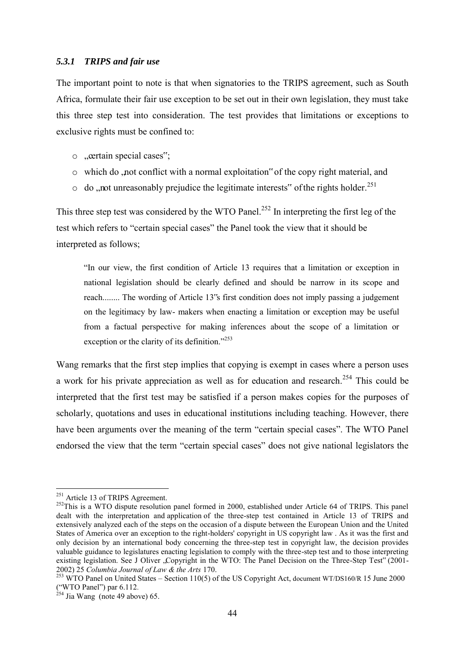### *5.3.1 TRIPS and fair use*

The important point to note is that when signatories to the TRIPS agreement, such as South Africa, formulate their fair use exception to be set out in their own legislation, they must take this three step test into consideration. The test provides that limitations or exceptions to exclusive rights must be confined to:

- $\circ$  . extain special cases";
- $\circ$  which do , not conflict with a normal exploitation" of the copy right material, and
- $\circ$  do , not unreasonably prejudice the legitimate interests" of the rights holder.<sup>251</sup>

This three step test was considered by the WTO Panel.<sup>252</sup> In interpreting the first leg of the test which refers to "certain special cases" the Panel took the view that it should be interpreted as follows;

"In our view, the first condition of Article 13 requires that a limitation or exception in national legislation should be clearly defined and should be narrow in its scope and reach........ The wording of Article 13"s first condition does not imply passing a judgement on the legitimacy by law- makers when enacting a limitation or exception may be useful from a factual perspective for making inferences about the scope of a limitation or exception or the clarity of its definition."<sup>253</sup>

Wang remarks that the first step implies that copying is exempt in cases where a person uses a work for his private appreciation as well as for education and research.<sup>254</sup> This could be interpreted that the first test may be satisfied if a person makes copies for the purposes of scholarly, quotations and uses in educational institutions including teaching. However, there have been arguments over the meaning of the term "certain special cases". The WTO Panel endorsed the view that the term "certain special cases" does not give national legislators the

<sup>&</sup>lt;sup>251</sup> Article 13 of TRIPS Agreement.

<sup>&</sup>lt;sup>252</sup>This is a WTO dispute resolution panel formed in 2000, established under Article 64 of TRIPS. This panel dealt with the interpretation and application of the three-step test contained in Article 13 of TRIPS and extensively analyzed each of the steps on the occasion of a dispute between the European Union and the United States of America over an exception to the right-holders' copyright in US copyright law . As it was the first and only decision by an international body concerning the three-step test in copyright law, the decision provides valuable guidance to legislatures enacting legislation to comply with the three-step test and to those interpreting existing legislation. See J Oliver .Copyright in the WTO: The Panel Decision on the Three-Step Test" (2001-2002) 25 *Columbia Journal of Law & the Arts* 170.

<sup>&</sup>lt;sup>253</sup> WTO Panel on United States – Section 110(5) of the US Copyright Act, document WT/DS160/R 15 June 2000 ("WTO Panel") par 6.112.

 $\frac{254}{254}$ Jia Wang (note 49 above) 65.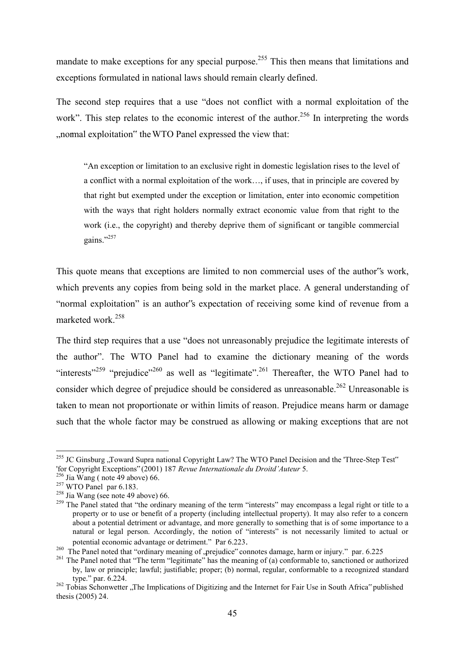mandate to make exceptions for any special purpose.<sup>255</sup> This then means that limitations and exceptions formulated in national laws should remain clearly defined.

The second step requires that a use "does not conflict with a normal exploitation of the work". This step relates to the economic interest of the author.<sup>256</sup> In interpreting the words ...normal exploitation" the WTO Panel expressed the view that:

"An exception or limitation to an exclusive right in domestic legislation rises to the level of a conflict with a normal exploitation of the work…, if uses, that in principle are covered by that right but exempted under the exception or limitation, enter into economic competition with the ways that right holders normally extract economic value from that right to the work (i.e., the copyright) and thereby deprive them of significant or tangible commercial gains." $^{257}$ 

This quote means that exceptions are limited to non commercial uses of the author"s work, which prevents any copies from being sold in the market place. A general understanding of "normal exploitation" is an author"s expectation of receiving some kind of revenue from a marketed work.<sup>258</sup>

The third step requires that a use "does not unreasonably prejudice the legitimate interests of the author". The WTO Panel had to examine the dictionary meaning of the words "interests"<sup>259</sup> "prejudice"<sup>260</sup> as well as "legitimate".<sup>261</sup> Thereafter, the WTO Panel had to consider which degree of prejudice should be considered as unreasonable.<sup>262</sup> Unreasonable is taken to mean not proportionate or within limits of reason. Prejudice means harm or damage such that the whole factor may be construed as allowing or making exceptions that are not

<sup>&</sup>lt;sup>255</sup> JC Ginsburg "Toward Supra national Copyright Law? The WTO Panel Decision and the 'Three-Step Test" 'for Copyright Exceptions" (2001) 187 *Revue Internationale du Droitd'Auteur* 5.

 $^{256}$  Jia Wang (note 49 above) 66.

 $257$  WTO Panel par 6.183.

<sup>&</sup>lt;sup>258</sup> Jia Wang (see note 49 above) 66.

<sup>&</sup>lt;sup>259</sup> The Panel stated that "the ordinary meaning of the term "interests" may encompass a legal right or title to a property or to use or benefit of a property (including intellectual property). It may also refer to a concern about a potential detriment or advantage, and more generally to something that is of some importance to a natural or legal person. Accordingly, the notion of "interests" is not necessarily limited to actual or potential economic advantage or detriment." Par 6.223.

<sup>&</sup>lt;sup>260</sup> The Panel noted that "ordinary meaning of , prejudice" connotes damage, harm or injury." par. 6.225

<sup>&</sup>lt;sup>261</sup> The Panel noted that "The term "legitimate" has the meaning of (a) conformable to, sanctioned or authorized by, law or principle; lawful; justifiable; proper; (b) normal, regular, conformable to a recognized standard type." par. 6.224.

<sup>&</sup>lt;sup>262</sup> Tobias Schonwetter "The Implications of Digitizing and the Internet for Fair Use in South Africa" published thesis (2005) 24.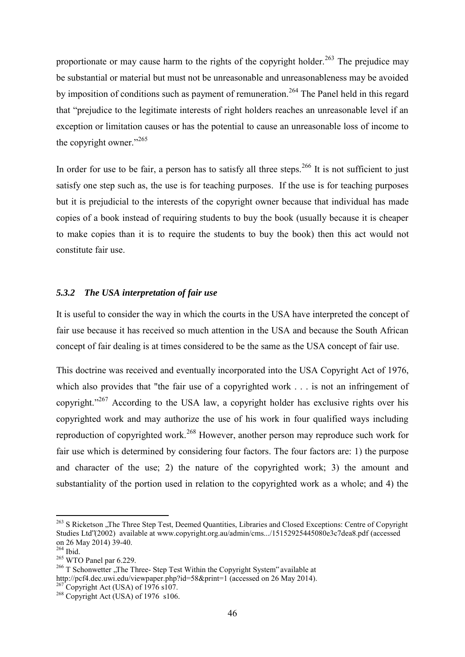proportionate or may cause harm to the rights of the copyright holder.<sup>263</sup> The prejudice may be substantial or material but must not be unreasonable and unreasonableness may be avoided by imposition of conditions such as payment of remuneration.<sup>264</sup> The Panel held in this regard that "prejudice to the legitimate interests of right holders reaches an unreasonable level if an exception or limitation causes or has the potential to cause an unreasonable loss of income to the copyright owner."<sup>265</sup>

In order for use to be fair, a person has to satisfy all three steps.<sup>266</sup> It is not sufficient to just satisfy one step such as, the use is for teaching purposes. If the use is for teaching purposes but it is prejudicial to the interests of the copyright owner because that individual has made copies of a book instead of requiring students to buy the book (usually because it is cheaper to make copies than it is to require the students to buy the book) then this act would not constitute fair use.

# *5.3.2 The USA interpretation of fair use*

It is useful to consider the way in which the courts in the USA have interpreted the concept of fair use because it has received so much attention in the USA and because the South African concept of fair dealing is at times considered to be the same as the USA concept of fair use.

This doctrine was received and eventually incorporated into the USA Copyright Act of 1976, which also provides that "the fair use of a copyrighted work . . . is not an infringement of copyright."<sup>267</sup> According to the USA law, a copyright holder has exclusive rights over his copyrighted work and may authorize the use of his work in four qualified ways including reproduction of copyrighted work.<sup>268</sup> However, another person may reproduce such work for fair use which is determined by considering four factors. The four factors are: 1) the purpose and character of the use; 2) the nature of the copyrighted work; 3) the amount and substantiality of the portion used in relation to the copyrighted work as a whole; and 4) the

<sup>&</sup>lt;sup>263</sup> S Ricketson "The Three Step Test, Deemed Quantities, Libraries and Closed Exceptions: Centre of Copyright Studies Ltd"(2002) available at [www.copyright.org.au/admin/cms.../15152925445080e3c7dea8.pdf](http://www.copyright.org.au/admin/cms.../15152925445080e3c7dea8.pdf) (accessed on 26 May 2014) 39-40.

<sup>264</sup> Ibid.

<sup>&</sup>lt;sup>265</sup> WTO Panel par 6.229.

 $266$  T Schonwetter . The Three- Step Test Within the Copyright System" available at http://pcf4.dec.uwi.edu/viewpaper.php?id=58&print=1 (accessed on 26 May 2014).

 $^{267}$ Copyright Act (USA) of 1976 s107.

 $268$  Copyright Act (USA) of 1976 s106.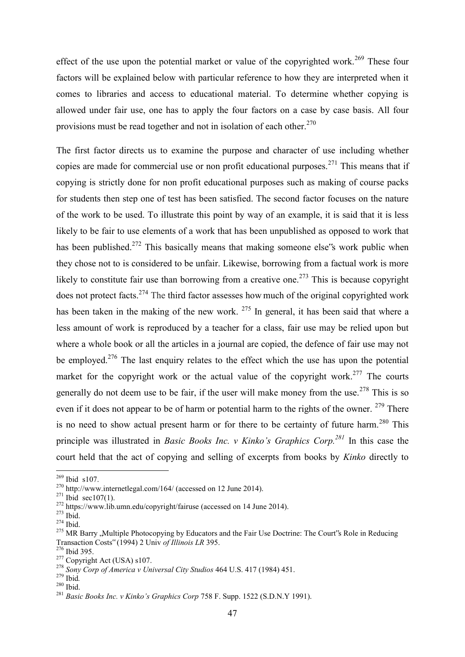effect of the use upon the potential market or value of the copyrighted work.<sup>269</sup> These four factors will be explained below with particular reference to how they are interpreted when it comes to libraries and access to educational material. To determine whether copying is allowed under fair use, one has to apply the four factors on a case by case basis. All four provisions must be read together and not in isolation of each other. $270$ 

The first factor directs us to examine the purpose and character of use including whether copies are made for commercial use or non profit educational purposes.<sup>271</sup> This means that if copying is strictly done for non profit educational purposes such as making of course packs for students then step one of test has been satisfied. The second factor focuses on the nature of the work to be used. To illustrate this point by way of an example, it is said that it is less likely to be fair to use elements of a work that has been unpublished as opposed to work that has been published.<sup>272</sup> This basically means that making someone else's work public when they chose not to is considered to be unfair. Likewise, borrowing from a factual work is more likely to constitute fair use than borrowing from a creative one.<sup>273</sup> This is because copyright does not protect facts.<sup>274</sup> The third factor assesses how much of the original copyrighted work has been taken in the making of the new work. <sup>275</sup> In general, it has been said that where a less amount of work is reproduced by a teacher for a class, fair use may be relied upon but where a whole book or all the articles in a journal are copied, the defence of fair use may not be employed.<sup>276</sup> The last enquiry relates to the effect which the use has upon the potential market for the copyright work or the actual value of the copyright work.<sup>277</sup> The courts generally do not deem use to be fair, if the user will make money from the use.<sup>278</sup> This is so even if it does not appear to be of harm or potential harm to the rights of the owner.  $279$  There is no need to show actual present harm or for there to be certainty of future harm.<sup>280</sup> This principle was illustrated in *Basic Books Inc. v Kinko's Graphics Corp.<sup>281</sup>* In this case the court held that the act of copying and selling of excerpts from books by *Kinko* directly to

 $^{269}$  Ibid s107.

<sup>270</sup> http://www.internetlegal.com/164/ (accessed on 12 June 2014).

 $271$  Ibid sec107(1).

<sup>272</sup> <https://www.lib.umn.edu/copyright/fairuse>(accessed on 14 June 2014).

<sup>273</sup> Ibid.

<sup>274</sup> Ibid.

<sup>&</sup>lt;sup>275</sup> MR Barry , Multiple Photocopying by Educators and the Fair Use Doctrine: The Court's Role in Reducing Transaction Costs" (1994) 2 Univ *of Illinois LR* 395.

<sup>276</sup> Ibid 395.

<sup>&</sup>lt;sup>277</sup> Copyright Act (USA) s107.

<sup>278</sup> *Sony Corp of America v Universal City Studios* 464 U.S. 417 (1984) 451.

<sup>279</sup> Ibid*.*

<sup>280</sup> Ibid.

<sup>281</sup> *Basic Books Inc. v Kinko's Graphics Corp* 758 F. Supp. 1522 (S.D.N.Y 1991).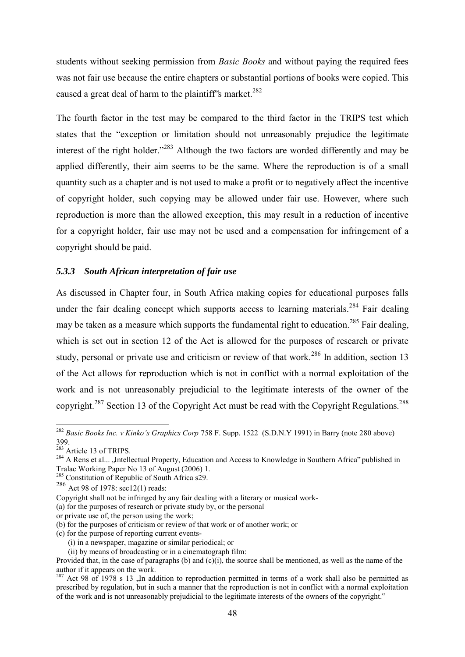students without seeking permission from *Basic Books* and without paying the required fees was not fair use because the entire chapters or substantial portions of books were copied. This caused a great deal of harm to the plaintiff's market.<sup>282</sup>

The fourth factor in the test may be compared to the third factor in the TRIPS test which states that the "exception or limitation should not unreasonably prejudice the legitimate interest of the right holder."<sup>283</sup> Although the two factors are worded differently and may be applied differently, their aim seems to be the same. Where the reproduction is of a small quantity such as a chapter and is not used to make a profit or to negatively affect the incentive of copyright holder, such copying may be allowed under fair use. However, where such reproduction is more than the allowed exception, this may result in a reduction of incentive for a copyright holder, fair use may not be used and a compensation for infringement of a copyright should be paid.

# *5.3.3 South African interpretation of fair use*

As discussed in Chapter four, in South Africa making copies for educational purposes falls under the fair dealing concept which supports access to learning materials.<sup>284</sup> Fair dealing may be taken as a measure which supports the fundamental right to education.<sup>285</sup> Fair dealing, which is set out in section 12 of the Act is allowed for the purposes of research or private study, personal or private use and criticism or review of that work.<sup>286</sup> In addition, section 13 of the Act allows for reproduction which is not in conflict with a normal exploitation of the work and is not unreasonably prejudicial to the legitimate interests of the owner of the copyright.<sup>287</sup> Section 13 of the Copyright Act must be read with the Copyright Regulations.<sup>288</sup>

- or private use of, the person using the work;
- (b) for the purposes of criticism or review of that work or of another work; or
- (c) for the purpose of reporting current events-
	- (i) in a newspaper, magazine or similar periodical; or
	- (ii) by means of broadcasting or in a cinematograph film:

<sup>282</sup> *Basic Books Inc. v Kinko's Graphics Corp* 758 F. Supp. 1522 (S.D.N.Y 1991) in Barry (note 280 above) 399.

 $283$  Article 13 of TRIPS.

<sup>&</sup>lt;sup>284</sup> A Rens et al... , Intellectual Property, Education and Access to Knowledge in Southern Africa" published in Tralac Working Paper No 13 of August (2006) 1.

<sup>&</sup>lt;sup>285</sup> Constitution of Republic of South Africa s29.

<sup>286</sup> Act 98 of 1978: sec12(1) reads:

Copyright shall not be infringed by any fair dealing with a literary or musical work-

<sup>(</sup>a) for the purposes of research or private study by, or the personal

Provided that, in the case of paragraphs (b) and  $(c)(i)$ , the source shall be mentioned, as well as the name of the author if it appears on the work.

<sup>&</sup>lt;sup>287</sup> Act 98 of 1978 s 13  $\alpha$ . In addition to reproduction permitted in terms of a work shall also be permitted as prescribed by regulation, but in such a manner that the reproduction is not in conflict with a normal exploitation of the work and is not unreasonably prejudicial to the legitimate interests of the owners of the copyright."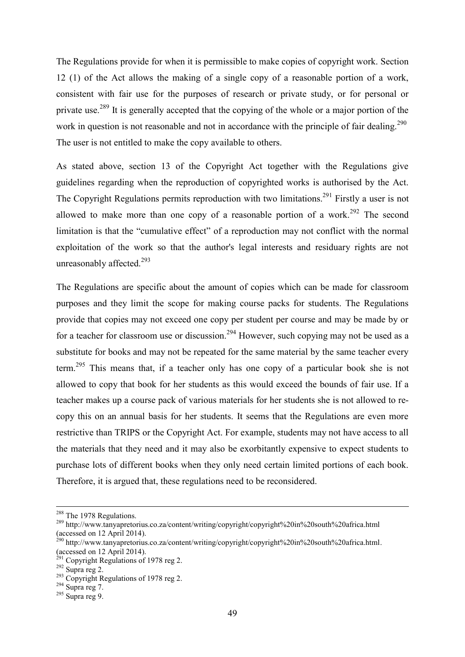The Regulations provide for when it is permissible to make copies of copyright work. Section 12 (1) of the Act allows the making of a single copy of a reasonable portion of a work, consistent with fair use for the purposes of research or private study, or for personal or private use.<sup>289</sup> It is generally accepted that the copying of the whole or a major portion of the work in question is not reasonable and not in accordance with the principle of fair dealing.<sup>290</sup> The user is not entitled to make the copy available to others.

As stated above, section 13 of the Copyright Act together with the Regulations give guidelines regarding when the reproduction of copyrighted works is authorised by the Act. The Copyright Regulations permits reproduction with two limitations.<sup>291</sup> Firstly a user is not allowed to make more than one copy of a reasonable portion of a work.<sup>292</sup> The second limitation is that the "cumulative effect" of a reproduction may not conflict with the normal exploitation of the work so that the author's legal interests and residuary rights are not unreasonably affected.<sup>293</sup>

The Regulations are specific about the amount of copies which can be made for classroom purposes and they limit the scope for making course packs for students. The Regulations provide that copies may not exceed one copy per student per course and may be made by or for a teacher for classroom use or discussion.<sup>294</sup> However, such copying may not be used as a substitute for books and may not be repeated for the same material by the same teacher every term.<sup>295</sup> This means that, if a teacher only has one copy of a particular book she is not allowed to copy that book for her students as this would exceed the bounds of fair use. If a teacher makes up a course pack of various materials for her students she is not allowed to recopy this on an annual basis for her students. It seems that the Regulations are even more restrictive than TRIPS or the Copyright Act. For example, students may not have access to all the materials that they need and it may also be exorbitantly expensive to expect students to purchase lots of different books when they only need certain limited portions of each book. Therefore, it is argued that, these regulations need to be reconsidered.

<sup>&</sup>lt;sup>288</sup> The 1978 Regulations.

<sup>289</sup> <http://www.tanyapretorius.co.za/content/writing/copyright/copyright%20in%20south%20africa.html> (accessed on 12 April 2014).

<sup>&</sup>lt;sup>290</sup> http://www.tanyapretorius.co.za/content/writing/copyright/copyright%20in%20south%20africa.html. (accessed on 12 April 2014).

 $^{291}$  Copyright Regulations of 1978 reg 2.

 $292$  Supra reg 2.

 $293$  Copyright Regulations of 1978 reg 2.

 $^{294}$  Supra reg 7.

<sup>295</sup> Supra reg 9.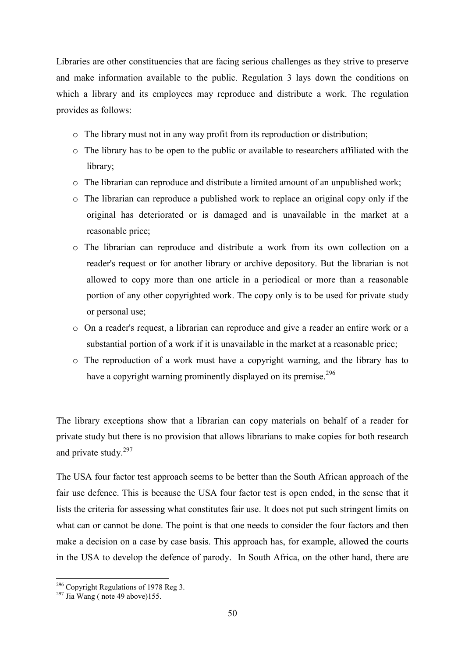Libraries are other constituencies that are facing serious challenges as they strive to preserve and make information available to the public. Regulation 3 lays down the conditions on which a library and its employees may reproduce and distribute a work. The regulation provides as follows:

- o The library must not in any way profit from its reproduction or distribution;
- o The library has to be open to the public or available to researchers affiliated with the library;
- o The librarian can reproduce and distribute a limited amount of an unpublished work;
- o The librarian can reproduce a published work to replace an original copy only if the original has deteriorated or is damaged and is unavailable in the market at a reasonable price;
- o The librarian can reproduce and distribute a work from its own collection on a reader's request or for another library or archive depository. But the librarian is not allowed to copy more than one article in a periodical or more than a reasonable portion of any other copyrighted work. The copy only is to be used for private study or personal use;
- o On a reader's request, a librarian can reproduce and give a reader an entire work or a substantial portion of a work if it is unavailable in the market at a reasonable price;
- o The reproduction of a work must have a copyright warning, and the library has to have a copyright warning prominently displayed on its premise.<sup>296</sup>

The library exceptions show that a librarian can copy materials on behalf of a reader for private study but there is no provision that allows librarians to make copies for both research and private study.<sup>297</sup>

The USA four factor test approach seems to be better than the South African approach of the fair use defence. This is because the USA four factor test is open ended, in the sense that it lists the criteria for assessing what constitutes fair use. It does not put such stringent limits on what can or cannot be done. The point is that one needs to consider the four factors and then make a decision on a case by case basis. This approach has, for example, allowed the courts in the USA to develop the defence of parody. In South Africa, on the other hand, there are

 $296$  Copyright Regulations of 1978 Reg 3.

 $^{297}$  Jia Wang (note 49 above)155.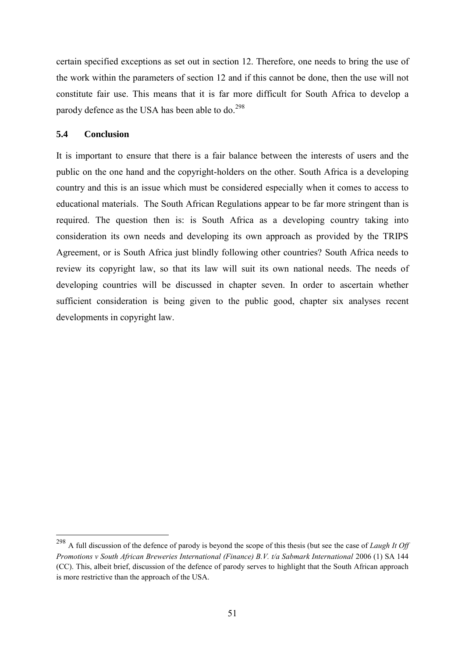certain specified exceptions as set out in section 12. Therefore, one needs to bring the use of the work within the parameters of section 12 and if this cannot be done, then the use will not constitute fair use. This means that it is far more difficult for South Africa to develop a parody defence as the USA has been able to do.<sup>298</sup>

# **5.4 Conclusion**

-

It is important to ensure that there is a fair balance between the interests of users and the public on the one hand and the copyright-holders on the other. South Africa is a developing country and this is an issue which must be considered especially when it comes to access to educational materials. The South African Regulations appear to be far more stringent than is required. The question then is: is South Africa as a developing country taking into consideration its own needs and developing its own approach as provided by the TRIPS Agreement, or is South Africa just blindly following other countries? South Africa needs to review its copyright law, so that its law will suit its own national needs. The needs of developing countries will be discussed in chapter seven. In order to ascertain whether sufficient consideration is being given to the public good, chapter six analyses recent developments in copyright law.

<sup>298</sup> A full discussion of the defence of parody is beyond the scope of this thesis (but see the case of *Laugh It Off Promotions v South African Breweries International (Finance) B.V. t/a Sabmark International 2006 (1) SA 144* (CC). This, albeit brief, discussion of the defence of parody serves to highlight that the South African approach is more restrictive than the approach of the USA.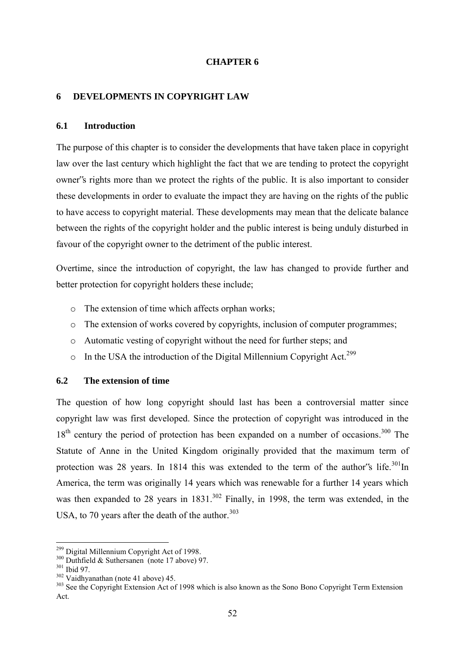# **CHAPTER 6**

### **6 DEVELOPMENTS IN COPYRIGHT LAW**

# **6.1 Introduction**

The purpose of this chapter is to consider the developments that have taken place in copyright law over the last century which highlight the fact that we are tending to protect the copyright owner"s rights more than we protect the rights of the public. It is also important to consider these developments in order to evaluate the impact they are having on the rights of the public to have access to copyright material. These developments may mean that the delicate balance between the rights of the copyright holder and the public interest is being unduly disturbed in favour of the copyright owner to the detriment of the public interest.

Overtime, since the introduction of copyright, the law has changed to provide further and better protection for copyright holders these include;

- o The extension of time which affects orphan works;
- o The extension of works covered by copyrights, inclusion of computer programmes;
- o Automatic vesting of copyright without the need for further steps; and
- $\circ$  In the USA the introduction of the Digital Millennium Copyright Act.<sup>299</sup>

# **6.2 The extension of time**

The question of how long copyright should last has been a controversial matter since copyright law was first developed. Since the protection of copyright was introduced in the  $18<sup>th</sup>$  century the period of protection has been expanded on a number of occasions.<sup>300</sup> The Statute of Anne in the United Kingdom originally provided that the maximum term of protection was 28 years. In 1814 this was extended to the term of the author's life.<sup>301</sup>In America, the term was originally 14 years which was renewable for a further 14 years which was then expanded to 28 years in  $1831.<sup>302</sup>$  Finally, in 1998, the term was extended, in the USA, to 70 years after the death of the author. $303$ 

<sup>&</sup>lt;sup>299</sup> Digital Millennium Copyright Act of 1998.

<sup>300</sup> Duthfield & Suthersanen (note 17 above) 97.

<sup>301</sup> Ibid 97.

<sup>302</sup> Vaidhyanathan (note 41 above) 45.

<sup>&</sup>lt;sup>303</sup> See the Copyright Extension Act of 1998 which is also known as the Sono Bono Copyright Term Extension Act.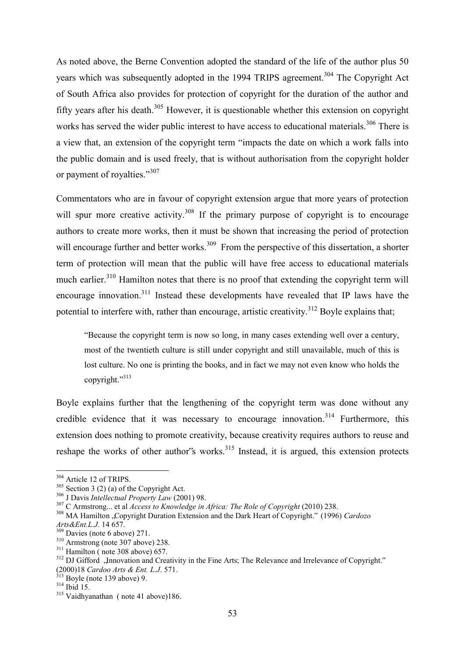As noted above, the Berne Convention adopted the standard of the life of the author plus 50 years which was subsequently adopted in the 1994 TRIPS agreement.<sup>304</sup> The Copyright Act of South Africa also provides for protection of copyright for the duration of the author and fifty years after his death.<sup>305</sup> However, it is questionable whether this extension on copyright works has served the wider public interest to have access to educational materials.<sup>306</sup> There is a view that, an extension of the copyright term "impacts the date on which a work falls into the public domain and is used freely, that is without authorisation from the copyright holder or payment of royalties."<sup>307</sup>

Commentators who are in favour of copyright extension argue that more years of protection will spur more creative activity.<sup>308</sup> If the primary purpose of copyright is to encourage authors to create more works, then it must be shown that increasing the period of protection will encourage further and better works.<sup>309</sup> From the perspective of this dissertation, a shorter term of protection will mean that the public will have free access to educational materials much earlier.<sup>310</sup> Hamilton notes that there is no proof that extending the copyright term will encourage innovation.<sup>311</sup> Instead these developments have revealed that IP laws have the potential to interfere with, rather than encourage, artistic creativity.<sup>312</sup> Boyle explains that;

"Because the copyright term is now so long, in many cases extending well over a century, most of the twentieth culture is still under copyright and still unavailable, much of this is lost culture. No one is printing the books, and in fact we may not even know who holds the copyright."<sup>313</sup>

Boyle explains further that the lengthening of the copyright term was done without any credible evidence that it was necessary to encourage innovation.<sup>314</sup> Furthermore, this extension does nothing to promote creativity, because creativity requires authors to reuse and reshape the works of other author's works.<sup>315</sup> Instead, it is argued, this extension protects

<sup>&</sup>lt;sup>304</sup> Article 12 of TRIPS.

 $305$  Section 3 (2) (a) of the Copyright Act.

<sup>306</sup> J Davis *Intellectual Property Law* (2001) 98.

<sup>&</sup>lt;sup>307</sup> C Armstrong... et al *Access to Knowledge in Africa: The Role of Copyright* (2010) 238.

<sup>&</sup>lt;sup>308</sup> MA Hamilton "Copyright Duration Extension and the Dark Heart of Copyright." (1996) *Cardozo Arts&Ent.L.J.* 14 657.

<sup>309</sup> Davies (note 6 above) 271.

<sup>310</sup> Armstrong (note 307 above) 238.

 $311$  Hamilton (note 308 above) 657.

<sup>&</sup>lt;sup>312</sup> DJ Gifford "Innovation and Creativity in the Fine Arts; The Relevance and Irrelevance of Copyright." (2000)18 *Cardoo Arts & Ent. L.J*. 571.

 $313$  Boyle (note 139 above) 9.

<sup>314</sup> Ibid 15.

<sup>315</sup> Vaidhyanathan ( note 41 above)186.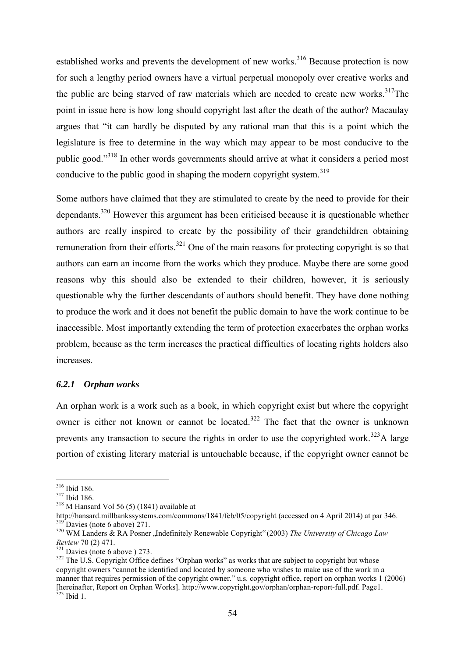established works and prevents the development of new works.<sup>316</sup> Because protection is now for such a lengthy period owners have a virtual perpetual monopoly over creative works and the public are being starved of raw materials which are needed to create new works. $317$ The point in issue here is how long should copyright last after the death of the author? Macaulay argues that "it can hardly be disputed by any rational man that this is a point which the legislature is free to determine in the way which may appear to be most conducive to the public good."<sup>318</sup> In other words governments should arrive at what it considers a period most conducive to the public good in shaping the modern copyright system.<sup>319</sup>

Some authors have claimed that they are stimulated to create by the need to provide for their dependants.<sup>320</sup> However this argument has been criticised because it is questionable whether authors are really inspired to create by the possibility of their grandchildren obtaining remuneration from their efforts.<sup>321</sup> One of the main reasons for protecting copyright is so that authors can earn an income from the works which they produce. Maybe there are some good reasons why this should also be extended to their children, however, it is seriously questionable why the further descendants of authors should benefit. They have done nothing to produce the work and it does not benefit the public domain to have the work continue to be inaccessible. Most importantly extending the term of protection exacerbates the orphan works problem, because as the term increases the practical difficulties of locating rights holders also increases.

## *6.2.1 Orphan works*

An orphan work is a work such as a book, in which copyright exist but where the copyright owner is either not known or cannot be located.<sup>322</sup> The fact that the owner is unknown prevents any transaction to secure the rights in order to use the copyrighted work.<sup>323</sup>A large portion of existing literary material is untouchable because, if the copyright owner cannot be

<sup>316</sup> Ibid 186.

 $317$  Ibid 186.

<sup>318</sup> M Hansard Vol 56 (5) (1841) available at

<http://hansard.millbankssystems.com/commons/1841/feb/05/copyright>(accessed on 4 April 2014) at par 346.  $319$  Davies (note 6 above) 271.

<sup>&</sup>lt;sup>320</sup> WM Landers & RA Posner , Indefinitely Renewable Copyright" (2003) The University of Chicago Law *Review* 70 (2) 471.

 $321$  Davies (note 6 above ) 273.

 $322$  The U.S. Copyright Office defines "Orphan works" as works that are subject to copyright but whose copyright owners "cannot be identified and located by someone who wishes to make use of the work in a manner that requires permission of the copyright owner." u.s. copyright office, report on orphan works 1 (2006) [hereinafter, Report on Orphan Works]. [http://www.copyright.gov/orphan/orphan-report-full.pdf.](http://www.copyright.gov/orphan/orphan-report-full.pdf) Page1. <sup>323</sup> Ibid 1.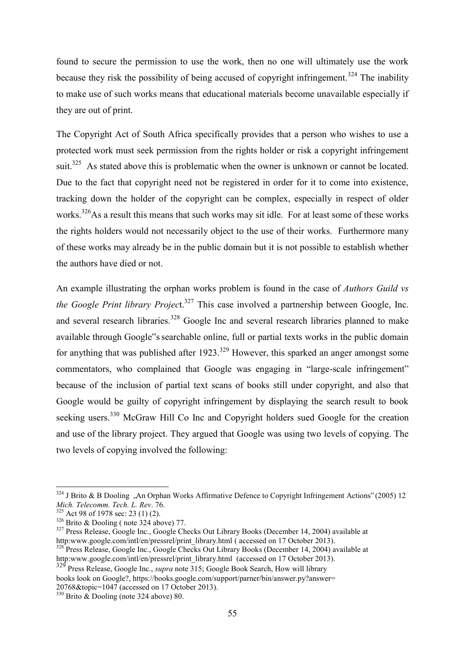found to secure the permission to use the work, then no one will ultimately use the work because they risk the possibility of being accused of copyright infringement.<sup>324</sup> The inability to make use of such works means that educational materials become unavailable especially if they are out of print.

The Copyright Act of South Africa specifically provides that a person who wishes to use a protected work must seek permission from the rights holder or risk a copyright infringement suit.<sup>325</sup> As stated above this is problematic when the owner is unknown or cannot be located. Due to the fact that copyright need not be registered in order for it to come into existence, tracking down the holder of the copyright can be complex, especially in respect of older works.<sup>326</sup>As a result this means that such works may sit idle. For at least some of these works the rights holders would not necessarily object to the use of their works. Furthermore many of these works may already be in the public domain but it is not possible to establish whether the authors have died or not.

An example illustrating the orphan works problem is found in the case of *Authors Guild vs the Google Print library Project.*<sup>327</sup> This case involved a partnership between Google, Inc. and several research libraries.<sup>328</sup> Google Inc and several research libraries planned to make available through Google"s searchable online, full or partial texts works in the public domain for anything that was published after  $1923$ <sup>329</sup> However, this sparked an anger amongst some commentators, who complained that Google was engaging in "large-scale infringement" because of the inclusion of partial text scans of books still under copyright, and also that Google would be guilty of copyright infringement by displaying the search result to book seeking users.<sup>330</sup> McGraw Hill Co Inc and Copyright holders sued Google for the creation and use of the library project. They argued that Google was using two levels of copying. The two levels of copying involved the following:

 $324$  J Brito & B Dooling ,An Orphan Works Affirmative Defence to Copyright Infringement Actions" (2005) 12 *Mich. Telecomm. Tech. L. Rev*. 76.

 $325$  Act 98 of 1978 sec: 23 (1) (2).

 $326$  Brito & Dooling (note  $324$  above) 77.

<sup>&</sup>lt;sup>327</sup> Press Release, Google Inc., Google Checks Out Library Books (December 14, 2004) available at http:www.google.com/intl/en/pressrel/print\_library.html ( accessed on 17 October 2013).

<sup>&</sup>lt;sup>328</sup> Press Release, Google Inc., Google Checks Out Library Books (December 14, 2004) available at http:www.google.com/intl/en/pressrel/print\_library.html (accessed on 17 October 2013).

<sup>329</sup> Press Release, Google Inc., *supra* note 315; Google Book Search, How will library books look on Google?, https://books.google.com/support/parner/bin/answer.py?answer= 20768&topic=1047 (accessed on 17 October 2013).

 $330$  Brito & Dooling (note 324 above) 80.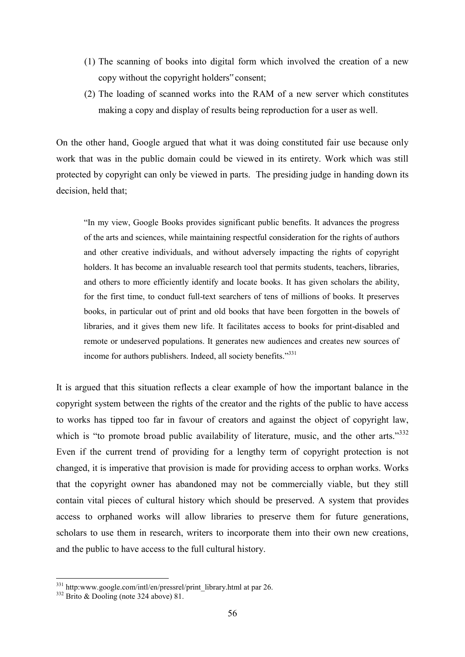- (1) The scanning of books into digital form which involved the creation of a new copy without the copyright holders" consent;
- (2) The loading of scanned works into the RAM of a new server which constitutes making a copy and display of results being reproduction for a user as well.

On the other hand, Google argued that what it was doing constituted fair use because only work that was in the public domain could be viewed in its entirety. Work which was still protected by copyright can only be viewed in parts. The presiding judge in handing down its decision, held that;

"In my view, Google Books provides significant public benefits. It advances the progress of the arts and sciences, while maintaining respectful consideration for the rights of authors and other creative individuals, and without adversely impacting the rights of copyright holders. It has become an invaluable research tool that permits students, teachers, libraries, and others to more efficiently identify and locate books. It has given scholars the ability, for the first time, to conduct full-text searchers of tens of millions of books. It preserves books, in particular out of print and old books that have been forgotten in the bowels of libraries, and it gives them new life. It facilitates access to books for print-disabled and remote or undeserved populations. It generates new audiences and creates new sources of income for authors publishers. Indeed, all society benefits."<sup>331</sup>

It is argued that this situation reflects a clear example of how the important balance in the copyright system between the rights of the creator and the rights of the public to have access to works has tipped too far in favour of creators and against the object of copyright law, which is "to promote broad public availability of literature, music, and the other arts."<sup>332</sup> Even if the current trend of providing for a lengthy term of copyright protection is not changed, it is imperative that provision is made for providing access to orphan works. Works that the copyright owner has abandoned may not be commercially viable, but they still contain vital pieces of cultural history which should be preserved. A system that provides access to orphaned works will allow libraries to preserve them for future generations, scholars to use them in research, writers to incorporate them into their own new creations, and the public to have access to the full cultural history.

<sup>&</sup>lt;sup>331</sup> http:www.google.com/intl/en/pressrel/print\_library.html at par 26.

 $332$  Brito & Dooling (note 324 above) 81.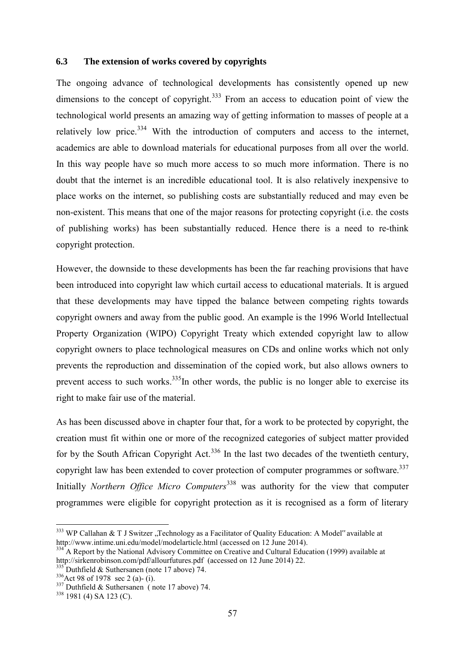## **6.3 The extension of works covered by copyrights**

The ongoing advance of technological developments has consistently opened up new dimensions to the concept of copyright.<sup>333</sup> From an access to education point of view the technological world presents an amazing way of getting information to masses of people at a relatively low price. $334$  With the introduction of computers and access to the internet, academics are able to download materials for educational purposes from all over the world. In this way people have so much more access to so much more information. There is no doubt that the internet is an incredible educational tool. It is also relatively inexpensive to place works on the internet, so publishing costs are substantially reduced and may even be non-existent. This means that one of the major reasons for protecting copyright (i.e. the costs of publishing works) has been substantially reduced. Hence there is a need to re-think copyright protection.

However, the downside to these developments has been the far reaching provisions that have been introduced into copyright law which curtail access to educational materials. It is argued that these developments may have tipped the balance between competing rights towards copyright owners and away from the public good. An example is the 1996 World Intellectual Property Organization (WIPO) Copyright Treaty which extended copyright law to allow copyright owners to place technological measures on CDs and online works which not only prevents the reproduction and dissemination of the copied work, but also allows owners to prevent access to such works.<sup>335</sup>In other words, the public is no longer able to exercise its right to make fair use of the material.

As has been discussed above in chapter four that, for a work to be protected by copyright, the creation must fit within one or more of the recognized categories of subject matter provided for by the South African Copyright Act.<sup>336</sup> In the last two decades of the twentieth century, copyright law has been extended to cover protection of computer programmes or software.<sup>337</sup> Initially *Northern Office Micro Computers*<sup>338</sup> was authority for the view that computer programmes were eligible for copyright protection as it is recognised as a form of literary

 $333$  WP Callahan & T J Switzer ,,Technology as a Facilitator of Quality Education: A Model" available at <http://www.intime.uni.edu/model/modelarticle.html>(accessed on 12 June 2014).

<sup>&</sup>lt;sup>1</sup> A Report by the National Advisory Committee on Creative and Cultural Education (1999) available at <http://sirkenrobinson.com/pdf/allourfutures.pdf>(accessed on 12 June 2014) 22.

 $335$  Duthfield & Suthersanen (note 17 above) 74.

 $336$ Act 98 of 1978 sec 2 (a)- (i).

<sup>337</sup> Duthfield & Suthersanen ( note 17 above) 74.

<sup>338</sup> 1981 (4) SA 123 (C).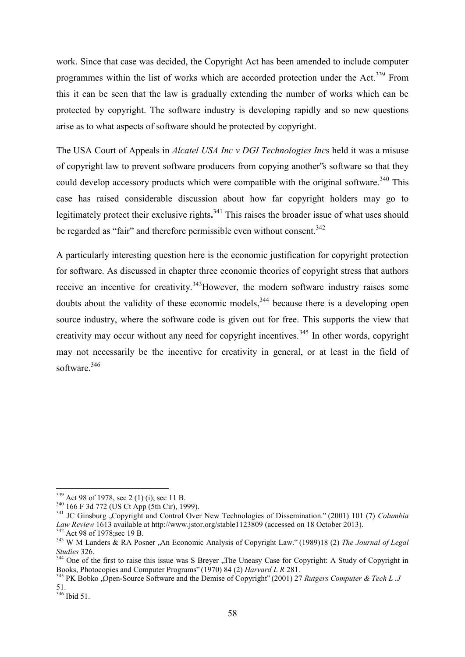work. Since that case was decided, the Copyright Act has been amended to include computer programmes within the list of works which are accorded protection under the Act.<sup>339</sup> From this it can be seen that the law is gradually extending the number of works which can be protected by copyright. The software industry is developing rapidly and so new questions arise as to what aspects of software should be protected by copyright.

The USA Court of Appeals in *Alcatel USA Inc v DGI Technologies Inc*s held it was a misuse of copyright law to prevent software producers from copying another"s software so that they could develop accessory products which were compatible with the original software.<sup>340</sup> This case has raised considerable discussion about how far copyright holders may go to legitimately protect their exclusive rights**.** <sup>341</sup> This raises the broader issue of what uses should be regarded as "fair" and therefore permissible even without consent.<sup>342</sup>

A particularly interesting question here is the economic justification for copyright protection for software. As discussed in chapter three economic theories of copyright stress that authors receive an incentive for creativity.<sup>343</sup>However, the modern software industry raises some doubts about the validity of these economic models,<sup>344</sup> because there is a developing open source industry, where the software code is given out for free. This supports the view that creativity may occur without any need for copyright incentives.<sup>345</sup> In other words, copyright may not necessarily be the incentive for creativity in general, or at least in the field of software<sup>346</sup>

 $339$  Act 98 of 1978, sec 2 (1) (i); sec 11 B.

<sup>340</sup> 166 F 3d 772 (US Ct App (5th Cir), 1999).

<sup>&</sup>lt;sup>341</sup> JC Ginsburg "Copyright and Control Over New Technologies of Dissemination." (2001) 101 (7) *Columbia Law Review* 1613 available at<http://www.jstor.org/stable1123809> (accessed on 18 October 2013). <sup>342</sup> Act 98 of 1978;sec 19 B.

<sup>&</sup>lt;sup>343</sup> W M Landers & RA Posner , An Economic Analysis of Copyright Law." (1989)18 (2) The Journal of Legal *Studies* 326.

<sup>&</sup>lt;sup>344</sup> One of the first to raise this issue was S Breyer "The Uneasy Case for Copyright: A Study of Copyright in Books, Photocopies and Computer Programs" (1970) 84 (2) *Harvard L R* 281.

<sup>&</sup>lt;sup>345</sup> PK Bobko "Open-Source Software and the Demise of Copyright" (2001) 27 *Rutgers Computer & Tech L .J* 51.

 $346$  Ibid 51.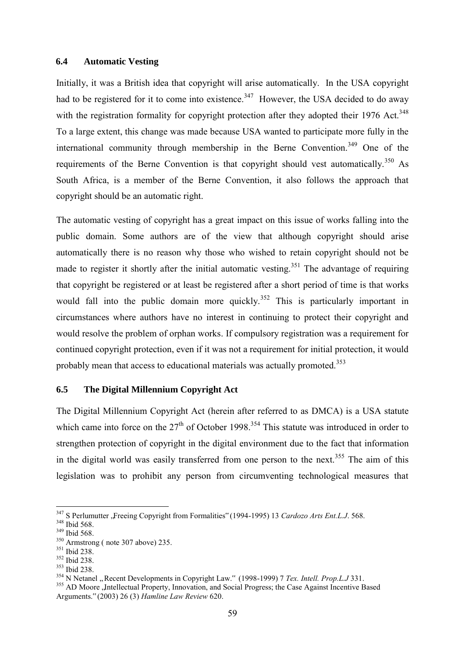### **6.4 Automatic Vesting**

Initially, it was a British idea that copyright will arise automatically. In the USA copyright had to be registered for it to come into existence.<sup>347</sup> However, the USA decided to do away with the registration formality for copyright protection after they adopted their 1976 Act.<sup>348</sup> To a large extent, this change was made because USA wanted to participate more fully in the international community through membership in the Berne Convention.<sup>349</sup> One of the requirements of the Berne Convention is that copyright should vest automatically.<sup>350</sup> As South Africa, is a member of the Berne Convention, it also follows the approach that copyright should be an automatic right.

The automatic vesting of copyright has a great impact on this issue of works falling into the public domain. Some authors are of the view that although copyright should arise automatically there is no reason why those who wished to retain copyright should not be made to register it shortly after the initial automatic vesting.<sup>351</sup> The advantage of requiring that copyright be registered or at least be registered after a short period of time is that works would fall into the public domain more quickly.<sup>352</sup> This is particularly important in circumstances where authors have no interest in continuing to protect their copyright and would resolve the problem of orphan works. If compulsory registration was a requirement for continued copyright protection, even if it was not a requirement for initial protection, it would probably mean that access to educational materials was actually promoted.<sup>353</sup>

# **6.5 The Digital Millennium Copyright Act**

The Digital Millennium Copyright Act (herein after referred to as DMCA) is a USA statute which came into force on the  $27<sup>th</sup>$  of October 1998.<sup>354</sup> This statute was introduced in order to strengthen protection of copyright in the digital environment due to the fact that information in the digital world was easily transferred from one person to the next.<sup>355</sup> The aim of this legislation was to prohibit any person from circumventing technological measures that

<sup>&</sup>lt;sup>347</sup> S Perlumutter "Freeing Copyright from Formalities" (1994-1995) 13 *Cardozo Arts Ent.L.J.* 568.

<sup>348</sup> Ibid 568.

<sup>349</sup> Ibid 568.

<sup>350</sup> Armstrong ( note 307 above) 235.

<sup>351</sup> Ibid 238.

<sup>352</sup> Ibid 238.

<sup>353</sup> Ibid 238.

<sup>&</sup>lt;sup>354</sup> N Netanel " Recent Developments in Copyright Law." (1998-1999) 7 *Tex. Intell. Prop.L.J* 331.

<sup>&</sup>lt;sup>355</sup> AD Moore , Intellectual Property, Innovation, and Social Progress; the Case Against Incentive Based Arguments." (2003) 26 (3) *Hamline Law Review* 620.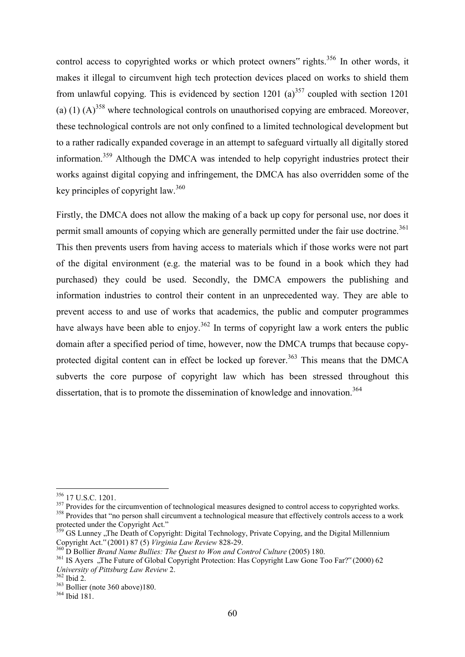control access to copyrighted works or which protect owners" rights.<sup>356</sup> In other words, it makes it illegal to circumvent high tech protection devices placed on works to shield them from unlawful copying. This is evidenced by section 1201 (a)<sup>357</sup> coupled with section 1201 (a) (1)  $(A)$ <sup>358</sup> where technological controls on unauthorised copying are embraced. Moreover, these technological controls are not only confined to a limited technological development but to a rather radically expanded coverage in an attempt to safeguard virtually all digitally stored information.<sup>359</sup> Although the DMCA was intended to help copyright industries protect their works against digital copying and infringement, the DMCA has also overridden some of the key principles of copyright law.  $360$ 

Firstly, the DMCA does not allow the making of a back up copy for personal use, nor does it permit small amounts of copying which are generally permitted under the fair use doctrine.<sup>361</sup> This then prevents users from having access to materials which if those works were not part of the digital environment (e.g. the material was to be found in a book which they had purchased) they could be used. Secondly, the DMCA empowers the publishing and information industries to control their content in an unprecedented way. They are able to prevent access to and use of works that academics, the public and computer programmes have always have been able to enjoy.<sup>362</sup> In terms of copyright law a work enters the public domain after a specified period of time, however, now the DMCA trumps that because copyprotected digital content can in effect be locked up forever.<sup>363</sup> This means that the DMCA subverts the core purpose of copyright law which has been stressed throughout this dissertation, that is to promote the dissemination of knowledge and innovation.<sup>364</sup>

-

<sup>357</sup> Provides for the circumvention of technological measures designed to control access to copyrighted works.

<sup>356</sup> 17 U.S.C. 1201.

<sup>&</sup>lt;sup>358</sup> Provides that "no person shall circumvent a technological measure that effectively controls access to a work protected under the Copyright Act."

<sup>&</sup>lt;sup>359</sup> GS Lunney ,,The Death of Copyright: Digital Technology, Private Copying, and the Digital Millennium Copyright Act." (2001) 87 (5) *Virginia Law Review* 828-29.

<sup>360</sup> D Bollier *Brand Name Bullies: The Quest to Won and Control Culture* (2005) 180.

<sup>&</sup>lt;sup>361</sup> IS Ayers "The Future of Global Copyright Protection: Has Copyright Law Gone Too Far?" (2000) 62 *University of Pittsburg Law Review* 2.

<sup>362</sup> Ibid 2.

 $363$  Bollier (note 360 above)180.

 $364$  Ibid 181.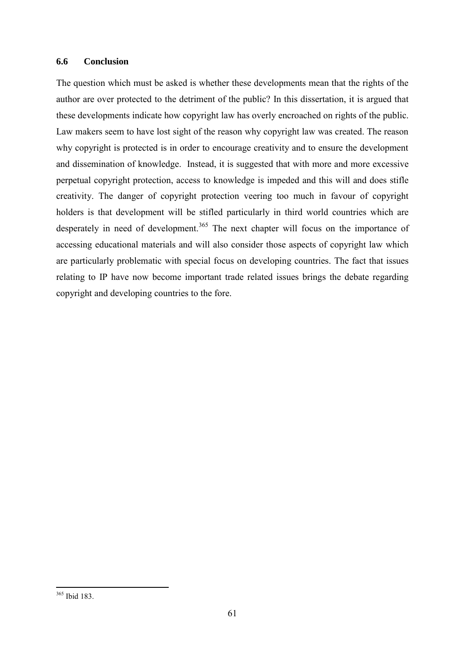# **6.6 Conclusion**

The question which must be asked is whether these developments mean that the rights of the author are over protected to the detriment of the public? In this dissertation, it is argued that these developments indicate how copyright law has overly encroached on rights of the public. Law makers seem to have lost sight of the reason why copyright law was created. The reason why copyright is protected is in order to encourage creativity and to ensure the development and dissemination of knowledge. Instead, it is suggested that with more and more excessive perpetual copyright protection, access to knowledge is impeded and this will and does stifle creativity. The danger of copyright protection veering too much in favour of copyright holders is that development will be stifled particularly in third world countries which are desperately in need of development.<sup>365</sup> The next chapter will focus on the importance of accessing educational materials and will also consider those aspects of copyright law which are particularly problematic with special focus on developing countries. The fact that issues relating to IP have now become important trade related issues brings the debate regarding copyright and developing countries to the fore.

<sup>365</sup> Ibid 183.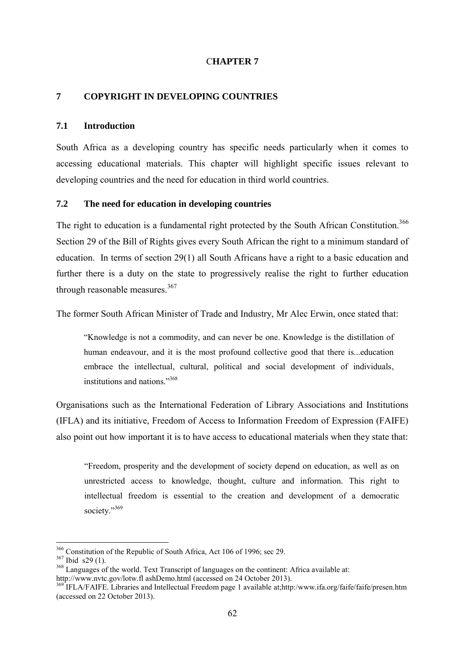# C**HAPTER 7**

### **7 COPYRIGHT IN DEVELOPING COUNTRIES**

# **7.1 Introduction**

South Africa as a developing country has specific needs particularly when it comes to accessing educational materials. This chapter will highlight specific issues relevant to developing countries and the need for education in third world countries.

# **7.2 The need for education in developing countries**

The right to education is a fundamental right protected by the South African Constitution.<sup>366</sup> Section 29 of the Bill of Rights gives every South African the right to a minimum standard of education. In terms of section 29(1) all South Africans have a right to a basic education and further there is a duty on the state to progressively realise the right to further education through reasonable measures.<sup>367</sup>

The former South African Minister of Trade and Industry, Mr Alec Erwin, once stated that:

"Knowledge is not a commodity, and can never be one. Knowledge is the distillation of human endeavour, and it is the most profound collective good that there is...education embrace the intellectual, cultural, political and social development of individuals, institutions and nations."<sup>368</sup>

Organisations such as the International Federation of Library Associations and Institutions (IFLA) and its initiative, Freedom of Access to Information Freedom of Expression (FAIFE) also point out how important it is to have access to educational materials when they state that:

"Freedom, prosperity and the development of society depend on education, as well as on unrestricted access to knowledge, thought, culture and information. This right to intellectual freedom is essential to the creation and development of a democratic society."369

<sup>&</sup>lt;sup>366</sup> Constitution of the Republic of South Africa, Act 106 of 1996; sec 29.

<sup>367</sup> Ibid s29 (1).

<sup>&</sup>lt;sup>368</sup> Languages of the world. Text Transcript of languages on the continent: Africa available at: [http://www.nvtc.gov/lotw.fl ashDemo.html](http://www.nvtc.gov/lotw.fl%20ashDemo.html) (accessed on 24 October 2013).

<sup>&</sup>lt;sup>369</sup> IFLA/FAIFE. Libraries and Intellectual Freedom page 1 available at;http:/www.ifa.org/faife/faife/presen.htm (accessed on 22 October 2013).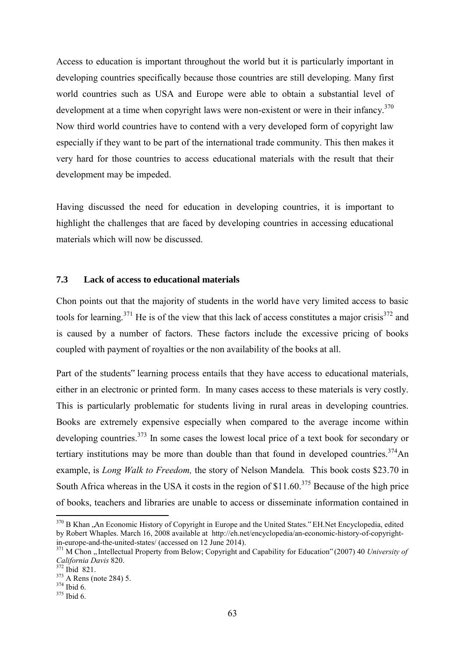Access to education is important throughout the world but it is particularly important in developing countries specifically because those countries are still developing. Many first world countries such as USA and Europe were able to obtain a substantial level of development at a time when copyright laws were non-existent or were in their infancy.<sup>370</sup> Now third world countries have to contend with a very developed form of copyright law especially if they want to be part of the international trade community. This then makes it very hard for those countries to access educational materials with the result that their development may be impeded.

Having discussed the need for education in developing countries, it is important to highlight the challenges that are faced by developing countries in accessing educational materials which will now be discussed.

# **7.3 Lack of access to educational materials**

Chon points out that the majority of students in the world have very limited access to basic tools for learning.<sup>371</sup> He is of the view that this lack of access constitutes a major crisis<sup>372</sup> and is caused by a number of factors. These factors include the excessive pricing of books coupled with payment of royalties or the non availability of the books at all.

Part of the students" learning process entails that they have access to educational materials, either in an electronic or printed form. In many cases access to these materials is very costly. This is particularly problematic for students living in rural areas in developing countries. Books are extremely expensive especially when compared to the average income within developing countries.<sup>373</sup> In some cases the lowest local price of a text book for secondary or tertiary institutions may be more than double than that found in developed countries.<sup>374</sup>An example, is *Long Walk to Freedom,* the story of Nelson Mandela*.* This book costs \$23.70 in South Africa whereas in the USA it costs in the region of \$11.60.<sup>375</sup> Because of the high price of books, teachers and libraries are unable to access or disseminate information contained in

<sup>&</sup>lt;sup>370</sup> B Khan "An Economic History of Copyright in Europe and the United States." EH.Net Encyclopedia, edited by Robert Whaples. March 16, 2008 available at http://eh.net/encyclopedia/an-economic-history-of-copyrightin-europe-and-the-united-states/ (accessed on 12 June 2014).

<sup>&</sup>lt;sup>371</sup> M Chon "Intellectual Property from Below; Copyright and Capability for Education" (2007) 40 *University of California Davis* 820.

<sup>372</sup> Ibid 821.

<sup>&</sup>lt;sup>373</sup> A Rens (note 284) 5.

 $374$  Ibid 6.

 $375$  Ibid 6.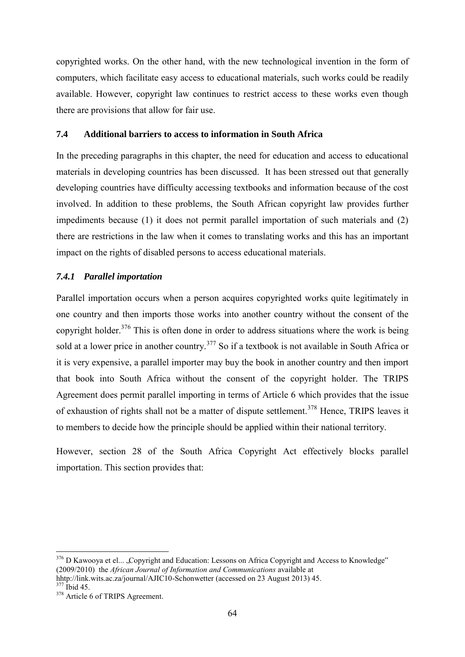copyrighted works. On the other hand, with the new technological invention in the form of computers, which facilitate easy access to educational materials, such works could be readily available. However, copyright law continues to restrict access to these works even though there are provisions that allow for fair use.

# **7.4 Additional barriers to access to information in South Africa**

In the preceding paragraphs in this chapter, the need for education and access to educational materials in developing countries has been discussed. It has been stressed out that generally developing countries have difficulty accessing textbooks and information because of the cost involved. In addition to these problems, the South African copyright law provides further impediments because (1) it does not permit parallel importation of such materials and (2) there are restrictions in the law when it comes to translating works and this has an important impact on the rights of disabled persons to access educational materials.

### *7.4.1 Parallel importation*

Parallel importation occurs when a person acquires copyrighted works quite legitimately in one country and then imports those works into another country without the consent of the copyright holder. $376$  This is often done in order to address situations where the work is being sold at a lower price in another country.<sup>377</sup> So if a textbook is not available in South Africa or it is very expensive, a parallel importer may buy the book in another country and then import that book into South Africa without the consent of the copyright holder. The TRIPS Agreement does permit parallel importing in terms of Article 6 which provides that the issue of exhaustion of rights shall not be a matter of dispute settlement.<sup>378</sup> Hence, TRIPS leaves it to members to decide how the principle should be applied within their national territory.

However, section 28 of the South Africa Copyright Act effectively blocks parallel importation. This section provides that:

<sup>&</sup>lt;sup>376</sup> D Kawooya et el... "Copyright and Education: Lessons on Africa Copyright and Access to Knowledge" (2009/2010) the *African Journal of Information and Communications* available at hhtp://link.wits.ac.za/journal/AJIC10-Schonwetter (accessed on 23 August 2013) 45.

<sup>377</sup> Ibid 45.

<sup>&</sup>lt;sup>378</sup> Article 6 of TRIPS Agreement.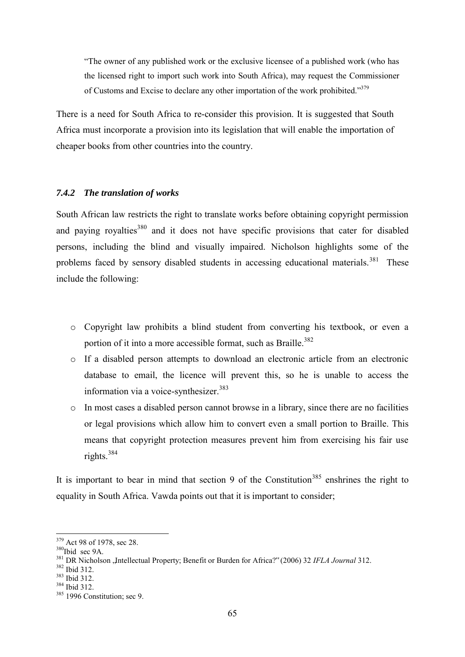"The owner of any published work or the exclusive licensee of a published work (who has the licensed right to import such work into South Africa), may request the Commissioner of Customs and Excise to declare any other importation of the work prohibited."<sup>379</sup>

There is a need for South Africa to re-consider this provision. It is suggested that South Africa must incorporate a provision into its legislation that will enable the importation of cheaper books from other countries into the country.

### *7.4.2 The translation of works*

South African law restricts the right to translate works before obtaining copyright permission and paying royalties<sup>380</sup> and it does not have specific provisions that cater for disabled persons, including the blind and visually impaired. Nicholson highlights some of the problems faced by sensory disabled students in accessing educational materials.<sup>381</sup> These include the following:

- o Copyright law prohibits a blind student from converting his textbook, or even a portion of it into a more accessible format, such as Braille.<sup>382</sup>
- o If a disabled person attempts to download an electronic article from an electronic database to email, the licence will prevent this, so he is unable to access the information via a voice-synthesizer. $383$
- o In most cases a disabled person cannot browse in a library, since there are no facilities or legal provisions which allow him to convert even a small portion to Braille. This means that copyright protection measures prevent him from exercising his fair use rights.<sup>384</sup>

It is important to bear in mind that section 9 of the Constitution<sup>385</sup> enshrines the right to equality in South Africa. Vawda points out that it is important to consider;

<sup>379</sup> Act 98 of 1978, sec 28.

<sup>&</sup>lt;sup>380</sup>Ibid sec 9A.

<sup>&</sup>lt;sup>381</sup> DR Nicholson , Intellectual Property; Benefit or Burden for Africa?" (2006) 32 *IFLA Journal* 312.

<sup>382</sup> Ibid 312.

<sup>383</sup> Ibid 312.

<sup>384</sup> Ibid 312.

<sup>&</sup>lt;sup>385</sup> 1996 Constitution; sec 9.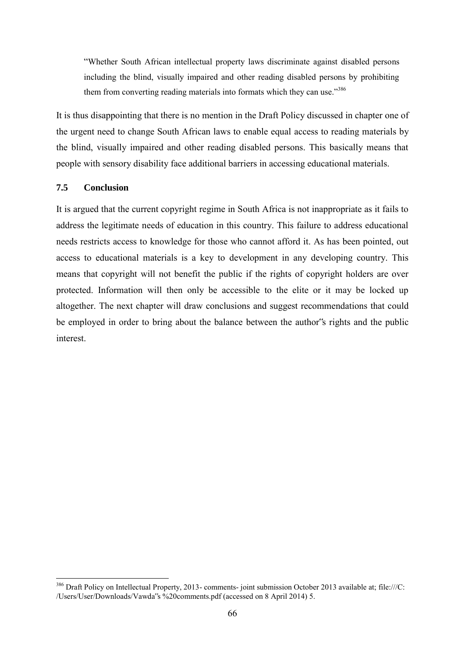"Whether South African intellectual property laws discriminate against disabled persons including the blind, visually impaired and other reading disabled persons by prohibiting them from converting reading materials into formats which they can use."<sup>386</sup>

It is thus disappointing that there is no mention in the Draft Policy discussed in chapter one of the urgent need to change South African laws to enable equal access to reading materials by the blind, visually impaired and other reading disabled persons. This basically means that people with sensory disability face additional barriers in accessing educational materials.

# **7.5 Conclusion**

It is argued that the current copyright regime in South Africa is not inappropriate as it fails to address the legitimate needs of education in this country. This failure to address educational needs restricts access to knowledge for those who cannot afford it. As has been pointed, out access to educational materials is a key to development in any developing country. This means that copyright will not benefit the public if the rights of copyright holders are over protected. Information will then only be accessible to the elite or it may be locked up altogether. The next chapter will draw conclusions and suggest recommendations that could be employed in order to bring about the balance between the author's rights and the public interest.

<sup>-</sup> $386$  Draft Policy on Intellectual Property, 2013- comments-joint submission October 2013 available at[; file:///C:](AppData/Local/Microsoft/Windows/AppData/Local/Microsoft/Windows/C) /Users/User/Downloads/Vawda"s %20comments.pdf (accessed on 8 April 2014) 5.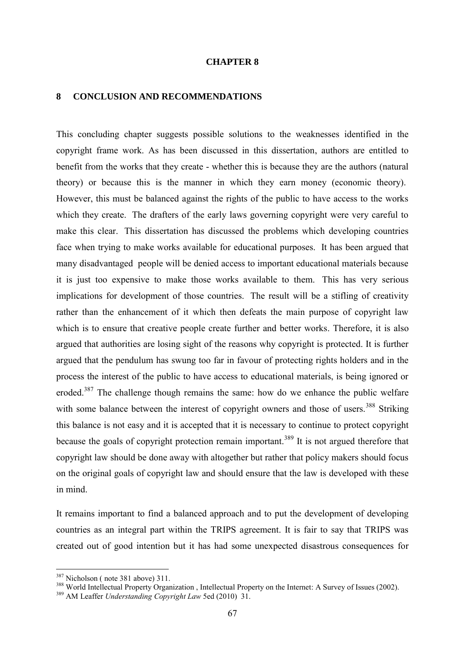#### **CHAPTER 8**

#### **8 CONCLUSION AND RECOMMENDATIONS**

This concluding chapter suggests possible solutions to the weaknesses identified in the copyright frame work. As has been discussed in this dissertation, authors are entitled to benefit from the works that they create - whether this is because they are the authors (natural theory) or because this is the manner in which they earn money (economic theory). However, this must be balanced against the rights of the public to have access to the works which they create. The drafters of the early laws governing copyright were very careful to make this clear. This dissertation has discussed the problems which developing countries face when trying to make works available for educational purposes. It has been argued that many disadvantaged people will be denied access to important educational materials because it is just too expensive to make those works available to them. This has very serious implications for development of those countries. The result will be a stifling of creativity rather than the enhancement of it which then defeats the main purpose of copyright law which is to ensure that creative people create further and better works. Therefore, it is also argued that authorities are losing sight of the reasons why copyright is protected. It is further argued that the pendulum has swung too far in favour of protecting rights holders and in the process the interest of the public to have access to educational materials, is being ignored or eroded.<sup>387</sup> The challenge though remains the same: how do we enhance the public welfare with some balance between the interest of copyright owners and those of users.<sup>388</sup> Striking this balance is not easy and it is accepted that it is necessary to continue to protect copyright because the goals of copyright protection remain important.<sup>389</sup> It is not argued therefore that copyright law should be done away with altogether but rather that policy makers should focus on the original goals of copyright law and should ensure that the law is developed with these in mind.

It remains important to find a balanced approach and to put the development of developing countries as an integral part within the TRIPS agreement. It is fair to say that TRIPS was created out of good intention but it has had some unexpected disastrous consequences for

<sup>&</sup>lt;sup>387</sup> Nicholson (note 381 above) 311.

<sup>&</sup>lt;sup>388</sup> World Intellectual Property Organization, Intellectual Property on the Internet: A Survey of Issues (2002).

<sup>389</sup> AM Leaffer *Understanding Copyright Law* 5ed (2010) 31.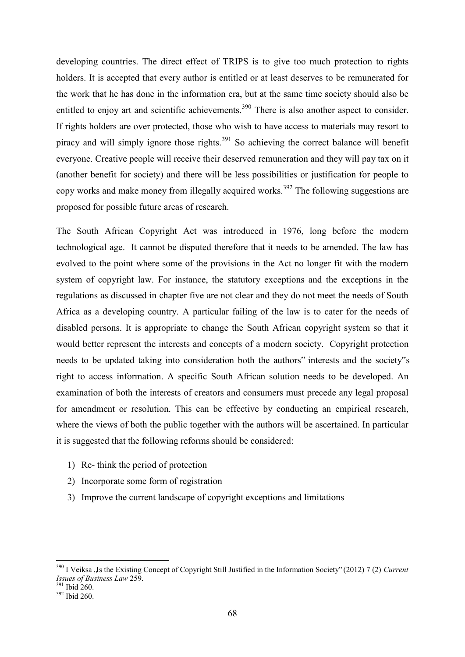developing countries. The direct effect of TRIPS is to give too much protection to rights holders. It is accepted that every author is entitled or at least deserves to be remunerated for the work that he has done in the information era, but at the same time society should also be entitled to enjoy art and scientific achievements.<sup>390</sup> There is also another aspect to consider. If rights holders are over protected, those who wish to have access to materials may resort to piracy and will simply ignore those rights.<sup>391</sup> So achieving the correct balance will benefit everyone. Creative people will receive their deserved remuneration and they will pay tax on it (another benefit for society) and there will be less possibilities or justification for people to copy works and make money from illegally acquired works.<sup>392</sup> The following suggestions are proposed for possible future areas of research.

The South African Copyright Act was introduced in 1976, long before the modern technological age. It cannot be disputed therefore that it needs to be amended. The law has evolved to the point where some of the provisions in the Act no longer fit with the modern system of copyright law. For instance, the statutory exceptions and the exceptions in the regulations as discussed in chapter five are not clear and they do not meet the needs of South Africa as a developing country. A particular failing of the law is to cater for the needs of disabled persons. It is appropriate to change the South African copyright system so that it would better represent the interests and concepts of a modern society. Copyright protection needs to be updated taking into consideration both the authors" interests and the society"s right to access information. A specific South African solution needs to be developed. An examination of both the interests of creators and consumers must precede any legal proposal for amendment or resolution. This can be effective by conducting an empirical research, where the views of both the public together with the authors will be ascertained. In particular it is suggested that the following reforms should be considered:

- 1) Re- think the period of protection
- 2) Incorporate some form of registration
- 3) Improve the current landscape of copyright exceptions and limitations

<sup>&</sup>lt;sup>390</sup> I Veiksa , Is the Existing Concept of Copyright Still Justified in the Information Society" (2012) 7 (2) Current *Issues of Business Law* 259.

<sup>391</sup> Ibid 260.

<sup>392</sup> Ibid 260.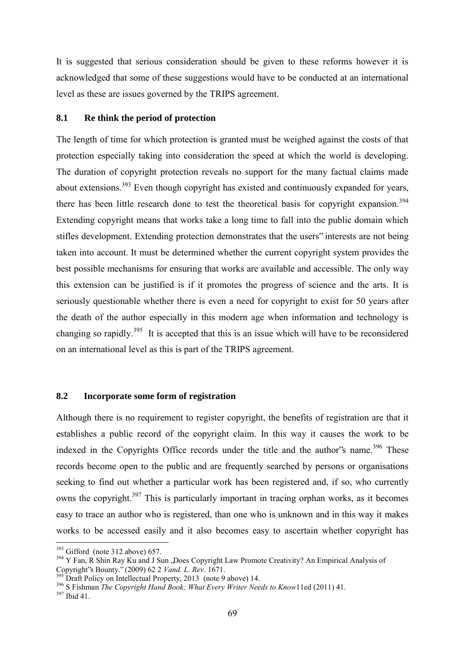It is suggested that serious consideration should be given to these reforms however it is acknowledged that some of these suggestions would have to be conducted at an international level as these are issues governed by the TRIPS agreement.

## **8.1 Re think the period of protection**

The length of time for which protection is granted must be weighed against the costs of that protection especially taking into consideration the speed at which the world is developing. The duration of copyright protection reveals no support for the many factual claims made about extensions.<sup>393</sup> Even though copyright has existed and continuously expanded for years, there has been little research done to test the theoretical basis for copyright expansion.<sup>394</sup> Extending copyright means that works take a long time to fall into the public domain which stifles development. Extending protection demonstrates that the users" interests are not being taken into account. It must be determined whether the current copyright system provides the best possible mechanisms for ensuring that works are available and accessible. The only way this extension can be justified is if it promotes the progress of science and the arts. It is seriously questionable whether there is even a need for copyright to exist for 50 years after the death of the author especially in this modern age when information and technology is changing so rapidly.<sup>395</sup> It is accepted that this is an issue which will have to be reconsidered on an international level as this is part of the TRIPS agreement.

# **8.2 Incorporate some form of registration**

Although there is no requirement to register copyright, the benefits of registration are that it establishes a public record of the copyright claim. In this way it causes the work to be indexed in the Copyrights Office records under the title and the author's name.<sup>396</sup> These records become open to the public and are frequently searched by persons or organisations seeking to find out whether a particular work has been registered and, if so, who currently owns the copyright.<sup>397</sup> This is particularly important in tracing orphan works, as it becomes easy to trace an author who is registered, than one who is unknown and in this way it makes works to be accessed easily and it also becomes easy to ascertain whether copyright has

 $393$  Gifford (note 312 above) 657.

<sup>&</sup>lt;sup>394</sup> Y Fan, R Shin Ray Ku and J Sun , Does Copyright Law Promote Creativity? An Empirical Analysis of Copyright"s Bounty." (2009) 62 2 *Vand. L. Rev*. 1671.

Draft Policy on Intellectual Property, 2013 (note 9 above) 14.

<sup>396</sup> S Fishman *The Copyright Hand Book; What Every Writer Needs to Know*11ed (2011) 41.

<sup>397</sup> Ibid 41.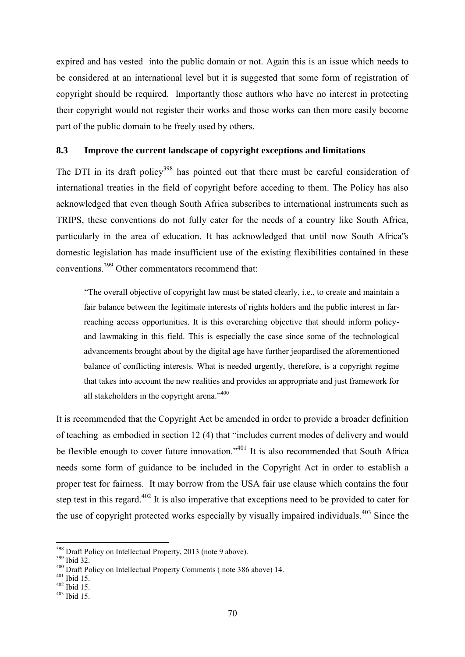expired and has vested into the public domain or not. Again this is an issue which needs to be considered at an international level but it is suggested that some form of registration of copyright should be required. Importantly those authors who have no interest in protecting their copyright would not register their works and those works can then more easily become part of the public domain to be freely used by others.

# **8.3 Improve the current landscape of copyright exceptions and limitations**

The DTI in its draft policy<sup>398</sup> has pointed out that there must be careful consideration of international treaties in the field of copyright before acceding to them. The Policy has also acknowledged that even though South Africa subscribes to international instruments such as TRIPS, these conventions do not fully cater for the needs of a country like South Africa, particularly in the area of education. It has acknowledged that until now South Africa"s domestic legislation has made insufficient use of the existing flexibilities contained in these conventions.<sup>399</sup> Other commentators recommend that:

"The overall objective of copyright law must be stated clearly, i.e., to create and maintain a fair balance between the legitimate interests of rights holders and the public interest in farreaching access opportunities. It is this overarching objective that should inform policyand lawmaking in this field. This is especially the case since some of the technological advancements brought about by the digital age have further jeopardised the aforementioned balance of conflicting interests. What is needed urgently, therefore, is a copyright regime that takes into account the new realities and provides an appropriate and just framework for all stakeholders in the copyright arena."<sup>400</sup>

It is recommended that the Copyright Act be amended in order to provide a broader definition of teaching as embodied in section 12 (4) that "includes current modes of delivery and would be flexible enough to cover future innovation."<sup>401</sup> It is also recommended that South Africa needs some form of guidance to be included in the Copyright Act in order to establish a proper test for fairness. It may borrow from the USA fair use clause which contains the four step test in this regard.<sup>402</sup> It is also imperative that exceptions need to be provided to cater for the use of copyright protected works especially by visually impaired individuals. $403$  Since the

<sup>&</sup>lt;sup>398</sup> Draft Policy on Intellectual Property, 2013 (note 9 above).

<sup>399</sup> Ibid 32.

<sup>400</sup> Draft Policy on Intellectual Property Comments ( note 386 above) 14.

 $401$  Ibid 15.

 $402$  Ibid 15.

 $403$  Ibid 15.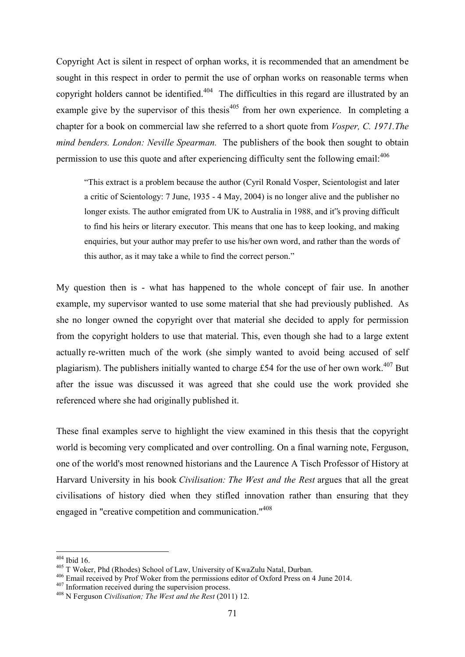Copyright Act is silent in respect of orphan works, it is recommended that an amendment be sought in this respect in order to permit the use of orphan works on reasonable terms when copyright holders cannot be identified.<sup>404</sup> The difficulties in this regard are illustrated by an example give by the supervisor of this thesis $405$  from her own experience. In completing a chapter for a book on commercial law she referred to a short quote from *Vosper, C. 1971.The mind benders. London: Neville Spearman.* The publishers of the book then sought to obtain permission to use this quote and after experiencing difficulty sent the following email:<sup>406</sup>

"This extract is a problem because the author (Cyril Ronald Vosper, Scientologist and later a critic of Scientology: 7 June, 1935 - 4 May, 2004) is no longer alive and the publisher no longer exists. The author emigrated from UK to Australia in 1988, and it"s proving difficult to find his heirs or literary executor. This means that one has to keep looking, and making enquiries, but your author may prefer to use his/her own word, and rather than the words of this author, as it may take a while to find the correct person."

My question then is - what has happened to the whole concept of fair use. In another example, my supervisor wanted to use some material that she had previously published. As she no longer owned the copyright over that material she decided to apply for permission from the copyright holders to use that material. This, even though she had to a large extent actually re-written much of the work (she simply wanted to avoid being accused of self plagiarism). The publishers initially wanted to charge £54 for the use of her own work.<sup>407</sup> But after the issue was discussed it was agreed that she could use the work provided she referenced where she had originally published it.

These final examples serve to highlight the view examined in this thesis that the copyright world is becoming very complicated and over controlling. On a final warning note, Ferguson, one of the world's most renowned historians and the Laurence A Tisch Professor of History at Harvard University in his book *Civilisation: The West and the Rest* argues that all the great civilisations of history died when they stifled innovation rather than ensuring that they engaged in "creative competition and communication."<sup>408</sup>

 $404$  Ibid 16.

<sup>405</sup> T Woker, Phd (Rhodes) School of Law, University of KwaZulu Natal, Durban.

<sup>406</sup> Email received by Prof Woker from the permissions editor of Oxford Press on 4 June 2014.

 $407$  Information received during the supervision process.

<sup>408</sup> N Ferguson *Civilisation; The West and the Rest* (2011) 12.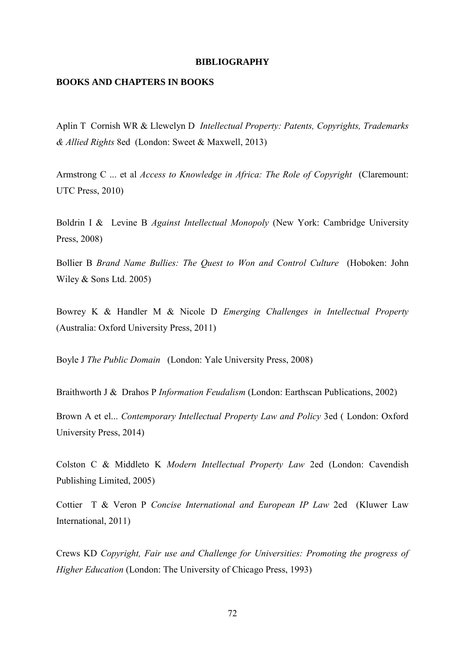#### **BIBLIOGRAPHY**

# **BOOKS AND CHAPTERS IN BOOKS**

Aplin T Cornish WR & Llewelyn D *Intellectual Property: Patents, Copyrights, Trademarks & Allied Rights* 8ed (London: Sweet & Maxwell, 2013)

Armstrong C ... et al *Access to Knowledge in Africa: The Role of Copyright* (Claremount: UTC Press, 2010)

Boldrin I & Levine B *Against Intellectual Monopoly* (New York: Cambridge University Press, 2008)

Bollier B *Brand Name Bullies: The Quest to Won and Control Culture* (Hoboken: John Wiley & Sons Ltd. 2005)

Bowrey K & Handler M & Nicole D *Emerging Challenges in Intellectual Property* (Australia: Oxford University Press, 2011)

Boyle J *The Public Domain* (London: Yale University Press, 2008)

Braithworth J & Drahos P *Information Feudalism* (London: Earthscan Publications, 2002)

Brown A et el... *Contemporary Intellectual Property Law and Policy* 3ed ( London: Oxford University Press, 2014)

Colston C & Middleto K *Modern Intellectual Property Law* 2ed (London: Cavendish Publishing Limited, 2005)

Cottier T & Veron P *Concise International and European IP Law* 2ed (Kluwer Law International, 2011)

Crews KD *Copyright, Fair use and Challenge for Universities: Promoting the progress of Higher Education* (London: The University of Chicago Press, 1993)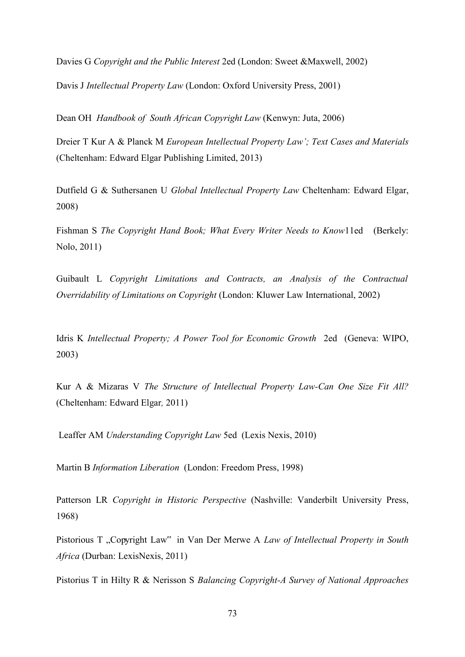Davies G *Copyright and the Public Interest* 2ed (London: Sweet &Maxwell, 2002)

Davis J *Intellectual Property Law* (London: Oxford University Press, 2001)

Dean OH *Handbook of South African Copyright Law* (Kenwyn: Juta, 2006)

Dreier T Kur A & Planck M *European Intellectual Property Law'; Text Cases and Materials* (Cheltenham: Edward Elgar Publishing Limited, 2013)

Dutfield G & Suthersanen U *Global Intellectual Property Law* Cheltenham: Edward Elgar, 2008)

Fishman S *The Copyright Hand Book; What Every Writer Needs to Know*11ed (Berkely: Nolo, 2011)

Guibault L *Copyright Limitations and Contracts, an Analysis of the Contractual Overridability of Limitations on Copyright* (London: Kluwer Law International, 2002)

Idris K *Intellectual Property; A Power Tool for Economic Growth* 2ed (Geneva: WIPO, 2003)

Kur A & Mizaras V *The Structure of Intellectual Property Law-Can One Size Fit All?*  (Cheltenham: Edward Elgar*,* 2011)

Leaffer AM *Understanding Copyright Law* 5ed (Lexis Nexis, 2010)

Martin B *Information Liberation* (London: Freedom Press, 1998)

Patterson LR *Copyright in Historic Perspective* (Nashville: Vanderbilt University Press, 1968)

Pistorious T "Copyright Law" in Van Der Merwe A *Law of Intellectual Property in South Africa* (Durban: LexisNexis, 2011)

Pistorius T in Hilty R & Nerisson S *Balancing Copyright-A Survey of National Approaches*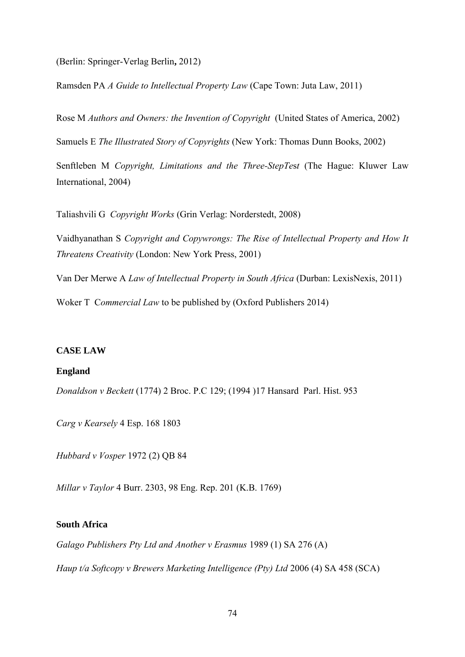(Berlin: Springer-Verlag Berlin**,** 2012)

Ramsden PA *A Guide to Intellectual Property Law* (Cape Town: Juta Law, 2011)

Rose M *Authors and Owners: the Invention of Copyright* (United States of America, 2002)

Samuels E *The Illustrated Story of Copyrights* (New York: Thomas Dunn Books, 2002)

Senftleben M *Copyright, Limitations and the Three-StepTe*s*t* (The Hague: Kluwer Law International, 2004)

Taliashvili G *Copyright Works* (Grin Verlag: Norderstedt, 2008)

Vaidhyanathan S *Copyright and Copywrongs: The Rise of Intellectual Property and How It Threatens Creativity* (London: New York Press, 2001)

Van Der Merwe A *Law of Intellectual Property in South Africa* (Durban: LexisNexis, 2011)

Woker T C*ommercial Law* to be published by (Oxford Publishers 2014)

#### **CASE LAW**

#### **England**

*Donaldson v Beckett* (1774) 2 Broc. P.C 129; (1994 )17 HansardParl. Hist. 953

*Carg v Kearsely* 4 Esp. 168 1803

*Hubbard v Vosper* 1972 (2) QB 84

*Millar v Taylor* 4 Burr. 2303, 98 Eng. Rep. 201 (K.B. 1769)

# **South Africa**

*Galago Publishers Pty Ltd and Another v Erasmus* 1989 (1) SA 276 (A)

*Haup t/a Softcopy v Brewers Marketing Intelligence (Pty) Ltd 2006 (4) SA 458 (SCA)*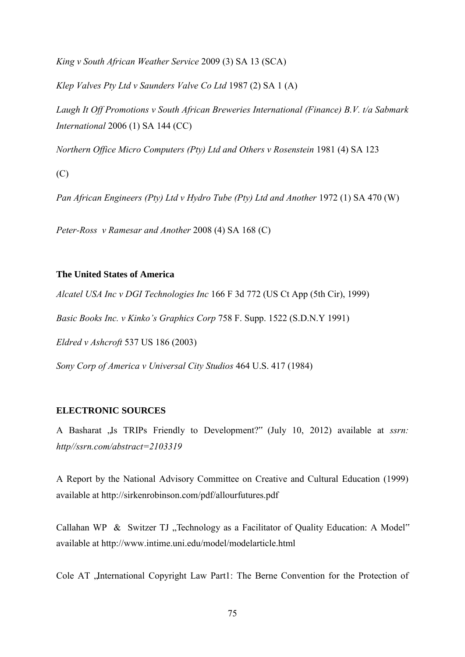*King v South African Weather Service* 2009 (3) SA 13 (SCA)

*Klep Valves Pty Ltd v Saunders Valve Co Ltd* 1987 (2) SA 1 (A)

*Laugh It Off Promotions v South African Breweries International (Finance) B.V. t/a Sabmark International* 2006 (1) SA 144 (CC)

*Northern Office Micro Computers (Pty) Ltd and Others v Rosenstein* 1981 (4) SA 123

(C)

*Pan African Engineers (Pty) Ltd v Hydro Tube (Pty) Ltd and Another* 1972 (1) SA 470 (W)

*Peter-Ross v Ramesar and Another* 2008 (4) SA 168 (C)

### **The United States of America**

*Alcatel USA Inc v DGI Technologies Inc* 166 F 3d 772 (US Ct App (5th Cir), 1999)

*Basic Books Inc. v Kinko's Graphics Corp* 758 F. Supp. 1522 (S.D.N.Y 1991)

*Eldred v Ashcroft* 537 US 186 (2003)

*Sony Corp of America v Universal City Studios* 464 U.S. 417 (1984)

## **ELECTRONIC SOURCES**

A Basharat , Is TRIPs Friendly to Development?" (July 10, 2012) available at *ssrn*: *http//ssrn.com/abstract=2103319*

A Report by the National Advisory Committee on Creative and Cultural Education (1999) available at<http://sirkenrobinson.com/pdf/allourfutures.pdf>

Callahan WP & Switzer TJ "Technology as a Facilitator of Quality Education: A Model" available at<http://www.intime.uni.edu/model/modelarticle.html>

Cole AT , International Copyright Law Part1: The Berne Convention for the Protection of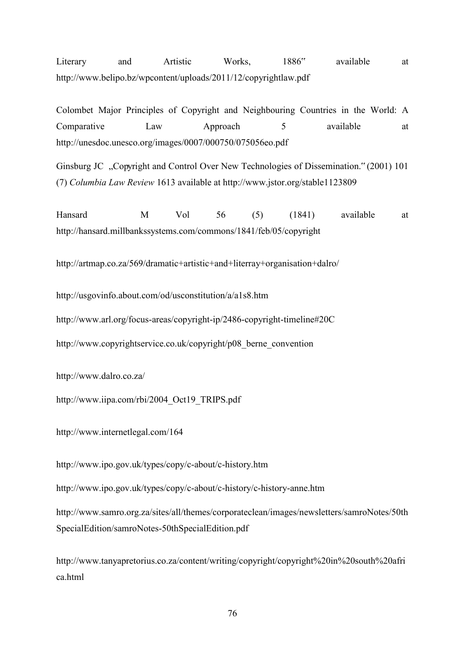Literary and Artistic Works, 1886" available at <http://www.belipo.bz/wpcontent/uploads/2011/12/copyrightlaw.pdf>

Colombet Major Principles of Copyright and Neighbouring Countries in the World: A Comparative Law Approach 5 available at <http://unesdoc.unesco.org/images/0007/000750/075056eo.pdf>

Ginsburg JC "Copyright and Control Over New Technologies of Dissemination." (2001) 101 (7) *Columbia Law Review* 1613 available at<http://www.jstor.org/stable1123809>

Hansard M Vol 56 (5) (1841) available at <http://hansard.millbankssystems.com/commons/1841/feb/05/copyright>

<http://artmap.co.za/569/dramatic+artistic+and+literray+organisation+dalro/>

<http://usgovinfo.about.com/od/usconstitution/a/a1s8.htm>

<http://www.arl.org/focus-areas/copyright-ip/2486-copyright-timeline#20C>

[http://www.copyrightservice.co.uk/copyright/p08\\_berne\\_convention](http://www.copyrightservice.co.uk/copyright/p08_berne_convention) 

<http://www.dalro.co.za/>

[http://www.iipa.com/rbi/2004\\_Oct19\\_TRIPS.pdf](http://www.iipa.com/rbi/2004_Oct19_TRIPS.pdf)

<http://www.internetlegal.com/164>

<http://www.ipo.gov.uk/types/copy/c-about/c-history.htm>

<http://www.ipo.gov.uk/types/copy/c-about/c-history/c-history-anne.htm>

[http://www.samro.org.za/sites/all/themes/corporateclean/images/newsletters/samroNotes/50th](http://www.samro.org.za/sites/all/themes/corporateclean/images/newsletters/samroNotes/50thSpecialEdition/samroNotes-50thSpecialEdition.pdf) [SpecialEdition/samroNotes-50thSpecialEdition.pdf](http://www.samro.org.za/sites/all/themes/corporateclean/images/newsletters/samroNotes/50thSpecialEdition/samroNotes-50thSpecialEdition.pdf)

[http://www.tanyapretorius.co.za/content/writing/copyright/copyright%20in%20south%20afri](http://www.tanyapretorius.co.za/content/writing/copyright/copyright%20in%20south%20africa.html) [ca.html](http://www.tanyapretorius.co.za/content/writing/copyright/copyright%20in%20south%20africa.html)

76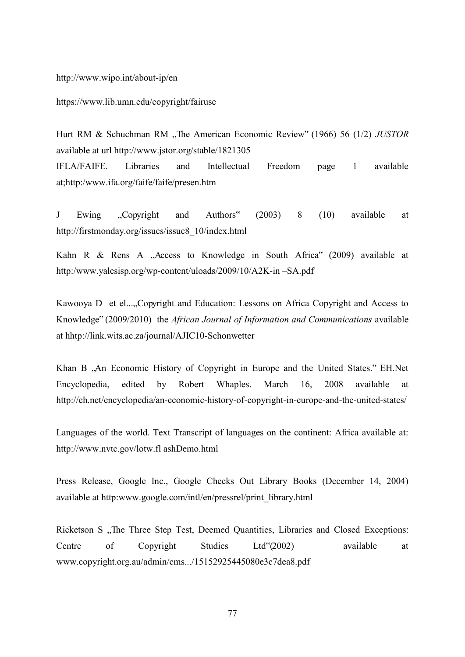<http://www.wipo.int/about-ip/en>

<https://www.lib.umn.edu/copyright/fairuse>

Hurt RM & Schuchman RM "The American Economic Review" (1966) 56 (1/2) *JUSTOR* available at url<http://www.jstor.org/stable/1821305> IFLA/FAIFE. Libraries and Intellectual Freedom page 1 available at;http:/www.ifa.org/faife/faife/presen.htm

J Ewing "Copyright and Authors" (2003) 8 (10) available at [http://firstmonday.org/issues/issue8\\_10/index.html](http://firstmonday.org/issues/issue8_10/index.html)

Kahn R & Rens A "Access to Knowledge in South Africa" (2009) available at http:/www.yalesisp.org/wp-content/uloads/2009/10/A2K-in –SA.pdf

Kawooya D et el....,Copyright and Education: Lessons on Africa Copyright and Access to Knowledge" (2009/2010) the *African Journal of Information and Communications* available at hhtp://link.wits.ac.za/journal/AJIC10-Schonwetter

Khan B , An Economic History of Copyright in Europe and the United States." EH. Net Encyclopedia, edited by Robert Whaples. March 16, 2008 available at <http://eh.net/encyclopedia/an-economic-history-of-copyright-in-europe-and-the-united-states/>

Languages of the world. Text Transcript of languages on the continent: Africa available at: [http://www.nvtc.gov/lotw.fl ashDemo.html](http://www.nvtc.gov/lotw.fl%20ashDemo.html)

Press Release, Google Inc., Google Checks Out Library Books (December 14, 2004) available at http:www.google.com/intl/en/pressrel/print\_library.html

Ricketson S ., The Three Step Test, Deemed Quantities, Libraries and Closed Exceptions: Centre of Copyright Studies Ltd"(2002) available at [www.copyright.org.au/admin/cms.../15152925445080e3c7dea8.pdf](http://www.copyright.org.au/admin/cms.../15152925445080e3c7dea8.pdf)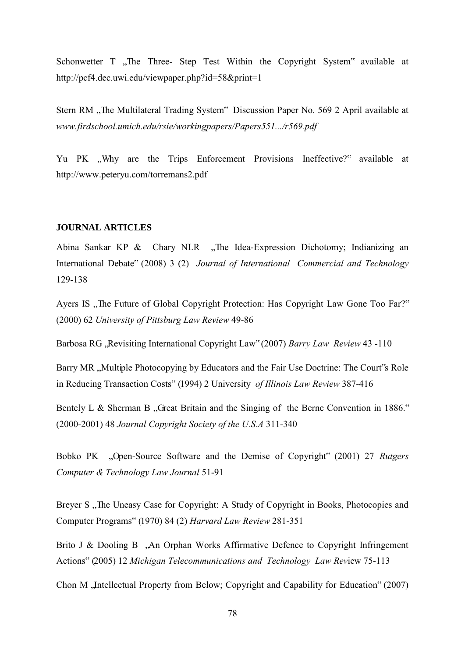Schonwetter T , The Three- Step Test Within the Copyright System" available at <http://pcf4.dec.uwi.edu/viewpaper.php?id=58&print=1>

Stern RM "The Multilateral Trading System" Discussion Paper No. 569 2 April available at *[www.firdschool.umich.edu/rsie/workingpapers/Papers551.../r569.pdf](http://www.firdschool.umich.edu/rsie/workingpapers/Papers551.../r569.pdf)*

Yu PK ..Why are the Trips Enforcement Provisions Ineffective?" available at <http://www.peteryu.com/torremans2.pdf>

### **JOURNAL ARTICLES**

Abina Sankar KP  $\&$  Chary NLR "The Idea-Expression Dichotomy; Indianizing an International Debate" (2008) 3 (2) *Journal of International Commercial and Technology*  129-138

Ayers IS ,, The Future of Global Copyright Protection: Has Copyright Law Gone Too Far?" (2000) 62 *University of Pittsburg Law Review* 49-86

Barbosa RG , Revisiting International Copyright Law" (2007) *Barry Law Review* 43 -110

Barry MR "Multiple Photocopying by Educators and the Fair Use Doctrine: The Court's Role in Reducing Transaction Costs" (1994) 2 University *of Illinois Law Review* 387-416

Bentely L & Sherman B "Great Britain and the Singing of the Berne Convention in 1886." (2000-2001) 48 *Journal Copyright Society of the U.S.A* 311-340

Bobko PK "Open-Source Software and the Demise of Copyright" (2001) 27 *Rutgers Computer & Technology Law Journal* 51-91

Breyer S ., The Uneasy Case for Copyright: A Study of Copyright in Books, Photocopies and Computer Programs" (1970) 84 (2) *Harvard Law Review* 281-351

Brito J & Dooling B , An Orphan Works Affirmative Defence to Copyright Infringement Actions" (2005) 12 *Michigan Telecommunications and Technology Law Rev*iew 75-113

Chon M , Intellectual Property from Below; Copyright and Capability for Education" (2007)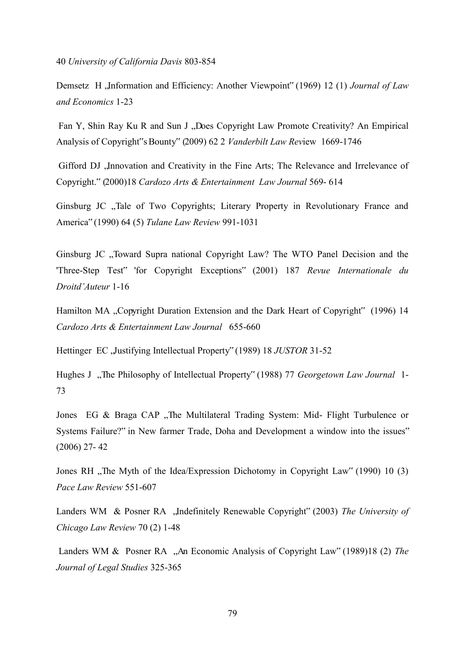40 *University of California Davis* 803-854

Demsetz H , Information and Efficiency: Another Viewpoint" (1969) 12 (1) *Journal of Law and Economics* 1-23

Fan Y, Shin Ray Ku R and Sun J "Does Copyright Law Promote Creativity? An Empirical Analysis of Copyright"s Bounty" (2009) 62 2 *Vanderbilt Law Rev*iew 1669-1746

Gifford DJ , Innovation and Creativity in the Fine Arts; The Relevance and Irrelevance of Copyright." (2000)18 *Cardozo Arts & Entertainment Law Journal* 569- 614

Ginsburg JC "Tale of Two Copyrights; Literary Property in Revolutionary France and America" (1990) 64 (5) *Tulane Law Review* 991-1031

Ginsburg JC "Toward Supra national Copyright Law? The WTO Panel Decision and the 'Three-Step Test" 'for Copyright Exceptions" (2001) 187 *Revue Internationale du Droitd'Auteur* 1-16

Hamilton MA "Copyright Duration Extension and the Dark Heart of Copyright" (1996) 14 *Cardozo Arts & Entertainment Law Journal* 655-660

Hettinger EC, Justifying Intellectual Property" (1989) 18 *JUSTOR* 31-52

Hughes J "The Philosophy of Intellectual Property" (1988) 77 *Georgetown Law Journal* 1-73

Jones EG & Braga CAP "The Multilateral Trading System: Mid- Flight Turbulence or Systems Failure?" in New farmer Trade, Doha and Development a window into the issues" (2006) 27- 42

Jones RH , The Myth of the Idea/Expression Dichotomy in Copyright Law" (1990) 10 (3) *Pace Law Review* 551-607

Landers WM & Posner RA "Indefinitely Renewable Copyright" (2003) *The University of Chicago Law Review* 70 (2) 1-48

Landers WM & Posner RA "An Economic Analysis of Copyright Law" (1989)18 (2) *The Journal of Legal Studies* 325-365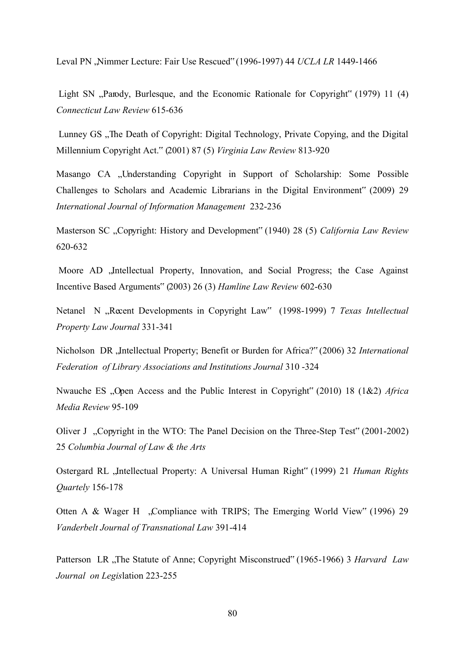Leval PN , Nimmer Lecture: Fair Use Rescued" (1996-1997) 44 *UCLA LR* 1449-1466

Light SN "Parody, Burlesque, and the Economic Rationale for Copyright" (1979) 11 (4) *Connecticut Law Review* 615-636

Lunney GS, The Death of Copyright: Digital Technology, Private Copying, and the Digital Millennium Copyright Act." (2001) 87 (5) *Virginia Law Review* 813-920

Masango CA , Understanding Copyright in Support of Scholarship: Some Possible Challenges to Scholars and Academic Librarians in the Digital Environment" (2009) 29 *International Journal of Information Management* 232-236

Masterson SC "Copyright: History and Development" (1940) 28 (5) *California Law Review* 620-632

Moore AD , Intellectual Property, Innovation, and Social Progress; the Case Against Incentive Based Arguments" (2003) 26 (3) *Hamline Law Review* 602-630

Netanel N "Recent Developments in Copyright Law" (1998-1999) 7 *Texas Intellectual Property Law Journal* 331-341

Nicholson DR , Intellectual Property; Benefit or Burden for Africa?" (2006) 32 *International Federation of Library Associations and Institutions Journal* 310 -324

Nwauche ES "Open Access and the Public Interest in Copyright" (2010) 18 (1&2) *Africa Media Review* 95-109

Oliver J "Copyright in the WTO: The Panel Decision on the Three-Step Test" (2001-2002) 25 *Columbia Journal of Law & the Arts*

Ostergard RL "Intellectual Property: A Universal Human Right" (1999) 21 *Human Rights Quartely* 156-178

Otten A & Wager H "Compliance with TRIPS; The Emerging World View" (1996) 29 *Vanderbelt Journal of Transnational Law* 391-414

Patterson LR ,The Statute of Anne; Copyright Misconstrued" (1965-1966) 3 *Harvard Law Journal on Legis*lation 223-255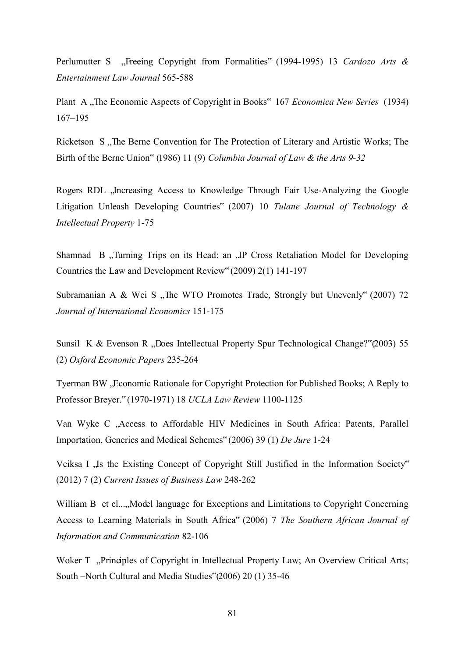Perlumutter S "Freeing Copyright from Formalities" (1994-1995) 13 *Cardozo Arts & Entertainment Law Journal* 565-588

Plant A "The Economic Aspects of Copyright in Books" 167 *Economica New Series* (1934) 167*–*195

Ricketson S . The Berne Convention for The Protection of Literary and Artistic Works; The Birth of the Berne Union" (1986) 11 (9) *Columbia Journal of Law & the Arts 9-32*

Rogers RDL, Increasing Access to Knowledge Through Fair Use-Analyzing the Google Litigation Unleash Developing Countries" (2007) 10 *Tulane Journal of Technology & Intellectual Property* 1-75

Shamnad B "Turning Trips on its Head: an "IP Cross Retaliation Model for Developing Countries the Law and Development Review" (2009) 2(1) 141-197

Subramanian A & Wei S , The WTO Promotes Trade, Strongly but Unevenly" (2007) 72 *Journal of International Economics* 151-175

Sunsil K & Evenson R "Does Intellectual Property Spur Technological Change?"(2003) 55 (2) *Oxford Economic Papers* 235-264

Tyerman BW, Economic Rationale for Copyright Protection for Published Books; A Reply to Professor Breyer." (1970-1971) 18 *UCLA Law Review* 1100-1125

Van Wyke C , Access to Affordable HIV Medicines in South Africa: Patents, Parallel Importation, Generics and Medical Schemes" (2006) 39 (1) *De Jure* 1-24

Veiksa I ., Is the Existing Concept of Copyright Still Justified in the Information Society" (2012) 7 (2) *Current Issues of Business Law* 248-262

William B et el..., Model language for Exceptions and Limitations to Copyright Concerning Access to Learning Materials in South Africa" (2006) 7 *The Southern African Journal of Information and Communication* 82-106

Woker T "Principles of Copyright in Intellectual Property Law; An Overview Critical Arts; South –North Cultural and Media Studies"(2006) 20 (1) 35-46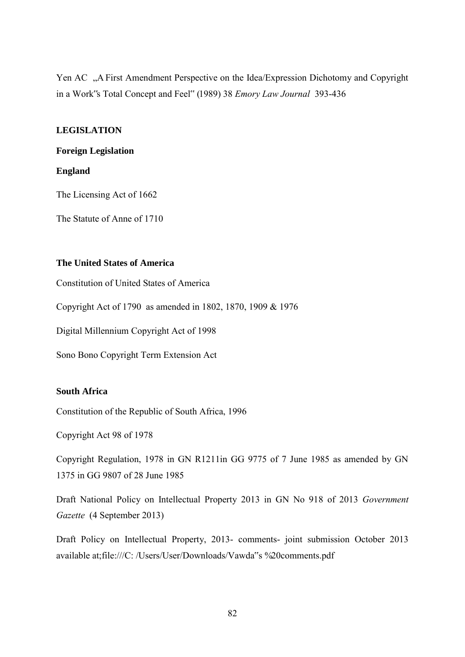Yen AC "A First Amendment Perspective on the Idea/Expression Dichotomy and Copyright in a Work"s Total Concept and Feel" (1989) 38 *Emory Law Journal* 393-436

# **LEGISLATION**

# **Foreign Legislation**

## **England**

The Licensing Act of 1662

The Statute of Anne of 1710

# **The United States of America**

Constitution of United States of America

Copyright Act of 1790 as amended in 1802, 1870, 1909 & 1976

Digital Millennium Copyright Act of 1998

Sono Bono Copyright Term Extension Act

# **South Africa**

Constitution of the Republic of South Africa, 1996

Copyright Act 98 of 1978

Copyright Regulation, 1978 in GN R1211in GG 9775 of 7 June 1985 as amended by GN 1375 in GG 9807 of 28 June 1985

Draft National Policy on Intellectual Property 2013 in GN No 918 of 2013 *Government Gazette* (4 September 2013)

Draft Policy on Intellectual Property, 2013- comments- joint submission October 2013 available at[;file:///C:](AppData/Local/Microsoft/Windows/AppData/Local/Microsoft/Windows/C) /Users/User/Downloads/Vawda"s %20comments.pdf